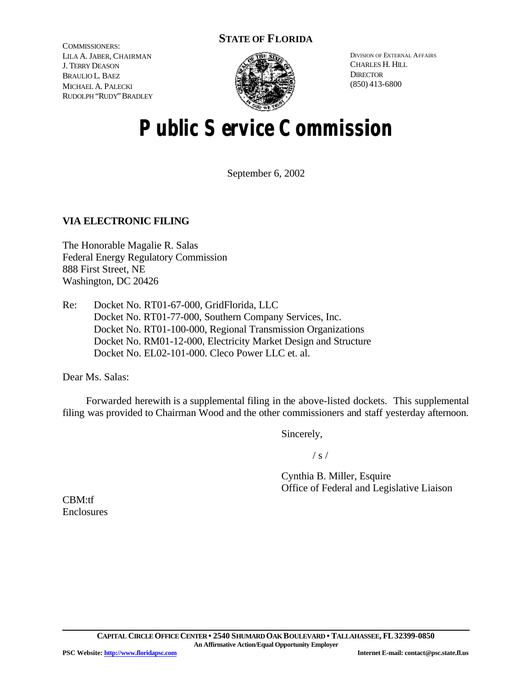# **STATE OF FLORIDA**

COMMISSIONERS: LILA A. JABER, CHAIRMAN J. TERRY DEASON BRAULIO L. BAEZ MICHAEL A. PALECKI RUDOLPH "RUDY"BRADLEY



DIVISION OF EXTERNAL AFFAIRS CHARLES H. HILL **DIRECTOR** (850) 413-6800

# **Public Service Commission**

September 6, 2002

# **VIA ELECTRONIC FILING**

The Honorable Magalie R. Salas Federal Energy Regulatory Commission 888 First Street, NE Washington, DC 20426

Re: Docket No. RT01-67-000, GridFlorida, LLC Docket No. RT01-77-000, Southern Company Services, Inc. Docket No. RT01-100-000, Regional Transmission Organizations Docket No. RM01-12-000, Electricity Market Design and Structure Docket No. EL02-101-000. Cleco Power LLC et. al.

Dear Ms. Salas:

Forwarded herewith is a supplemental filing in the above-listed dockets. This supplemental filing was provided to Chairman Wood and the other commissioners and staff yesterday afternoon.

Sincerely,

 $/ s /$ 

Cynthia B. Miller, Esquire Office of Federal and Legislative Liaison

CBM:tf Enclosures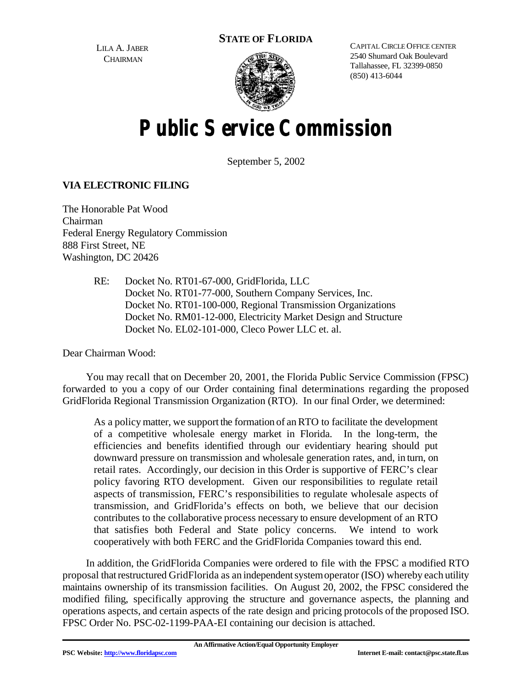**STATE OF FLORIDA**

LILA A. JABER **CHAIRMAN** 



CAPITAL CIRCLE OFFICE CENTER 2540 Shumard Oak Boulevard Tallahassee, FL 32399-0850 (850) 413-6044

# **Public Service Commission**

September 5, 2002

# **VIA ELECTRONIC FILING**

The Honorable Pat Wood Chairman Federal Energy Regulatory Commission 888 First Street, NE Washington, DC 20426

> RE: Docket No. RT01-67-000, GridFlorida, LLC Docket No. RT01-77-000, Southern Company Services, Inc. Docket No. RT01-100-000, Regional Transmission Organizations Docket No. RM01-12-000, Electricity Market Design and Structure Docket No. EL02-101-000, Cleco Power LLC et. al.

Dear Chairman Wood:

You may recall that on December 20, 2001, the Florida Public Service Commission (FPSC) forwarded to you a copy of our Order containing final determinations regarding the proposed GridFlorida Regional Transmission Organization (RTO). In our final Order, we determined:

As a policy matter, we support the formation of anRTO to facilitate the development of a competitive wholesale energy market in Florida. In the long-term, the efficiencies and benefits identified through our evidentiary hearing should put downward pressure on transmission and wholesale generation rates, and, in turn, on retail rates. Accordingly, our decision in this Order is supportive of FERC's clear policy favoring RTO development. Given our responsibilities to regulate retail aspects of transmission, FERC's responsibilities to regulate wholesale aspects of transmission, and GridFlorida's effects on both, we believe that our decision contributes to the collaborative process necessary to ensure development of an RTO that satisfies both Federal and State policy concerns. We intend to work cooperatively with both FERC and the GridFlorida Companies toward this end.

In addition, the GridFlorida Companies were ordered to file with the FPSC a modified RTO proposal thatrestructured GridFlorida as an independentsystemoperator (ISO) whereby each utility maintains ownership of its transmission facilities. On August 20, 2002, the FPSC considered the modified filing, specifically approving the structure and governance aspects, the planning and operations aspects, and certain aspects of the rate design and pricing protocols of the proposed ISO. FPSC Order No. PSC-02-1199-PAA-EI containing our decision is attached.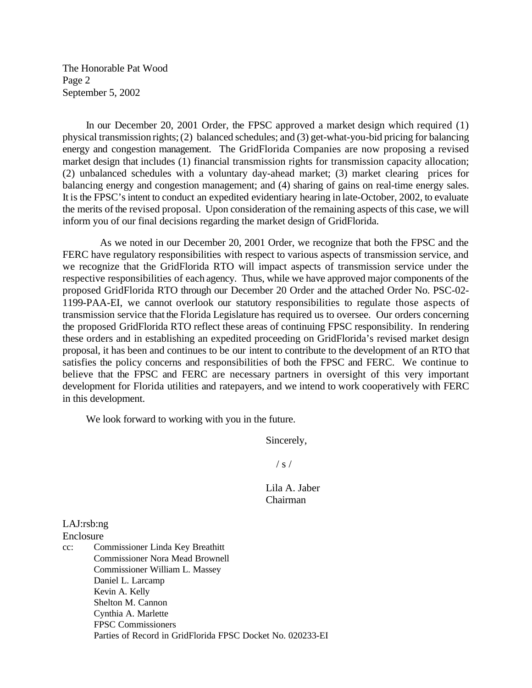The Honorable Pat Wood Page 2 September 5, 2002

In our December 20, 2001 Order, the FPSC approved a market design which required (1) physical transmission rights;(2) balanced schedules; and (3) get-what-you-bid pricing for balancing energy and congestion management. The GridFlorida Companies are now proposing a revised market design that includes (1) financial transmission rights for transmission capacity allocation; (2) unbalanced schedules with a voluntary day-ahead market; (3) market clearing prices for balancing energy and congestion management; and (4) sharing of gains on real-time energy sales. It is the FPSC's intent to conduct an expedited evidentiary hearing in late-October, 2002, to evaluate the merits of the revised proposal. Upon consideration of the remaining aspects of this case, we will inform you of our final decisions regarding the market design of GridFlorida.

 As we noted in our December 20, 2001 Order, we recognize that both the FPSC and the FERC have regulatory responsibilities with respect to various aspects of transmission service, and we recognize that the GridFlorida RTO will impact aspects of transmission service under the respective responsibilities of each agency. Thus, while we have approved major components of the proposed GridFlorida RTO through our December 20 Order and the attached Order No. PSC-02- 1199-PAA-EI, we cannot overlook our statutory responsibilities to regulate those aspects of transmission service that the Florida Legislature has required us to oversee. Our orders concerning the proposed GridFlorida RTO reflect these areas of continuing FPSC responsibility. In rendering these orders and in establishing an expedited proceeding on GridFlorida's revised market design proposal, it has been and continues to be our intent to contribute to the development of an RTO that satisfies the policy concerns and responsibilities of both the FPSC and FERC. We continue to believe that the FPSC and FERC are necessary partners in oversight of this very important development for Florida utilities and ratepayers, and we intend to work cooperatively with FERC in this development.

We look forward to working with you in the future.

Sincerely,

 $/ s /$ 

Lila A. Jaber Chairman

LAJ:rsb:ng Enclosure

cc: Commissioner Linda Key Breathitt Commissioner Nora Mead Brownell Commissioner William L. Massey Daniel L. Larcamp Kevin A. Kelly Shelton M. Cannon Cynthia A. Marlette FPSC Commissioners Parties of Record in GridFlorida FPSC Docket No. 020233-EI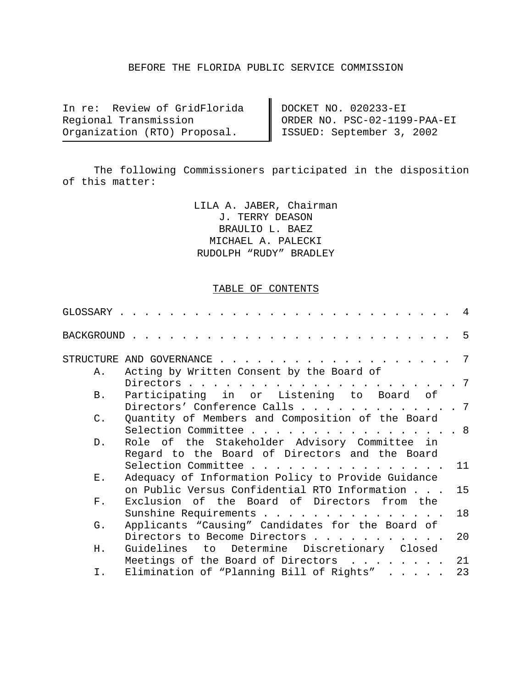#### BEFORE THE FLORIDA PUBLIC SERVICE COMMISSION

In re: Review of GridFlorida Regional Transmission Organization (RTO) Proposal.

DOCKET NO. 020233-EI ORDER NO. PSC-02-1199-PAA-EI ISSUED: September 3, 2002

The following Commissioners participated in the disposition of this matter:

> LILA A. JABER, Chairman J. TERRY DEASON BRAULIO L. BAEZ MICHAEL A. PALECKI RUDOLPH "RUDY" BRADLEY

#### TABLE OF CONTENTS

| GLOSSARY       |                                                                                                                                                    | -4              |
|----------------|----------------------------------------------------------------------------------------------------------------------------------------------------|-----------------|
| BACKGROUND.    |                                                                                                                                                    | 5               |
|                | STRUCTURE AND GOVERNANCE<br><u>na manazara na manazara na manazara na manazara na manazara na manazara na manazara na manazara na manazara na </u> | 7               |
| Α.             | Acting by Written Consent by the Board of                                                                                                          |                 |
|                | Directors $\cdots$ $\cdots$ $\cdots$ $\cdots$ $\cdots$ $\cdots$                                                                                    | $7\phantom{.0}$ |
| Β.             | Participating in or Listening to Board of                                                                                                          |                 |
|                | Directors' Conference Calls                                                                                                                        | . 7             |
| $\mathsf{C}$ . | Quantity of Members and Composition of the Board                                                                                                   |                 |
|                | Selection Committee                                                                                                                                | . 8             |
| $D$ .          | Role of the Stakeholder Advisory Committee in                                                                                                      |                 |
|                | Regard to the Board of Directors and the Board                                                                                                     |                 |
| $\mathbf{E}$ . | Selection Committee                                                                                                                                | 11              |
|                | Adequacy of Information Policy to Provide Guidance<br>on Public Versus Confidential RTO Information                                                | 15              |
| $F$ .          | Exclusion of the Board of Directors from the                                                                                                       |                 |
|                | Sunshine Requirements                                                                                                                              | 18              |
| G.             | Applicants "Causing" Candidates for the Board of                                                                                                   |                 |
|                | Directors to Become Directors                                                                                                                      | 20              |
| Η.             | Guidelines to Determine Discretionary Closed                                                                                                       |                 |
|                | Meetings of the Board of Directors<br>$\sim$ $\sim$ $\sim$ $\sim$ $\sim$ $\sim$                                                                    | 21              |
| Ι.             | Elimination of "Planning Bill of Rights"                                                                                                           | 23              |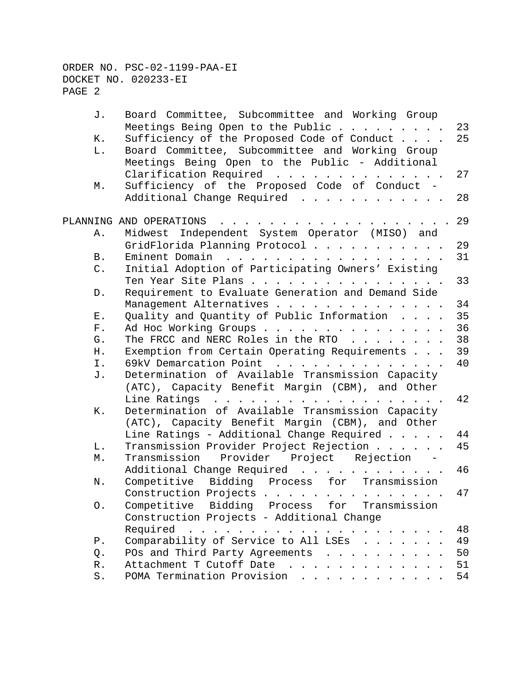| J.          | Board Committee, Subcommittee and Working Group                                              |    |
|-------------|----------------------------------------------------------------------------------------------|----|
|             | Meetings Being Open to the Public<br>$\cdot$ $\cdot$ $\cdot$ $\cdot$ $\cdot$ $\cdot$ $\cdot$ | 23 |
| К.          | Sufficiency of the Proposed Code of Conduct                                                  | 25 |
| L.          | Board Committee, Subcommittee and Working Group                                              |    |
|             | Meetings Being Open to the Public - Additional                                               |    |
|             | Clarification Required                                                                       | 27 |
| М.          | Sufficiency of the Proposed Code of Conduct -                                                |    |
|             | Additional Change Required                                                                   | 28 |
|             | PLANNING AND OPERATIONS                                                                      | 29 |
| Α.          | Midwest Independent System Operator (MISO) and                                               |    |
|             | GridFlorida Planning Protocol                                                                | 29 |
| Β.          | Eminent Domain<br>.                                                                          | 31 |
| C.          | Initial Adoption of Participating Owners' Existing                                           |    |
|             | Ten Year Site Plans                                                                          | 33 |
| $D$ .       | Requirement to Evaluate Generation and Demand Side                                           |    |
|             | Management Alternatives                                                                      | 34 |
| Ε.          | Quality and Quantity of Public Information                                                   | 35 |
| ${\bf F}$ . | Ad Hoc Working Groups                                                                        | 36 |
| G.          | The FRCC and NERC Roles in the RTO                                                           | 38 |
| Η.          | Exemption from Certain Operating Requirements                                                | 39 |
| Ι.          | 69kV Demarcation Point<br>.                                                                  | 40 |
| J.          | Determination of Available Transmission Capacity                                             |    |
|             | (ATC), Capacity Benefit Margin (CBM), and Other                                              |    |
|             | Line Ratings                                                                                 | 42 |
| К.          | Determination of Available Transmission Capacity                                             |    |
|             | (ATC), Capacity Benefit Margin (CBM), and Other                                              |    |
|             | Line Ratings - Additional Change Required                                                    | 44 |
| L.          | Transmission Provider Project Rejection                                                      | 45 |
| М.          | Transmission<br>Provider Project<br>Rejection                                                |    |
|             | Additional Change Required<br>.                                                              | 46 |
| N.          | Bidding Process for Transmission<br>Competitive                                              |    |
|             |                                                                                              | 47 |
|             | Construction Projects                                                                        |    |
| Ο.          | Competitive Bidding Process for<br>Transmission                                              |    |
|             | Construction Projects - Additional Change                                                    |    |
|             | Required<br>.                                                                                | 48 |
| $P$ .       | Comparability of Service to All LSEs                                                         | 49 |
| Q.          | POs and Third Party Agreements                                                               | 50 |
| $R$ .       | Attachment T Cutoff Date                                                                     | 51 |
| S.          | POMA Termination Provision                                                                   | 54 |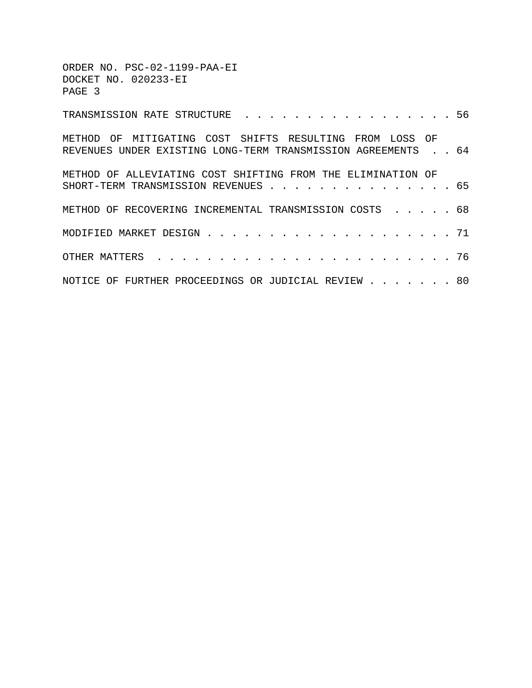| ORDER NO. PSC-02-1199-PAA-EI<br>DOCKET NO. 020233-EI<br>PAGE 3                                                          |  |
|-------------------------------------------------------------------------------------------------------------------------|--|
| TRANSMISSION RATE STRUCTURE 56                                                                                          |  |
| METHOD OF MITIGATING COST SHIFTS RESULTING FROM LOSS OF<br>REVENUES UNDER EXISTING LONG-TERM TRANSMISSION AGREEMENTS 64 |  |
| METHOD OF ALLEVIATING COST SHIFTING FROM THE ELIMINATION OF<br>SHORT-TERM TRANSMISSION REVENUES 65                      |  |
| METHOD OF RECOVERING INCREMENTAL TRANSMISSION COSTS 68                                                                  |  |
|                                                                                                                         |  |
|                                                                                                                         |  |
| NOTICE OF FURTHER PROCEEDINGS OR JUDICIAL REVIEW 80                                                                     |  |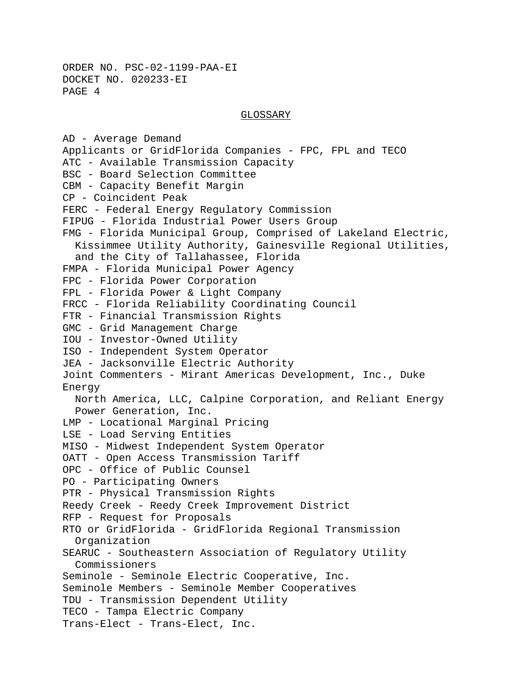#### GLOSSARY

AD - Average Demand Applicants or GridFlorida Companies - FPC, FPL and TECO ATC - Available Transmission Capacity BSC - Board Selection Committee CBM - Capacity Benefit Margin CP - Coincident Peak FERC - Federal Energy Regulatory Commission FIPUG - Florida Industrial Power Users Group FMG - Florida Municipal Group, Comprised of Lakeland Electric, Kissimmee Utility Authority, Gainesville Regional Utilities, and the City of Tallahassee, Florida FMPA - Florida Municipal Power Agency FPC - Florida Power Corporation FPL - Florida Power & Light Company FRCC - Florida Reliability Coordinating Council FTR - Financial Transmission Rights GMC - Grid Management Charge IOU - Investor-Owned Utility ISO - Independent System Operator JEA - Jacksonville Electric Authority Joint Commenters - Mirant Americas Development, Inc., Duke Energy North America, LLC, Calpine Corporation, and Reliant Energy Power Generation, Inc. LMP - Locational Marginal Pricing LSE - Load Serving Entities MISO - Midwest Independent System Operator OATT - Open Access Transmission Tariff OPC - Office of Public Counsel PO - Participating Owners PTR - Physical Transmission Rights Reedy Creek - Reedy Creek Improvement District RFP - Request for Proposals RTO or GridFlorida - GridFlorida Regional Transmission Organization SEARUC - Southeastern Association of Regulatory Utility Commissioners Seminole - Seminole Electric Cooperative, Inc. Seminole Members - Seminole Member Cooperatives TDU - Transmission Dependent Utility TECO - Tampa Electric Company Trans-Elect - Trans-Elect, Inc.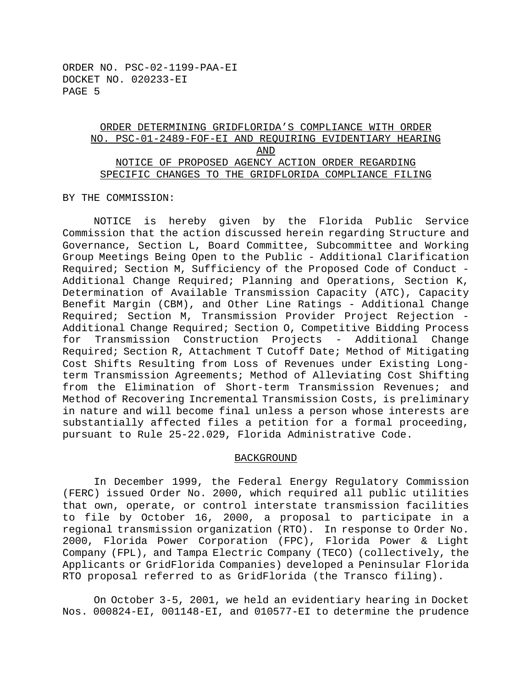## ORDER DETERMINING GRIDFLORIDA'S COMPLIANCE WITH ORDER NO. PSC-01-2489-FOF-EI AND REQUIRING EVIDENTIARY HEARING AND NOTICE OF PROPOSED AGENCY ACTION ORDER REGARDING SPECIFIC CHANGES TO THE GRIDFLORIDA COMPLIANCE FILING

BY THE COMMISSION:

NOTICE is hereby given by the Florida Public Service Commission that the action discussed herein regarding Structure and Governance, Section L, Board Committee, Subcommittee and Working Group Meetings Being Open to the Public - Additional Clarification Required; Section M, Sufficiency of the Proposed Code of Conduct - Additional Change Required; Planning and Operations, Section K, Determination of Available Transmission Capacity (ATC), Capacity Benefit Margin (CBM), and Other Line Ratings - Additional Change Required; Section M, Transmission Provider Project Rejection - Additional Change Required; Section O, Competitive Bidding Process for Transmission Construction Projects - Additional Change Required; Section R, Attachment T Cutoff Date; Method of Mitigating Cost Shifts Resulting from Loss of Revenues under Existing Longterm Transmission Agreements; Method of Alleviating Cost Shifting from the Elimination of Short-term Transmission Revenues; and Method of Recovering Incremental Transmission Costs, is preliminary in nature and will become final unless a person whose interests are substantially affected files a petition for a formal proceeding, pursuant to Rule 25-22.029, Florida Administrative Code.

#### BACKGROUND

In December 1999, the Federal Energy Regulatory Commission (FERC) issued Order No. 2000, which required all public utilities that own, operate, or control interstate transmission facilities to file by October 16, 2000, a proposal to participate in a regional transmission organization (RTO). In response to Order No. 2000, Florida Power Corporation (FPC), Florida Power & Light Company (FPL), and Tampa Electric Company (TECO) (collectively, the Applicants or GridFlorida Companies) developed a Peninsular Florida RTO proposal referred to as GridFlorida (the Transco filing).

On October 3-5, 2001, we held an evidentiary hearing in Docket Nos. 000824-EI, 001148-EI, and 010577-EI to determine the prudence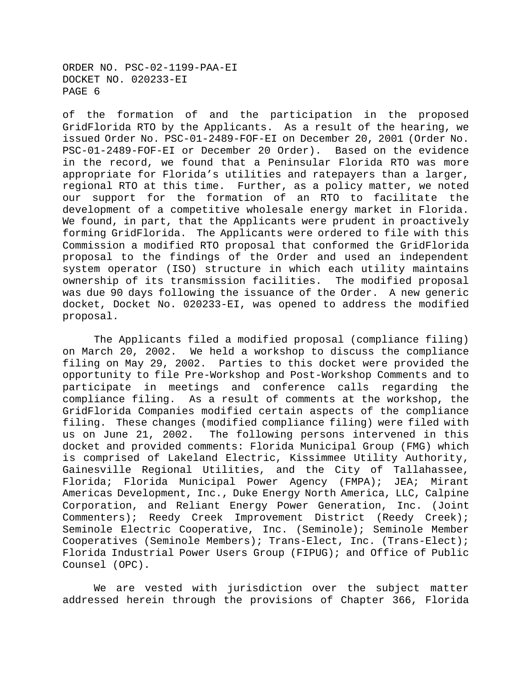of the formation of and the participation in the proposed GridFlorida RTO by the Applicants. As a result of the hearing, we issued Order No. PSC-01-2489-FOF-EI on December 20, 2001 (Order No. PSC-01-2489-FOF-EI or December 20 Order). Based on the evidence in the record, we found that a Peninsular Florida RTO was more appropriate for Florida's utilities and ratepayers than a larger, regional RTO at this time. Further, as a policy matter, we noted our support for the formation of an RTO to facilitate the development of a competitive wholesale energy market in Florida. We found, in part, that the Applicants were prudent in proactively forming GridFlorida. The Applicants were ordered to file with this Commission a modified RTO proposal that conformed the GridFlorida proposal to the findings of the Order and used an independent system operator (ISO) structure in which each utility maintains ownership of its transmission facilities. The modified proposal was due 90 days following the issuance of the Order. A new generic docket, Docket No. 020233-EI, was opened to address the modified proposal.

The Applicants filed a modified proposal (compliance filing) on March 20, 2002. We held a workshop to discuss the compliance filing on May 29, 2002. Parties to this docket were provided the opportunity to file Pre-Workshop and Post-Workshop Comments and to participate in meetings and conference calls regarding the compliance filing. As a result of comments at the workshop, the GridFlorida Companies modified certain aspects of the compliance filing. These changes (modified compliance filing) were filed with us on June 21, 2002. The following persons intervened in this docket and provided comments: Florida Municipal Group (FMG) which is comprised of Lakeland Electric, Kissimmee Utility Authority, Gainesville Regional Utilities, and the City of Tallahassee, Florida; Florida Municipal Power Agency (FMPA); JEA; Mirant Americas Development, Inc., Duke Energy North America, LLC, Calpine Corporation, and Reliant Energy Power Generation, Inc. (Joint Commenters); Reedy Creek Improvement District (Reedy Creek); Seminole Electric Cooperative, Inc. (Seminole); Seminole Member Cooperatives (Seminole Members); Trans-Elect, Inc. (Trans-Elect); Florida Industrial Power Users Group (FIPUG); and Office of Public Counsel (OPC).

We are vested with jurisdiction over the subject matter addressed herein through the provisions of Chapter 366, Florida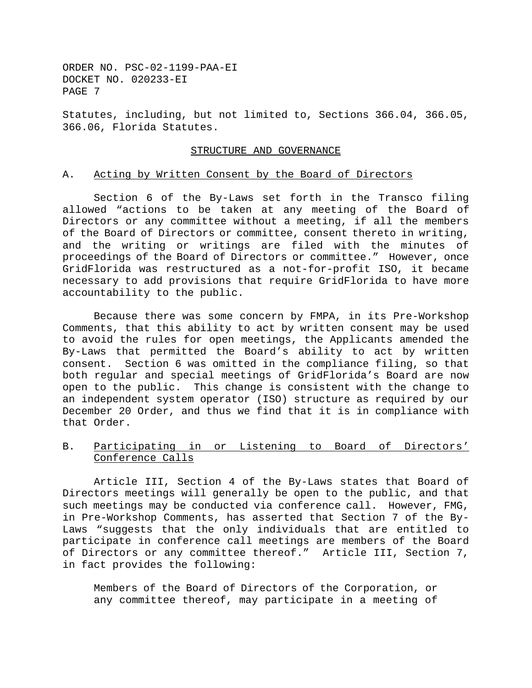Statutes, including, but not limited to, Sections 366.04, 366.05, 366.06, Florida Statutes.

#### STRUCTURE AND GOVERNANCE

#### A. Acting by Written Consent by the Board of Directors

Section 6 of the By-Laws set forth in the Transco filing allowed "actions to be taken at any meeting of the Board of Directors or any committee without a meeting, if all the members of the Board of Directors or committee, consent thereto in writing, and the writing or writings are filed with the minutes of proceedings of the Board of Directors or committee." However, once GridFlorida was restructured as a not-for-profit ISO, it became necessary to add provisions that require GridFlorida to have more accountability to the public.

Because there was some concern by FMPA, in its Pre-Workshop Comments, that this ability to act by written consent may be used to avoid the rules for open meetings, the Applicants amended the By-Laws that permitted the Board's ability to act by written consent. Section 6 was omitted in the compliance filing, so that both regular and special meetings of GridFlorida's Board are now open to the public. This change is consistent with the change to an independent system operator (ISO) structure as required by our December 20 Order, and thus we find that it is in compliance with that Order.

#### B. Participating in or Listening to Board of Directors' Conference Calls

Article III, Section 4 of the By-Laws states that Board of Directors meetings will generally be open to the public, and that such meetings may be conducted via conference call. However, FMG, in Pre-Workshop Comments, has asserted that Section 7 of the By-Laws "suggests that the only individuals that are entitled to participate in conference call meetings are members of the Board of Directors or any committee thereof." Article III, Section 7, in fact provides the following:

Members of the Board of Directors of the Corporation, or any committee thereof, may participate in a meeting of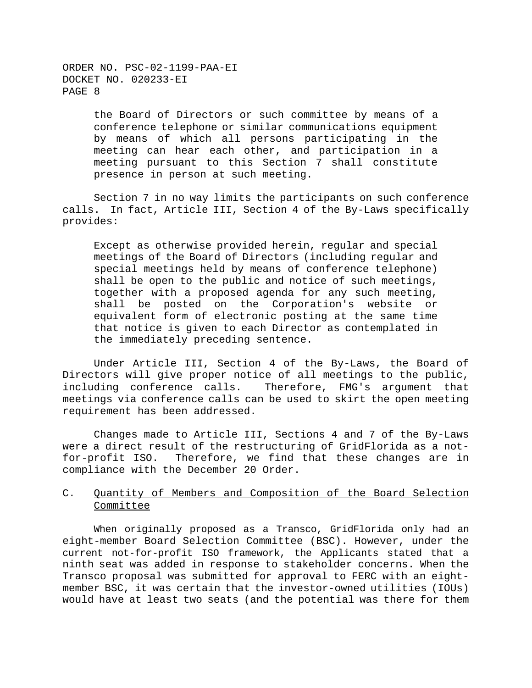> the Board of Directors or such committee by means of a conference telephone or similar communications equipment by means of which all persons participating in the meeting can hear each other, and participation in a meeting pursuant to this Section 7 shall constitute presence in person at such meeting.

Section 7 in no way limits the participants on such conference calls. In fact, Article III, Section 4 of the By-Laws specifically provides:

Except as otherwise provided herein, regular and special meetings of the Board of Directors (including regular and special meetings held by means of conference telephone) shall be open to the public and notice of such meetings, together with a proposed agenda for any such meeting, shall be posted on the Corporation's website or equivalent form of electronic posting at the same time that notice is given to each Director as contemplated in the immediately preceding sentence.

Under Article III, Section 4 of the By-Laws, the Board of Directors will give proper notice of all meetings to the public, including conference calls. Therefore, FMG's argument that meetings via conference calls can be used to skirt the open meeting requirement has been addressed.

Changes made to Article III, Sections 4 and 7 of the By-Laws were a direct result of the restructuring of GridFlorida as a notfor-profit ISO. Therefore, we find that these changes are in compliance with the December 20 Order.

## C. Quantity of Members and Composition of the Board Selection **Committee**

When originally proposed as a Transco, GridFlorida only had an eight-member Board Selection Committee (BSC). However, under the current not-for-profit ISO framework, the Applicants stated that a ninth seat was added in response to stakeholder concerns. When the Transco proposal was submitted for approval to FERC with an eightmember BSC, it was certain that the investor-owned utilities (IOUs) would have at least two seats (and the potential was there for them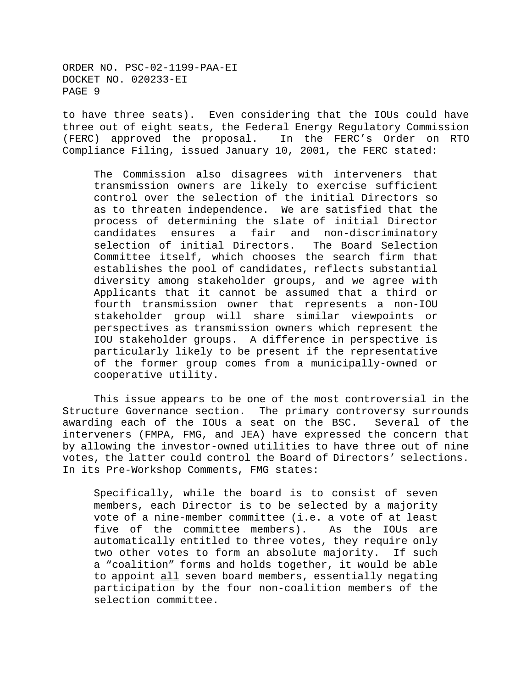to have three seats). Even considering that the IOUs could have three out of eight seats, the Federal Energy Regulatory Commission (FERC) approved the proposal. In the FERC's Order on RTO Compliance Filing, issued January 10, 2001, the FERC stated:

The Commission also disagrees with interveners that transmission owners are likely to exercise sufficient control over the selection of the initial Directors so as to threaten independence. We are satisfied that the process of determining the slate of initial Director candidates ensures a fair and non-discriminatory selection of initial Directors. The Board Selection Committee itself, which chooses the search firm that establishes the pool of candidates, reflects substantial diversity among stakeholder groups, and we agree with Applicants that it cannot be assumed that a third or fourth transmission owner that represents a non-IOU stakeholder group will share similar viewpoints or perspectives as transmission owners which represent the IOU stakeholder groups. A difference in perspective is particularly likely to be present if the representative of the former group comes from a municipally-owned or cooperative utility.

This issue appears to be one of the most controversial in the Structure Governance section. The primary controversy surrounds awarding each of the IOUs a seat on the BSC. Several of the interveners (FMPA, FMG, and JEA) have expressed the concern that by allowing the investor-owned utilities to have three out of nine votes, the latter could control the Board of Directors' selections. In its Pre-Workshop Comments, FMG states:

Specifically, while the board is to consist of seven members, each Director is to be selected by a majority vote of a nine-member committee (i.e. a vote of at least five of the committee members). As the IOUs are automatically entitled to three votes, they require only two other votes to form an absolute majority. If such a "coalition" forms and holds together, it would be able to appoint all seven board members, essentially negating participation by the four non-coalition members of the selection committee.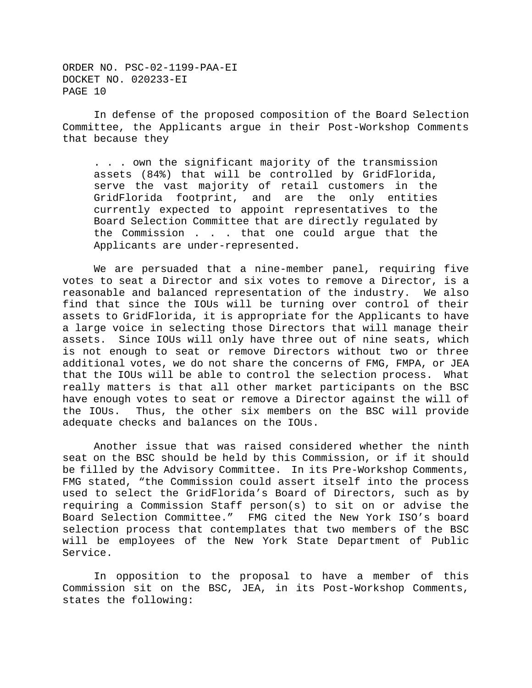In defense of the proposed composition of the Board Selection Committee, the Applicants argue in their Post-Workshop Comments that because they

. . . own the significant majority of the transmission assets (84%) that will be controlled by GridFlorida, serve the vast majority of retail customers in the GridFlorida footprint, and are the only entities currently expected to appoint representatives to the Board Selection Committee that are directly regulated by the Commission . . . that one could argue that the Applicants are under-represented.

We are persuaded that a nine-member panel, requiring five votes to seat a Director and six votes to remove a Director, is a reasonable and balanced representation of the industry. We also find that since the IOUs will be turning over control of their assets to GridFlorida, it is appropriate for the Applicants to have a large voice in selecting those Directors that will manage their assets. Since IOUs will only have three out of nine seats, which is not enough to seat or remove Directors without two or three additional votes, we do not share the concerns of FMG, FMPA, or JEA that the IOUs will be able to control the selection process. What really matters is that all other market participants on the BSC have enough votes to seat or remove a Director against the will of the IOUs. Thus, the other six members on the BSC will provide adequate checks and balances on the IOUs.

Another issue that was raised considered whether the ninth seat on the BSC should be held by this Commission, or if it should be filled by the Advisory Committee. In its Pre-Workshop Comments, FMG stated, "the Commission could assert itself into the process used to select the GridFlorida's Board of Directors, such as by requiring a Commission Staff person(s) to sit on or advise the Board Selection Committee." FMG cited the New York ISO's board selection process that contemplates that two members of the BSC will be employees of the New York State Department of Public Service.

In opposition to the proposal to have a member of this Commission sit on the BSC, JEA, in its Post-Workshop Comments, states the following: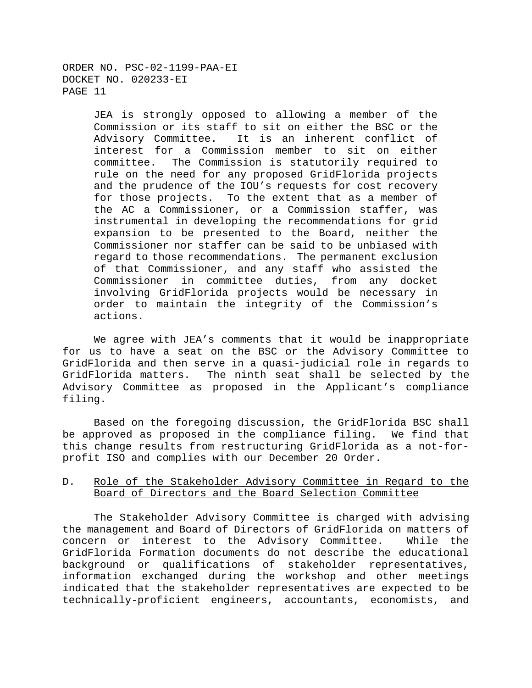> JEA is strongly opposed to allowing a member of the Commission or its staff to sit on either the BSC or the Advisory Committee. It is an inherent conflict of interest for a Commission member to sit on either committee. The Commission is statutorily required to rule on the need for any proposed GridFlorida projects and the prudence of the IOU's requests for cost recovery for those projects. To the extent that as a member of the AC a Commissioner, or a Commission staffer, was instrumental in developing the recommendations for grid expansion to be presented to the Board, neither the Commissioner nor staffer can be said to be unbiased with regard to those recommendations. The permanent exclusion of that Commissioner, and any staff who assisted the Commissioner in committee duties, from any docket involving GridFlorida projects would be necessary in order to maintain the integrity of the Commission's actions.

We agree with JEA's comments that it would be inappropriate for us to have a seat on the BSC or the Advisory Committee to GridFlorida and then serve in a quasi-judicial role in regards to GridFlorida matters. The ninth seat shall be selected by the Advisory Committee as proposed in the Applicant's compliance filing.

Based on the foregoing discussion, the GridFlorida BSC shall be approved as proposed in the compliance filing. We find that this change results from restructuring GridFlorida as a not-forprofit ISO and complies with our December 20 Order.

## D. Role of the Stakeholder Advisory Committee in Regard to the Board of Directors and the Board Selection Committee

The Stakeholder Advisory Committee is charged with advising the management and Board of Directors of GridFlorida on matters of concern or interest to the Advisory Committee. While the GridFlorida Formation documents do not describe the educational background or qualifications of stakeholder representatives, information exchanged during the workshop and other meetings indicated that the stakeholder representatives are expected to be technically-proficient engineers, accountants, economists, and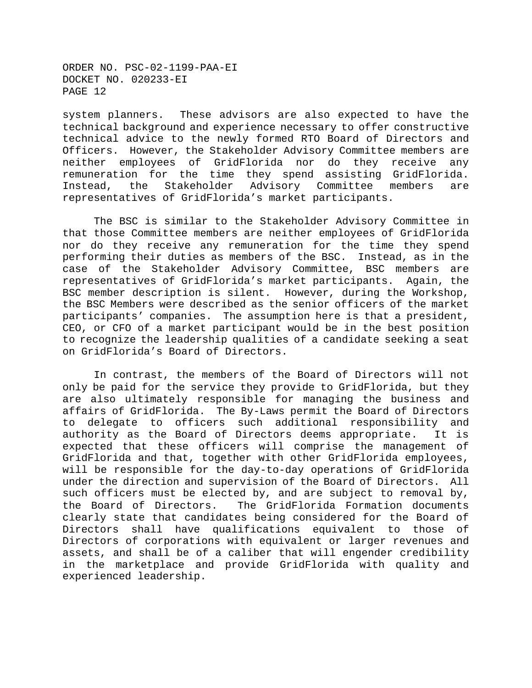system planners. These advisors are also expected to have the technical background and experience necessary to offer constructive technical advice to the newly formed RTO Board of Directors and Officers. However, the Stakeholder Advisory Committee members are neither employees of GridFlorida nor do they receive any remuneration for the time they spend assisting GridFlorida. Instead, the Stakeholder Advisory Committee members are representatives of GridFlorida's market participants.

The BSC is similar to the Stakeholder Advisory Committee in that those Committee members are neither employees of GridFlorida nor do they receive any remuneration for the time they spend performing their duties as members of the BSC. Instead, as in the case of the Stakeholder Advisory Committee, BSC members are representatives of GridFlorida's market participants. Again, the BSC member description is silent. However, during the Workshop, the BSC Members were described as the senior officers of the market participants' companies. The assumption here is that a president, CEO, or CFO of a market participant would be in the best position to recognize the leadership qualities of a candidate seeking a seat on GridFlorida's Board of Directors.

In contrast, the members of the Board of Directors will not only be paid for the service they provide to GridFlorida, but they are also ultimately responsible for managing the business and affairs of GridFlorida. The By-Laws permit the Board of Directors to delegate to officers such additional responsibility and authority as the Board of Directors deems appropriate. It is expected that these officers will comprise the management of GridFlorida and that, together with other GridFlorida employees, will be responsible for the day-to-day operations of GridFlorida under the direction and supervision of the Board of Directors. All such officers must be elected by, and are subject to removal by, the Board of Directors. The GridFlorida Formation documents clearly state that candidates being considered for the Board of Directors shall have qualifications equivalent to those of Directors of corporations with equivalent or larger revenues and assets, and shall be of a caliber that will engender credibility in the marketplace and provide GridFlorida with quality and experienced leadership.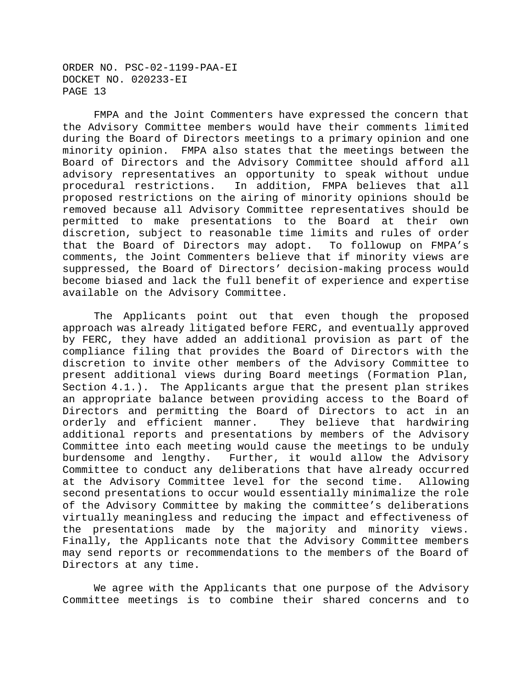FMPA and the Joint Commenters have expressed the concern that the Advisory Committee members would have their comments limited during the Board of Directors meetings to a primary opinion and one minority opinion. FMPA also states that the meetings between the Board of Directors and the Advisory Committee should afford all advisory representatives an opportunity to speak without undue procedural restrictions. In addition, FMPA believes that all proposed restrictions on the airing of minority opinions should be removed because all Advisory Committee representatives should be permitted to make presentations to the Board at their own discretion, subject to reasonable time limits and rules of order that the Board of Directors may adopt. To followup on FMPA's comments, the Joint Commenters believe that if minority views are suppressed, the Board of Directors' decision-making process would become biased and lack the full benefit of experience and expertise available on the Advisory Committee.

The Applicants point out that even though the proposed approach was already litigated before FERC, and eventually approved by FERC, they have added an additional provision as part of the compliance filing that provides the Board of Directors with the discretion to invite other members of the Advisory Committee to present additional views during Board meetings (Formation Plan, Section 4.1.). The Applicants argue that the present plan strikes an appropriate balance between providing access to the Board of Directors and permitting the Board of Directors to act in an orderly and efficient manner. They believe that hardwiring additional reports and presentations by members of the Advisory Committee into each meeting would cause the meetings to be unduly burdensome and lengthy. Further, it would allow the Advisory Committee to conduct any deliberations that have already occurred at the Advisory Committee level for the second time. Allowing second presentations to occur would essentially minimalize the role of the Advisory Committee by making the committee's deliberations virtually meaningless and reducing the impact and effectiveness of the presentations made by the majority and minority views. Finally, the Applicants note that the Advisory Committee members may send reports or recommendations to the members of the Board of Directors at any time.

We agree with the Applicants that one purpose of the Advisory Committee meetings is to combine their shared concerns and to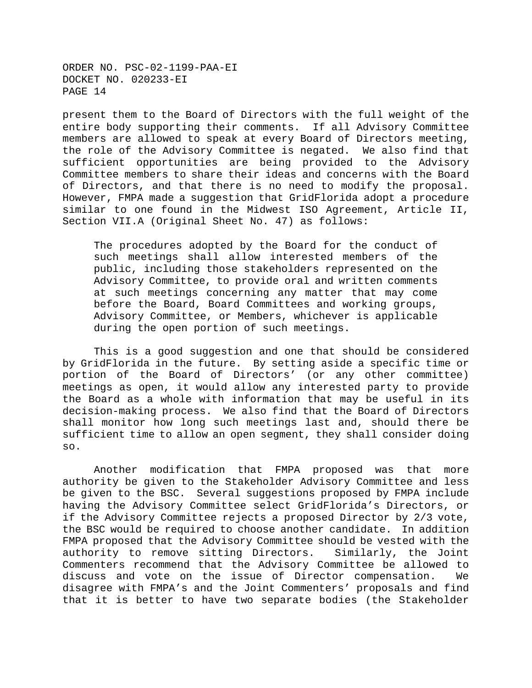present them to the Board of Directors with the full weight of the entire body supporting their comments. If all Advisory Committee members are allowed to speak at every Board of Directors meeting, the role of the Advisory Committee is negated. We also find that sufficient opportunities are being provided to the Advisory Committee members to share their ideas and concerns with the Board of Directors, and that there is no need to modify the proposal. However, FMPA made a suggestion that GridFlorida adopt a procedure similar to one found in the Midwest ISO Agreement, Article II, Section VII.A (Original Sheet No. 47) as follows:

The procedures adopted by the Board for the conduct of such meetings shall allow interested members of the public, including those stakeholders represented on the Advisory Committee, to provide oral and written comments at such meetings concerning any matter that may come before the Board, Board Committees and working groups, Advisory Committee, or Members, whichever is applicable during the open portion of such meetings.

This is a good suggestion and one that should be considered by GridFlorida in the future. By setting aside a specific time or portion of the Board of Directors' (or any other committee) meetings as open, it would allow any interested party to provide the Board as a whole with information that may be useful in its decision-making process. We also find that the Board of Directors shall monitor how long such meetings last and, should there be sufficient time to allow an open segment, they shall consider doing so.

Another modification that FMPA proposed was that more authority be given to the Stakeholder Advisory Committee and less be given to the BSC. Several suggestions proposed by FMPA include having the Advisory Committee select GridFlorida's Directors, or if the Advisory Committee rejects a proposed Director by 2/3 vote, the BSC would be required to choose another candidate. In addition FMPA proposed that the Advisory Committee should be vested with the authority to remove sitting Directors. Similarly, the Joint Commenters recommend that the Advisory Committee be allowed to discuss and vote on the issue of Director compensation. We disagree with FMPA's and the Joint Commenters' proposals and find that it is better to have two separate bodies (the Stakeholder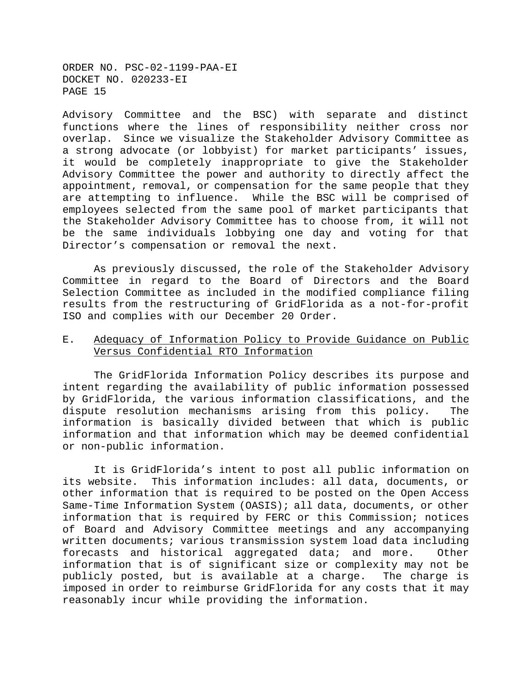Advisory Committee and the BSC) with separate and distinct functions where the lines of responsibility neither cross nor overlap. Since we visualize the Stakeholder Advisory Committee as a strong advocate (or lobbyist) for market participants' issues, it would be completely inappropriate to give the Stakeholder Advisory Committee the power and authority to directly affect the appointment, removal, or compensation for the same people that they are attempting to influence. While the BSC will be comprised of employees selected from the same pool of market participants that the Stakeholder Advisory Committee has to choose from, it will not be the same individuals lobbying one day and voting for that Director's compensation or removal the next.

As previously discussed, the role of the Stakeholder Advisory Committee in regard to the Board of Directors and the Board Selection Committee as included in the modified compliance filing results from the restructuring of GridFlorida as a not-for-profit ISO and complies with our December 20 Order.

## E. Adequacy of Information Policy to Provide Guidance on Public Versus Confidential RTO Information

The GridFlorida Information Policy describes its purpose and intent regarding the availability of public information possessed by GridFlorida, the various information classifications, and the dispute resolution mechanisms arising from this policy. The information is basically divided between that which is public information and that information which may be deemed confidential or non-public information.

It is GridFlorida's intent to post all public information on its website. This information includes: all data, documents, or other information that is required to be posted on the Open Access Same-Time Information System (OASIS); all data, documents, or other information that is required by FERC or this Commission; notices of Board and Advisory Committee meetings and any accompanying written documents; various transmission system load data including forecasts and historical aggregated data; and more. Other information that is of significant size or complexity may not be publicly posted, but is available at a charge. The charge is imposed in order to reimburse GridFlorida for any costs that it may reasonably incur while providing the information.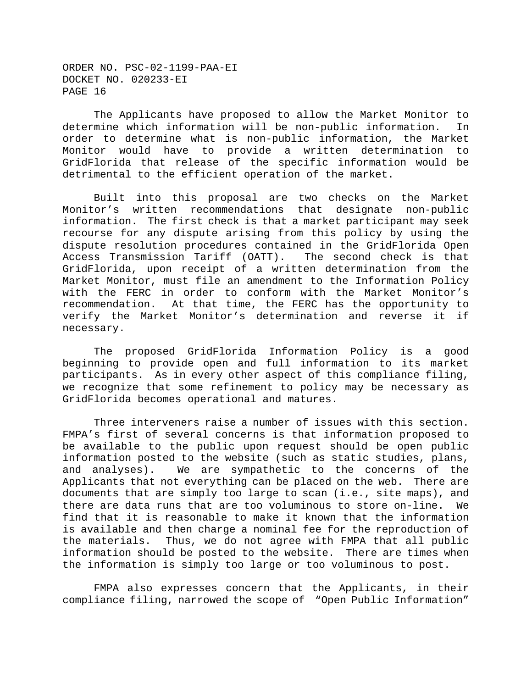The Applicants have proposed to allow the Market Monitor to determine which information will be non-public information. In order to determine what is non-public information, the Market Monitor would have to provide a written determination to GridFlorida that release of the specific information would be detrimental to the efficient operation of the market.

Built into this proposal are two checks on the Market Monitor's written recommendations that designate non-public information. The first check is that a market participant may seek recourse for any dispute arising from this policy by using the dispute resolution procedures contained in the GridFlorida Open Access Transmission Tariff (OATT). The second check is that GridFlorida, upon receipt of a written determination from the Market Monitor, must file an amendment to the Information Policy with the FERC in order to conform with the Market Monitor's recommendation. At that time, the FERC has the opportunity to verify the Market Monitor's determination and reverse it if necessary.

The proposed GridFlorida Information Policy is a good beginning to provide open and full information to its market participants. As in every other aspect of this compliance filing, we recognize that some refinement to policy may be necessary as GridFlorida becomes operational and matures.

Three interveners raise a number of issues with this section. FMPA's first of several concerns is that information proposed to be available to the public upon request should be open public information posted to the website (such as static studies, plans, and analyses). We are sympathetic to the concerns of the Applicants that not everything can be placed on the web. There are documents that are simply too large to scan (i.e., site maps), and there are data runs that are too voluminous to store on-line. We find that it is reasonable to make it known that the information is available and then charge a nominal fee for the reproduction of the materials. Thus, we do not agree with FMPA that all public information should be posted to the website. There are times when the information is simply too large or too voluminous to post.

FMPA also expresses concern that the Applicants, in their compliance filing, narrowed the scope of "Open Public Information"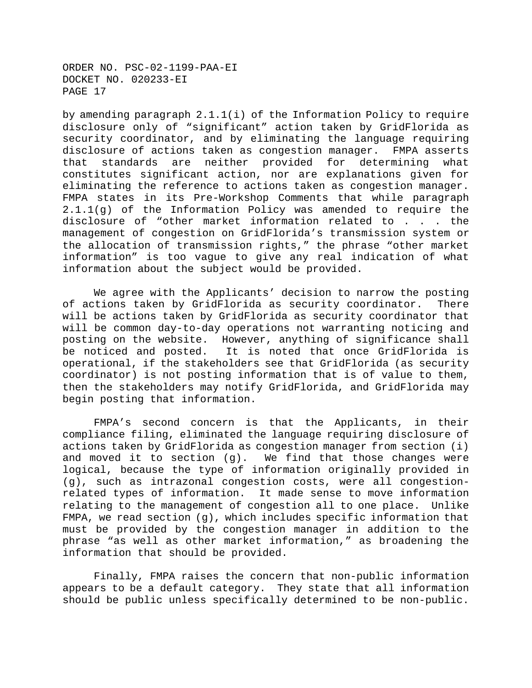by amending paragraph 2.1.1(i) of the Information Policy to require disclosure only of "significant" action taken by GridFlorida as security coordinator, and by eliminating the language requiring disclosure of actions taken as congestion manager. FMPA asserts that standards are neither provided for determining what constitutes significant action, nor are explanations given for eliminating the reference to actions taken as congestion manager. FMPA states in its Pre-Workshop Comments that while paragraph 2.1.1(g) of the Information Policy was amended to require the disclosure of "other market information related to . . . the management of congestion on GridFlorida's transmission system or the allocation of transmission rights," the phrase "other market information" is too vague to give any real indication of what information about the subject would be provided.

We agree with the Applicants' decision to narrow the posting of actions taken by GridFlorida as security coordinator. There will be actions taken by GridFlorida as security coordinator that will be common day-to-day operations not warranting noticing and posting on the website. However, anything of significance shall be noticed and posted. It is noted that once GridFlorida is operational, if the stakeholders see that GridFlorida (as security coordinator) is not posting information that is of value to them, then the stakeholders may notify GridFlorida, and GridFlorida may begin posting that information.

FMPA's second concern is that the Applicants, in their compliance filing, eliminated the language requiring disclosure of actions taken by GridFlorida as congestion manager from section (i) and moved it to section (g). We find that those changes were logical, because the type of information originally provided in (g), such as intrazonal congestion costs, were all congestionrelated types of information. It made sense to move information relating to the management of congestion all to one place. Unlike FMPA, we read section (g), which includes specific information that must be provided by the congestion manager in addition to the phrase "as well as other market information," as broadening the information that should be provided.

Finally, FMPA raises the concern that non-public information appears to be a default category. They state that all information should be public unless specifically determined to be non-public.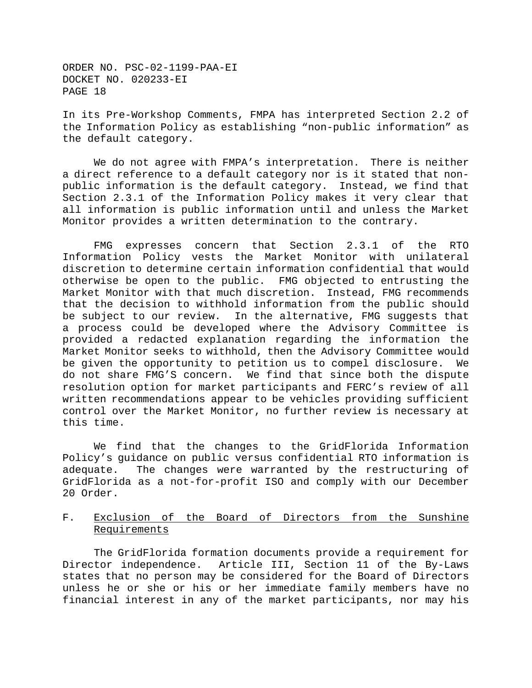In its Pre-Workshop Comments, FMPA has interpreted Section 2.2 of the Information Policy as establishing "non-public information" as the default category.

We do not agree with FMPA's interpretation. There is neither a direct reference to a default category nor is it stated that nonpublic information is the default category. Instead, we find that Section 2.3.1 of the Information Policy makes it very clear that all information is public information until and unless the Market Monitor provides a written determination to the contrary.

FMG expresses concern that Section 2.3.1 of the RTO Information Policy vests the Market Monitor with unilateral discretion to determine certain information confidential that would otherwise be open to the public. FMG objected to entrusting the Market Monitor with that much discretion. Instead, FMG recommends that the decision to withhold information from the public should be subject to our review. In the alternative, FMG suggests that a process could be developed where the Advisory Committee is provided a redacted explanation regarding the information the Market Monitor seeks to withhold, then the Advisory Committee would be given the opportunity to petition us to compel disclosure. We do not share FMG'S concern. We find that since both the dispute resolution option for market participants and FERC's review of all written recommendations appear to be vehicles providing sufficient control over the Market Monitor, no further review is necessary at this time.

We find that the changes to the GridFlorida Information Policy's guidance on public versus confidential RTO information is adequate. The changes were warranted by the restructuring of GridFlorida as a not-for-profit ISO and comply with our December 20 Order.

## F. Exclusion of the Board of Directors from the Sunshine Requirements

The GridFlorida formation documents provide a requirement for Director independence. Article III, Section 11 of the By-Laws states that no person may be considered for the Board of Directors unless he or she or his or her immediate family members have no financial interest in any of the market participants, nor may his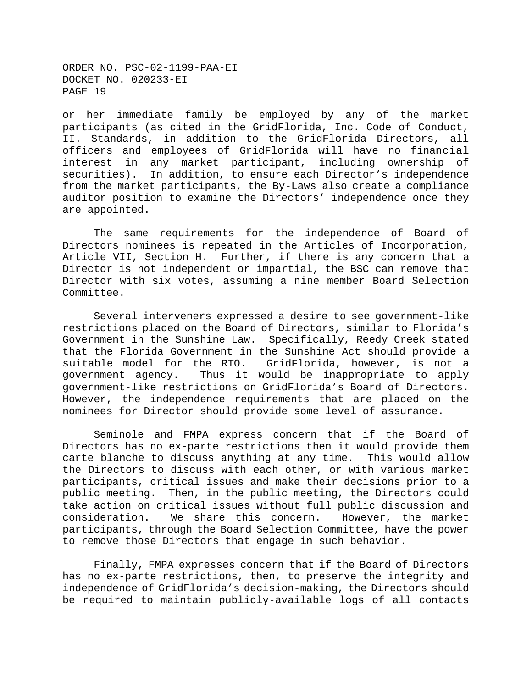or her immediate family be employed by any of the market participants (as cited in the GridFlorida, Inc. Code of Conduct, II. Standards, in addition to the GridFlorida Directors, all officers and employees of GridFlorida will have no financial interest in any market participant, including ownership of securities). In addition, to ensure each Director's independence from the market participants, the By-Laws also create a compliance auditor position to examine the Directors' independence once they are appointed.

The same requirements for the independence of Board of Directors nominees is repeated in the Articles of Incorporation, Article VII, Section H. Further, if there is any concern that a Director is not independent or impartial, the BSC can remove that Director with six votes, assuming a nine member Board Selection Committee.

Several interveners expressed a desire to see government-like restrictions placed on the Board of Directors, similar to Florida's Government in the Sunshine Law. Specifically, Reedy Creek stated that the Florida Government in the Sunshine Act should provide a suitable model for the RTO. GridFlorida, however, is not a government agency. Thus it would be inappropriate to apply government-like restrictions on GridFlorida's Board of Directors. However, the independence requirements that are placed on the nominees for Director should provide some level of assurance.

Seminole and FMPA express concern that if the Board of Directors has no ex-parte restrictions then it would provide them carte blanche to discuss anything at any time. This would allow the Directors to discuss with each other, or with various market participants, critical issues and make their decisions prior to a public meeting. Then, in the public meeting, the Directors could take action on critical issues without full public discussion and consideration. We share this concern. However, the market participants, through the Board Selection Committee, have the power to remove those Directors that engage in such behavior.

Finally, FMPA expresses concern that if the Board of Directors has no ex-parte restrictions, then, to preserve the integrity and independence of GridFlorida's decision-making, the Directors should be required to maintain publicly-available logs of all contacts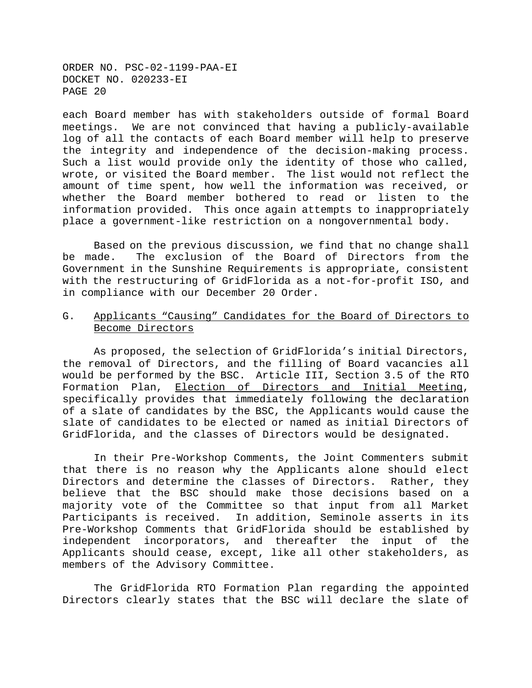each Board member has with stakeholders outside of formal Board meetings. We are not convinced that having a publicly-available log of all the contacts of each Board member will help to preserve the integrity and independence of the decision-making process. Such a list would provide only the identity of those who called, wrote, or visited the Board member. The list would not reflect the amount of time spent, how well the information was received, or whether the Board member bothered to read or listen to the information provided. This once again attempts to inappropriately place a government-like restriction on a nongovernmental body.

Based on the previous discussion, we find that no change shall be made. The exclusion of the Board of Directors from the Government in the Sunshine Requirements is appropriate, consistent with the restructuring of GridFlorida as a not-for-profit ISO, and in compliance with our December 20 Order.

## G. Applicants "Causing" Candidates for the Board of Directors to Become Directors

As proposed, the selection of GridFlorida's initial Directors, the removal of Directors, and the filling of Board vacancies all would be performed by the BSC. Article III, Section 3.5 of the RTO Formation Plan, Election of Directors and Initial Meeting, specifically provides that immediately following the declaration of a slate of candidates by the BSC, the Applicants would cause the slate of candidates to be elected or named as initial Directors of GridFlorida, and the classes of Directors would be designated.

In their Pre-Workshop Comments, the Joint Commenters submit that there is no reason why the Applicants alone should elect Directors and determine the classes of Directors. Rather, they believe that the BSC should make those decisions based on a majority vote of the Committee so that input from all Market Participants is received. In addition, Seminole asserts in its Pre-Workshop Comments that GridFlorida should be established by independent incorporators, and thereafter the input of the Applicants should cease, except, like all other stakeholders, as members of the Advisory Committee.

The GridFlorida RTO Formation Plan regarding the appointed Directors clearly states that the BSC will declare the slate of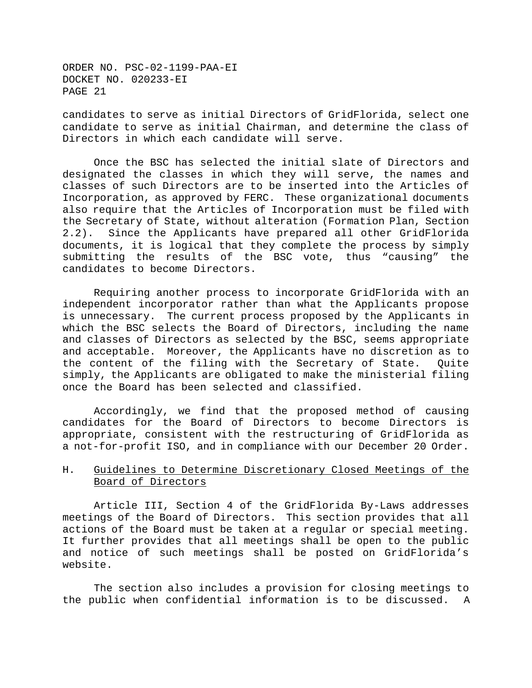candidates to serve as initial Directors of GridFlorida, select one candidate to serve as initial Chairman, and determine the class of Directors in which each candidate will serve.

Once the BSC has selected the initial slate of Directors and designated the classes in which they will serve, the names and classes of such Directors are to be inserted into the Articles of Incorporation, as approved by FERC. These organizational documents also require that the Articles of Incorporation must be filed with the Secretary of State, without alteration (Formation Plan, Section 2.2). Since the Applicants have prepared all other GridFlorida documents, it is logical that they complete the process by simply submitting the results of the BSC vote, thus "causing" the candidates to become Directors.

Requiring another process to incorporate GridFlorida with an independent incorporator rather than what the Applicants propose is unnecessary. The current process proposed by the Applicants in which the BSC selects the Board of Directors, including the name and classes of Directors as selected by the BSC, seems appropriate and acceptable. Moreover, the Applicants have no discretion as to the content of the filing with the Secretary of State. Quite simply, the Applicants are obligated to make the ministerial filing once the Board has been selected and classified.

Accordingly, we find that the proposed method of causing candidates for the Board of Directors to become Directors is appropriate, consistent with the restructuring of GridFlorida as a not-for-profit ISO, and in compliance with our December 20 Order.

## H. Guidelines to Determine Discretionary Closed Meetings of the Board of Directors

Article III, Section 4 of the GridFlorida By-Laws addresses meetings of the Board of Directors. This section provides that all actions of the Board must be taken at a regular or special meeting. It further provides that all meetings shall be open to the public and notice of such meetings shall be posted on GridFlorida's website.

The section also includes a provision for closing meetings to the public when confidential information is to be discussed. A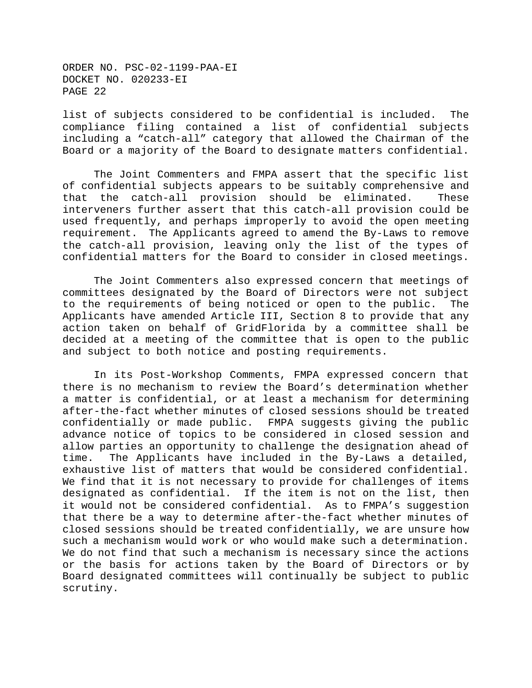list of subjects considered to be confidential is included. The compliance filing contained a list of confidential subjects including a "catch-all" category that allowed the Chairman of the Board or a majority of the Board to designate matters confidential.

The Joint Commenters and FMPA assert that the specific list of confidential subjects appears to be suitably comprehensive and that the catch-all provision should be eliminated. These interveners further assert that this catch-all provision could be used frequently, and perhaps improperly to avoid the open meeting requirement. The Applicants agreed to amend the By-Laws to remove the catch-all provision, leaving only the list of the types of confidential matters for the Board to consider in closed meetings.

The Joint Commenters also expressed concern that meetings of committees designated by the Board of Directors were not subject to the requirements of being noticed or open to the public. The Applicants have amended Article III, Section 8 to provide that any action taken on behalf of GridFlorida by a committee shall be decided at a meeting of the committee that is open to the public and subject to both notice and posting requirements.

In its Post-Workshop Comments, FMPA expressed concern that there is no mechanism to review the Board's determination whether a matter is confidential, or at least a mechanism for determining after-the-fact whether minutes of closed sessions should be treated confidentially or made public. FMPA suggests giving the public advance notice of topics to be considered in closed session and allow parties an opportunity to challenge the designation ahead of time. The Applicants have included in the By-Laws a detailed, exhaustive list of matters that would be considered confidential. We find that it is not necessary to provide for challenges of items designated as confidential. If the item is not on the list, then it would not be considered confidential. As to FMPA's suggestion that there be a way to determine after-the-fact whether minutes of closed sessions should be treated confidentially, we are unsure how such a mechanism would work or who would make such a determination. We do not find that such a mechanism is necessary since the actions or the basis for actions taken by the Board of Directors or by Board designated committees will continually be subject to public scrutiny.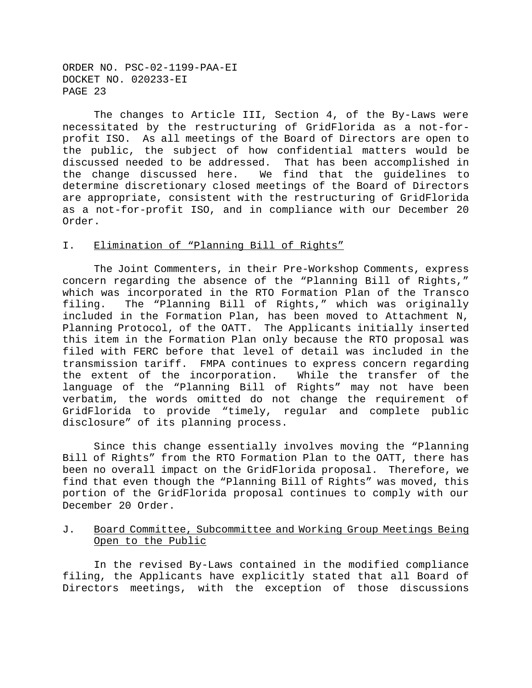The changes to Article III, Section 4, of the By-Laws were necessitated by the restructuring of GridFlorida as a not-forprofit ISO. As all meetings of the Board of Directors are open to the public, the subject of how confidential matters would be discussed needed to be addressed. That has been accomplished in the change discussed here. We find that the guidelines to determine discretionary closed meetings of the Board of Directors are appropriate, consistent with the restructuring of GridFlorida as a not-for-profit ISO, and in compliance with our December 20 Order.

#### I. Elimination of "Planning Bill of Rights"

The Joint Commenters, in their Pre-Workshop Comments, express concern regarding the absence of the "Planning Bill of Rights," which was incorporated in the RTO Formation Plan of the Transco filing. The "Planning Bill of Rights," which was originally included in the Formation Plan, has been moved to Attachment N, Planning Protocol, of the OATT. The Applicants initially inserted this item in the Formation Plan only because the RTO proposal was filed with FERC before that level of detail was included in the transmission tariff. FMPA continues to express concern regarding the extent of the incorporation. While the transfer of the language of the "Planning Bill of Rights" may not have been verbatim, the words omitted do not change the requirement of GridFlorida to provide "timely, regular and complete public disclosure" of its planning process.

Since this change essentially involves moving the "Planning Bill of Rights" from the RTO Formation Plan to the OATT, there has been no overall impact on the GridFlorida proposal. Therefore, we find that even though the "Planning Bill of Rights" was moved, this portion of the GridFlorida proposal continues to comply with our December 20 Order.

## J. Board Committee, Subcommittee and Working Group Meetings Being Open to the Public

In the revised By-Laws contained in the modified compliance filing, the Applicants have explicitly stated that all Board of Directors meetings, with the exception of those discussions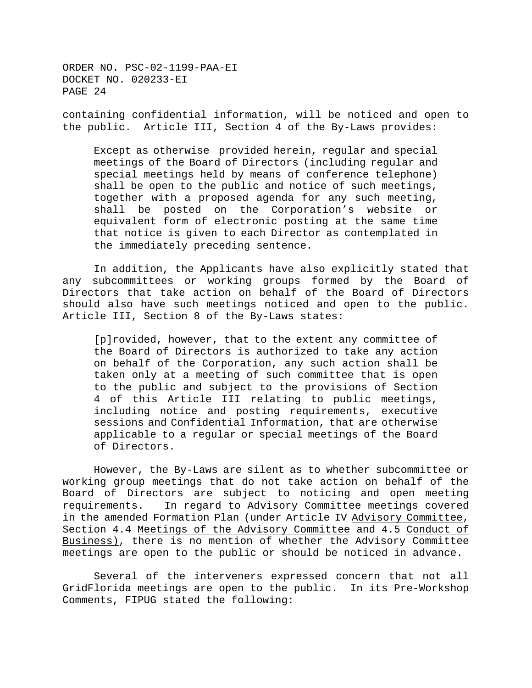containing confidential information, will be noticed and open to the public. Article III, Section 4 of the By-Laws provides:

Except as otherwise provided herein, regular and special meetings of the Board of Directors (including regular and special meetings held by means of conference telephone) shall be open to the public and notice of such meetings, together with a proposed agenda for any such meeting, shall be posted on the Corporation's website or equivalent form of electronic posting at the same time that notice is given to each Director as contemplated in the immediately preceding sentence.

In addition, the Applicants have also explicitly stated that any subcommittees or working groups formed by the Board of Directors that take action on behalf of the Board of Directors should also have such meetings noticed and open to the public. Article III, Section 8 of the By-Laws states:

[p]rovided, however, that to the extent any committee of the Board of Directors is authorized to take any action on behalf of the Corporation, any such action shall be taken only at a meeting of such committee that is open to the public and subject to the provisions of Section 4 of this Article III relating to public meetings, including notice and posting requirements, executive sessions and Confidential Information, that are otherwise applicable to a regular or special meetings of the Board of Directors.

However, the By-Laws are silent as to whether subcommittee or working group meetings that do not take action on behalf of the Board of Directors are subject to noticing and open meeting requirements. In regard to Advisory Committee meetings covered in the amended Formation Plan (under Article IV Advisory Committee, Section 4.4 Meetings of the Advisory Committee and 4.5 Conduct of Business), there is no mention of whether the Advisory Committee meetings are open to the public or should be noticed in advance.

Several of the interveners expressed concern that not all GridFlorida meetings are open to the public. In its Pre-Workshop Comments, FIPUG stated the following: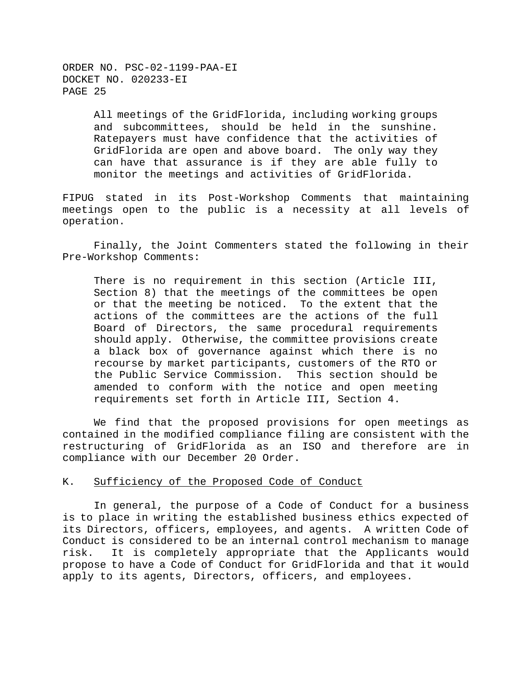> All meetings of the GridFlorida, including working groups and subcommittees, should be held in the sunshine. Ratepayers must have confidence that the activities of GridFlorida are open and above board. The only way they can have that assurance is if they are able fully to monitor the meetings and activities of GridFlorida.

FIPUG stated in its Post-Workshop Comments that maintaining meetings open to the public is a necessity at all levels of operation.

Finally, the Joint Commenters stated the following in their Pre-Workshop Comments:

There is no requirement in this section (Article III, Section 8) that the meetings of the committees be open or that the meeting be noticed. To the extent that the actions of the committees are the actions of the full Board of Directors, the same procedural requirements should apply. Otherwise, the committee provisions create a black box of governance against which there is no recourse by market participants, customers of the RTO or the Public Service Commission. This section should be amended to conform with the notice and open meeting requirements set forth in Article III, Section 4.

We find that the proposed provisions for open meetings as contained in the modified compliance filing are consistent with the restructuring of GridFlorida as an ISO and therefore are in compliance with our December 20 Order.

#### K. Sufficiency of the Proposed Code of Conduct

In general, the purpose of a Code of Conduct for a business is to place in writing the established business ethics expected of its Directors, officers, employees, and agents. A written Code of Conduct is considered to be an internal control mechanism to manage risk. It is completely appropriate that the Applicants would propose to have a Code of Conduct for GridFlorida and that it would apply to its agents, Directors, officers, and employees.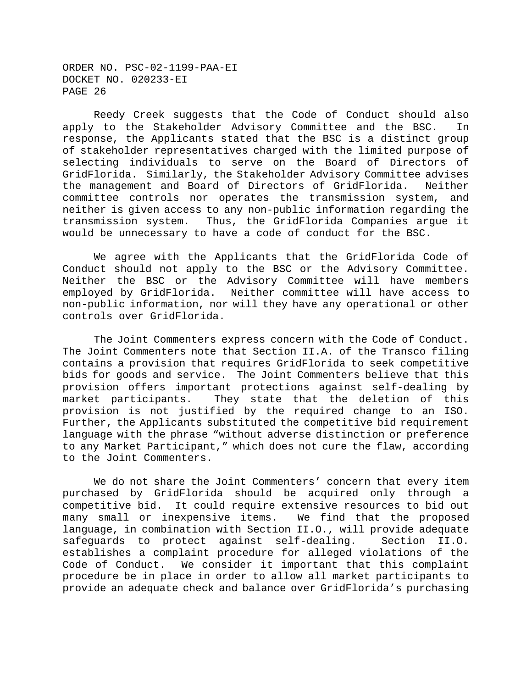Reedy Creek suggests that the Code of Conduct should also apply to the Stakeholder Advisory Committee and the BSC. In response, the Applicants stated that the BSC is a distinct group of stakeholder representatives charged with the limited purpose of selecting individuals to serve on the Board of Directors of GridFlorida. Similarly, the Stakeholder Advisory Committee advises the management and Board of Directors of GridFlorida. Neither committee controls nor operates the transmission system, and neither is given access to any non-public information regarding the transmission system. Thus, the GridFlorida Companies argue it would be unnecessary to have a code of conduct for the BSC.

We agree with the Applicants that the GridFlorida Code of Conduct should not apply to the BSC or the Advisory Committee. Neither the BSC or the Advisory Committee will have members employed by GridFlorida. Neither committee will have access to non-public information, nor will they have any operational or other controls over GridFlorida.

The Joint Commenters express concern with the Code of Conduct. The Joint Commenters note that Section II.A. of the Transco filing contains a provision that requires GridFlorida to seek competitive bids for goods and service. The Joint Commenters believe that this provision offers important protections against self-dealing by market participants. They state that the deletion of this provision is not justified by the required change to an ISO. Further, the Applicants substituted the competitive bid requirement language with the phrase "without adverse distinction or preference to any Market Participant," which does not cure the flaw, according to the Joint Commenters.

We do not share the Joint Commenters' concern that every item purchased by GridFlorida should be acquired only through a competitive bid. It could require extensive resources to bid out many small or inexpensive items. We find that the proposed language, in combination with Section II.O., will provide adequate safeguards to protect against self-dealing. Section II.O. establishes a complaint procedure for alleged violations of the Code of Conduct. We consider it important that this complaint procedure be in place in order to allow all market participants to provide an adequate check and balance over GridFlorida's purchasing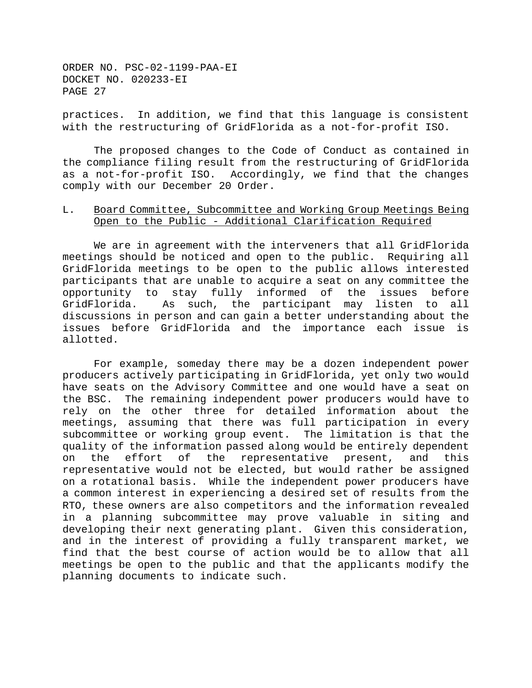practices. In addition, we find that this language is consistent with the restructuring of GridFlorida as a not-for-profit ISO.

The proposed changes to the Code of Conduct as contained in the compliance filing result from the restructuring of GridFlorida as a not-for-profit ISO. Accordingly, we find that the changes comply with our December 20 Order.

### L. Board Committee, Subcommittee and Working Group Meetings Being Open to the Public - Additional Clarification Required

We are in agreement with the interveners that all GridFlorida meetings should be noticed and open to the public. Requiring all GridFlorida meetings to be open to the public allows interested participants that are unable to acquire a seat on any committee the opportunity to stay fully informed of the issues before GridFlorida. As such, the participant may listen to all discussions in person and can gain a better understanding about the issues before GridFlorida and the importance each issue is allotted.

For example, someday there may be a dozen independent power producers actively participating in GridFlorida, yet only two would have seats on the Advisory Committee and one would have a seat on the BSC. The remaining independent power producers would have to rely on the other three for detailed information about the meetings, assuming that there was full participation in every subcommittee or working group event. The limitation is that the quality of the information passed along would be entirely dependent on the effort of the representative present, and this representative would not be elected, but would rather be assigned on a rotational basis. While the independent power producers have a common interest in experiencing a desired set of results from the RTO, these owners are also competitors and the information revealed in a planning subcommittee may prove valuable in siting and developing their next generating plant. Given this consideration, and in the interest of providing a fully transparent market, we find that the best course of action would be to allow that all meetings be open to the public and that the applicants modify the planning documents to indicate such.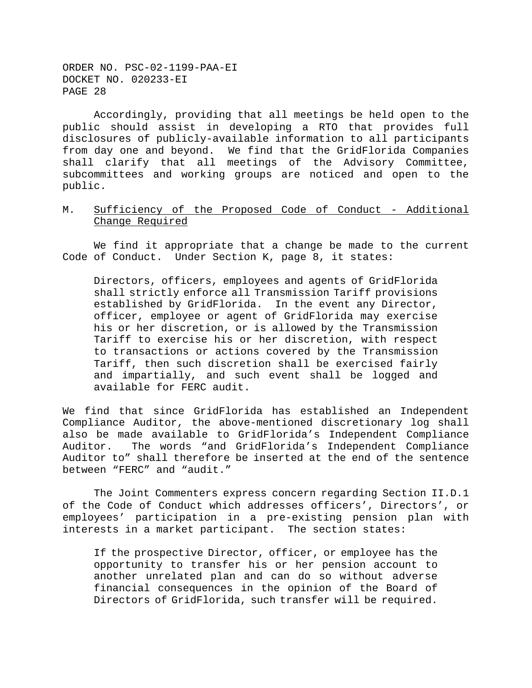Accordingly, providing that all meetings be held open to the public should assist in developing a RTO that provides full disclosures of publicly-available information to all participants from day one and beyond. We find that the GridFlorida Companies shall clarify that all meetings of the Advisory Committee, subcommittees and working groups are noticed and open to the public.

## M. Sufficiency of the Proposed Code of Conduct - Additional Change Required

We find it appropriate that a change be made to the current Code of Conduct. Under Section K, page 8, it states:

Directors, officers, employees and agents of GridFlorida shall strictly enforce all Transmission Tariff provisions established by GridFlorida. In the event any Director, officer, employee or agent of GridFlorida may exercise his or her discretion, or is allowed by the Transmission Tariff to exercise his or her discretion, with respect to transactions or actions covered by the Transmission Tariff, then such discretion shall be exercised fairly and impartially, and such event shall be logged and available for FERC audit.

We find that since GridFlorida has established an Independent Compliance Auditor, the above-mentioned discretionary log shall also be made available to GridFlorida's Independent Compliance Auditor. The words "and GridFlorida's Independent Compliance Auditor to" shall therefore be inserted at the end of the sentence between "FERC" and "audit."

The Joint Commenters express concern regarding Section II.D.1 of the Code of Conduct which addresses officers', Directors', or employees' participation in a pre-existing pension plan with interests in a market participant. The section states:

If the prospective Director, officer, or employee has the opportunity to transfer his or her pension account to another unrelated plan and can do so without adverse financial consequences in the opinion of the Board of Directors of GridFlorida, such transfer will be required.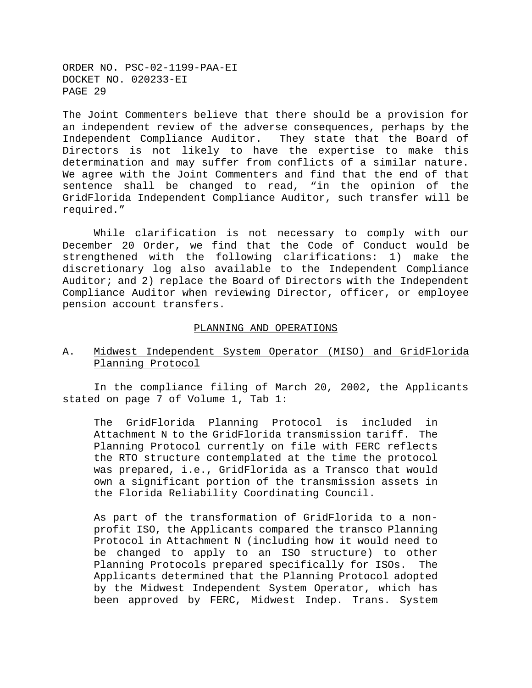The Joint Commenters believe that there should be a provision for an independent review of the adverse consequences, perhaps by the Independent Compliance Auditor. They state that the Board of Directors is not likely to have the expertise to make this determination and may suffer from conflicts of a similar nature. We agree with the Joint Commenters and find that the end of that sentence shall be changed to read, "in the opinion of the GridFlorida Independent Compliance Auditor, such transfer will be required."

While clarification is not necessary to comply with our December 20 Order, we find that the Code of Conduct would be strengthened with the following clarifications: 1) make the discretionary log also available to the Independent Compliance Auditor; and 2) replace the Board of Directors with the Independent Compliance Auditor when reviewing Director, officer, or employee pension account transfers.

#### PLANNING AND OPERATIONS

A. Midwest Independent System Operator (MISO) and GridFlorida Planning Protocol

In the compliance filing of March 20, 2002, the Applicants stated on page 7 of Volume 1, Tab 1:

The GridFlorida Planning Protocol is included in Attachment N to the GridFlorida transmission tariff. The Planning Protocol currently on file with FERC reflects the RTO structure contemplated at the time the protocol was prepared, i.e., GridFlorida as a Transco that would own a significant portion of the transmission assets in the Florida Reliability Coordinating Council.

As part of the transformation of GridFlorida to a nonprofit ISO, the Applicants compared the transco Planning Protocol in Attachment N (including how it would need to be changed to apply to an ISO structure) to other Planning Protocols prepared specifically for ISOs. The Applicants determined that the Planning Protocol adopted by the Midwest Independent System Operator, which has been approved by FERC, Midwest Indep. Trans. System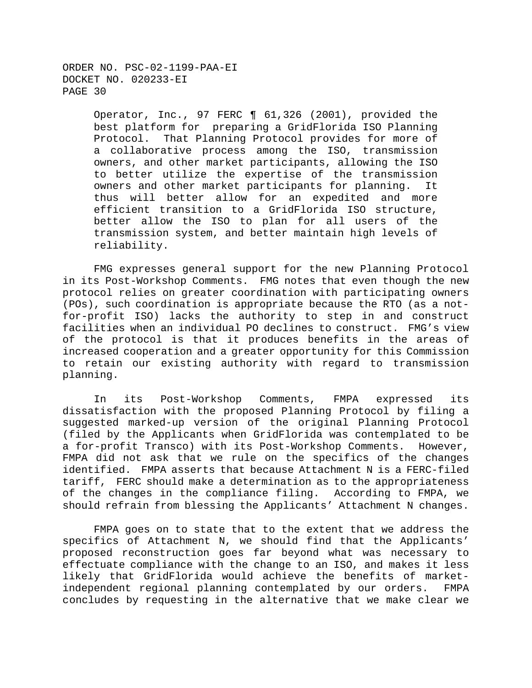> Operator, Inc., 97 FERC ¶ 61,326 (2001), provided the best platform for preparing a GridFlorida ISO Planning Protocol. That Planning Protocol provides for more of a collaborative process among the ISO, transmission owners, and other market participants, allowing the ISO to better utilize the expertise of the transmission owners and other market participants for planning. It thus will better allow for an expedited and more efficient transition to a GridFlorida ISO structure, better allow the ISO to plan for all users of the transmission system, and better maintain high levels of reliability.

FMG expresses general support for the new Planning Protocol in its Post-Workshop Comments. FMG notes that even though the new protocol relies on greater coordination with participating owners (POs), such coordination is appropriate because the RTO (as a notfor-profit ISO) lacks the authority to step in and construct facilities when an individual PO declines to construct. FMG's view of the protocol is that it produces benefits in the areas of increased cooperation and a greater opportunity for this Commission to retain our existing authority with regard to transmission planning.

In its Post-Workshop Comments, FMPA expressed its dissatisfaction with the proposed Planning Protocol by filing a suggested marked-up version of the original Planning Protocol (filed by the Applicants when GridFlorida was contemplated to be a for-profit Transco) with its Post-Workshop Comments. However, FMPA did not ask that we rule on the specifics of the changes identified. FMPA asserts that because Attachment N is a FERC-filed tariff, FERC should make a determination as to the appropriateness of the changes in the compliance filing. According to FMPA, we should refrain from blessing the Applicants' Attachment N changes.

FMPA goes on to state that to the extent that we address the specifics of Attachment N, we should find that the Applicants' proposed reconstruction goes far beyond what was necessary to effectuate compliance with the change to an ISO, and makes it less likely that GridFlorida would achieve the benefits of marketindependent regional planning contemplated by our orders. FMPA concludes by requesting in the alternative that we make clear we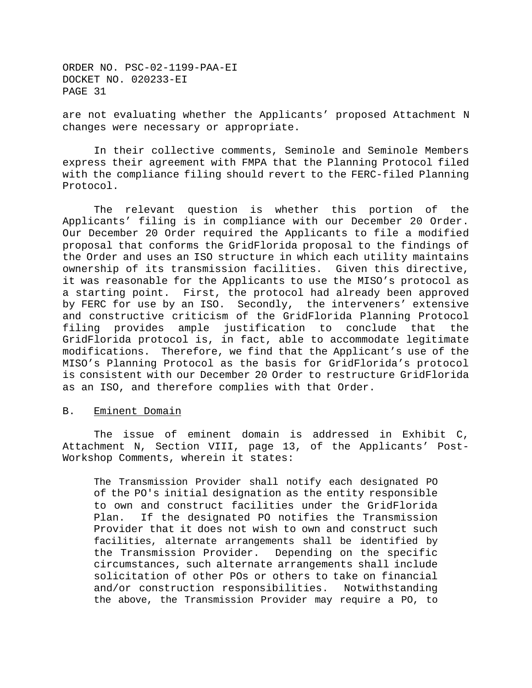are not evaluating whether the Applicants' proposed Attachment N changes were necessary or appropriate.

In their collective comments, Seminole and Seminole Members express their agreement with FMPA that the Planning Protocol filed with the compliance filing should revert to the FERC-filed Planning Protocol.

The relevant question is whether this portion of the Applicants' filing is in compliance with our December 20 Order. Our December 20 Order required the Applicants to file a modified proposal that conforms the GridFlorida proposal to the findings of the Order and uses an ISO structure in which each utility maintains ownership of its transmission facilities. Given this directive, it was reasonable for the Applicants to use the MISO's protocol as a starting point. First, the protocol had already been approved by FERC for use by an ISO. Secondly, the interveners' extensive and constructive criticism of the GridFlorida Planning Protocol filing provides ample justification to conclude that the GridFlorida protocol is, in fact, able to accommodate legitimate modifications. Therefore, we find that the Applicant's use of the MISO's Planning Protocol as the basis for GridFlorida's protocol is consistent with our December 20 Order to restructure GridFlorida as an ISO, and therefore complies with that Order.

#### B. Eminent Domain

The issue of eminent domain is addressed in Exhibit C, Attachment N, Section VIII, page 13, of the Applicants' Post-Workshop Comments, wherein it states:

The Transmission Provider shall notify each designated PO of the PO's initial designation as the entity responsible to own and construct facilities under the GridFlorida Plan. If the designated PO notifies the Transmission Provider that it does not wish to own and construct such facilities, alternate arrangements shall be identified by the Transmission Provider. Depending on the specific circumstances, such alternate arrangements shall include solicitation of other POs or others to take on financial and/or construction responsibilities. Notwithstanding the above, the Transmission Provider may require a PO, to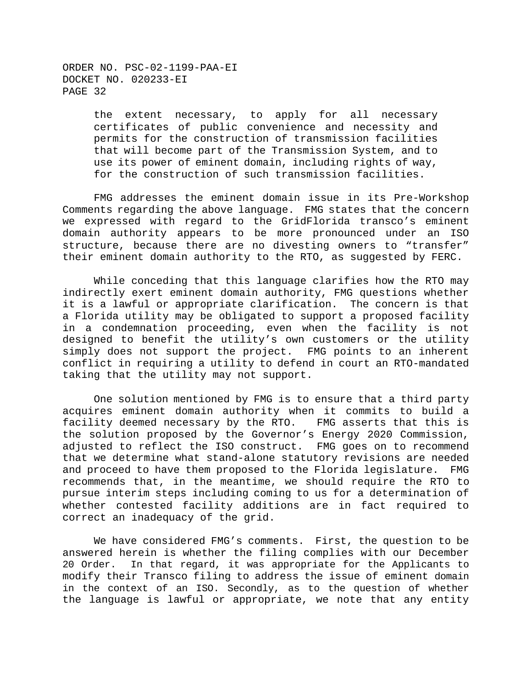> the extent necessary, to apply for all necessary certificates of public convenience and necessity and permits for the construction of transmission facilities that will become part of the Transmission System, and to use its power of eminent domain, including rights of way, for the construction of such transmission facilities.

FMG addresses the eminent domain issue in its Pre-Workshop Comments regarding the above language. FMG states that the concern we expressed with regard to the GridFlorida transco's eminent domain authority appears to be more pronounced under an ISO structure, because there are no divesting owners to "transfer" their eminent domain authority to the RTO, as suggested by FERC.

While conceding that this language clarifies how the RTO may indirectly exert eminent domain authority, FMG questions whether it is a lawful or appropriate clarification. The concern is that a Florida utility may be obligated to support a proposed facility in a condemnation proceeding, even when the facility is not designed to benefit the utility's own customers or the utility simply does not support the project. FMG points to an inherent conflict in requiring a utility to defend in court an RTO-mandated taking that the utility may not support.

One solution mentioned by FMG is to ensure that a third party acquires eminent domain authority when it commits to build a facility deemed necessary by the RTO. FMG asserts that this is the solution proposed by the Governor's Energy 2020 Commission, adjusted to reflect the ISO construct. FMG goes on to recommend that we determine what stand-alone statutory revisions are needed and proceed to have them proposed to the Florida legislature. FMG recommends that, in the meantime, we should require the RTO to pursue interim steps including coming to us for a determination of whether contested facility additions are in fact required to correct an inadequacy of the grid.

We have considered FMG's comments. First, the question to be answered herein is whether the filing complies with our December 20 Order. In that regard, it was appropriate for the Applicants to modify their Transco filing to address the issue of eminent domain in the context of an ISO. Secondly, as to the question of whether the language is lawful or appropriate, we note that any entity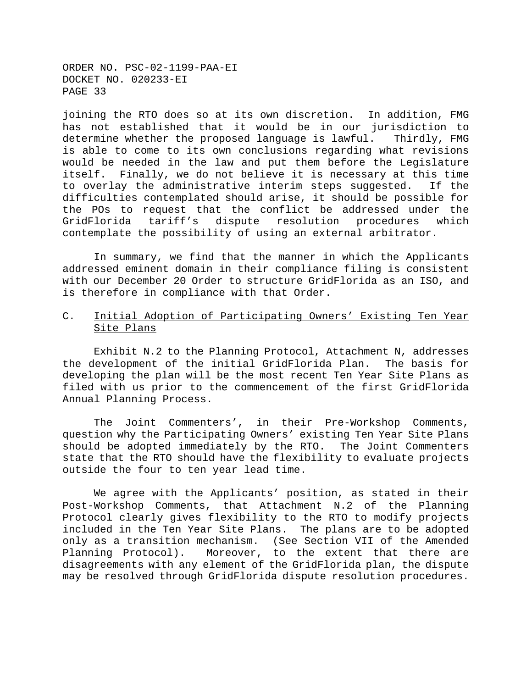joining the RTO does so at its own discretion. In addition, FMG has not established that it would be in our jurisdiction to determine whether the proposed language is lawful. Thirdly, FMG is able to come to its own conclusions regarding what revisions would be needed in the law and put them before the Legislature itself. Finally, we do not believe it is necessary at this time to overlay the administrative interim steps suggested. If the difficulties contemplated should arise, it should be possible for the POs to request that the conflict be addressed under the GridFlorida tariff's dispute resolution procedures which contemplate the possibility of using an external arbitrator.

In summary, we find that the manner in which the Applicants addressed eminent domain in their compliance filing is consistent with our December 20 Order to structure GridFlorida as an ISO, and is therefore in compliance with that Order.

## C. Initial Adoption of Participating Owners' Existing Ten Year Site Plans

Exhibit N.2 to the Planning Protocol, Attachment N, addresses the development of the initial GridFlorida Plan. The basis for developing the plan will be the most recent Ten Year Site Plans as filed with us prior to the commencement of the first GridFlorida Annual Planning Process.

The Joint Commenters', in their Pre-Workshop Comments, question why the Participating Owners' existing Ten Year Site Plans should be adopted immediately by the RTO. The Joint Commenters state that the RTO should have the flexibility to evaluate projects outside the four to ten year lead time.

We agree with the Applicants' position, as stated in their Post-Workshop Comments, that Attachment N.2 of the Planning Protocol clearly gives flexibility to the RTO to modify projects included in the Ten Year Site Plans. The plans are to be adopted only as a transition mechanism. (See Section VII of the Amended Planning Protocol). Moreover, to the extent that there are disagreements with any element of the GridFlorida plan, the dispute may be resolved through GridFlorida dispute resolution procedures.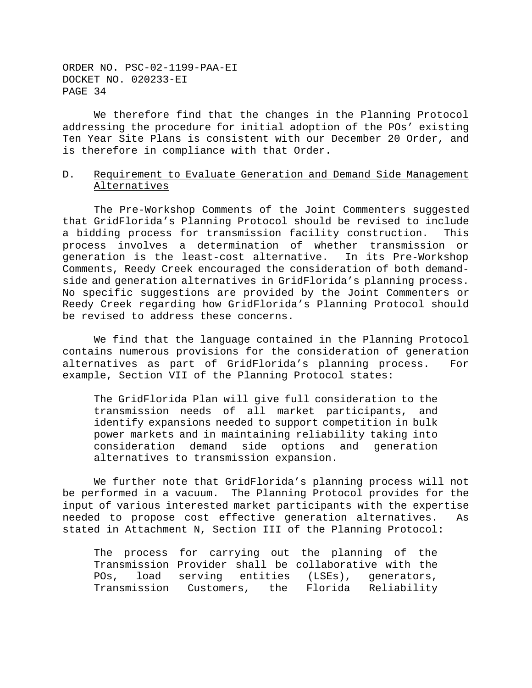We therefore find that the changes in the Planning Protocol addressing the procedure for initial adoption of the POs' existing Ten Year Site Plans is consistent with our December 20 Order, and is therefore in compliance with that Order.

# D. Requirement to Evaluate Generation and Demand Side Management Alternatives

The Pre-Workshop Comments of the Joint Commenters suggested that GridFlorida's Planning Protocol should be revised to include a bidding process for transmission facility construction. This process involves a determination of whether transmission or generation is the least-cost alternative. In its Pre-Workshop Comments, Reedy Creek encouraged the consideration of both demandside and generation alternatives in GridFlorida's planning process. No specific suggestions are provided by the Joint Commenters or Reedy Creek regarding how GridFlorida's Planning Protocol should be revised to address these concerns.

We find that the language contained in the Planning Protocol contains numerous provisions for the consideration of generation alternatives as part of GridFlorida's planning process. For example, Section VII of the Planning Protocol states:

The GridFlorida Plan will give full consideration to the transmission needs of all market participants, and identify expansions needed to support competition in bulk power markets and in maintaining reliability taking into consideration demand side options and generation alternatives to transmission expansion.

We further note that GridFlorida's planning process will not be performed in a vacuum. The Planning Protocol provides for the input of various interested market participants with the expertise needed to propose cost effective generation alternatives. As stated in Attachment N, Section III of the Planning Protocol:

The process for carrying out the planning of the Transmission Provider shall be collaborative with the POs, load serving entities (LSEs), generators, Transmission Customers, the Florida Reliability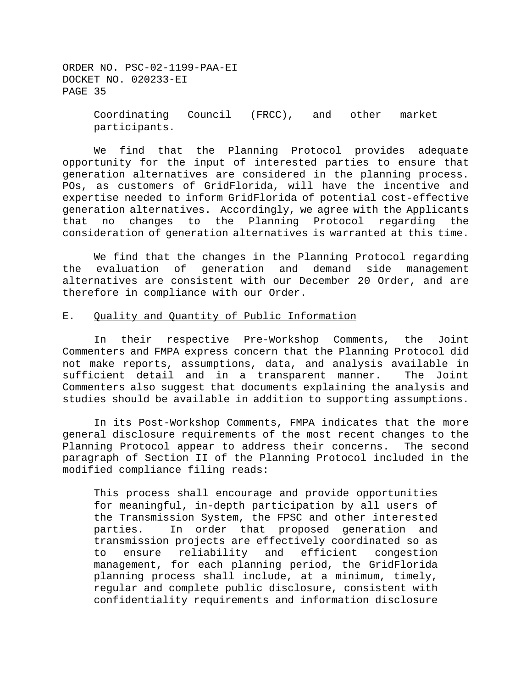ORDER NO. PSC-02-1199-PAA-EI DOCKET NO. 020233-EI PAGE 35 Coordinating Council (FRCC), and other market

We find that the Planning Protocol provides adequate opportunity for the input of interested parties to ensure that generation alternatives are considered in the planning process. POs, as customers of GridFlorida, will have the incentive and expertise needed to inform GridFlorida of potential cost-effective generation alternatives. Accordingly, we agree with the Applicants that no changes to the Planning Protocol regarding the consideration of generation alternatives is warranted at this time.

We find that the changes in the Planning Protocol regarding the evaluation of generation and demand side management alternatives are consistent with our December 20 Order, and are therefore in compliance with our Order.

# E. Quality and Quantity of Public Information

participants.

In their respective Pre-Workshop Comments, the Joint Commenters and FMPA express concern that the Planning Protocol did not make reports, assumptions, data, and analysis available in sufficient detail and in a transparent manner. The Joint Commenters also suggest that documents explaining the analysis and studies should be available in addition to supporting assumptions.

In its Post-Workshop Comments, FMPA indicates that the more general disclosure requirements of the most recent changes to the Planning Protocol appear to address their concerns. The second paragraph of Section II of the Planning Protocol included in the modified compliance filing reads:

This process shall encourage and provide opportunities for meaningful, in-depth participation by all users of the Transmission System, the FPSC and other interested parties. In order that proposed generation and transmission projects are effectively coordinated so as to ensure reliability and efficient congestion management, for each planning period, the GridFlorida planning process shall include, at a minimum, timely, regular and complete public disclosure, consistent with confidentiality requirements and information disclosure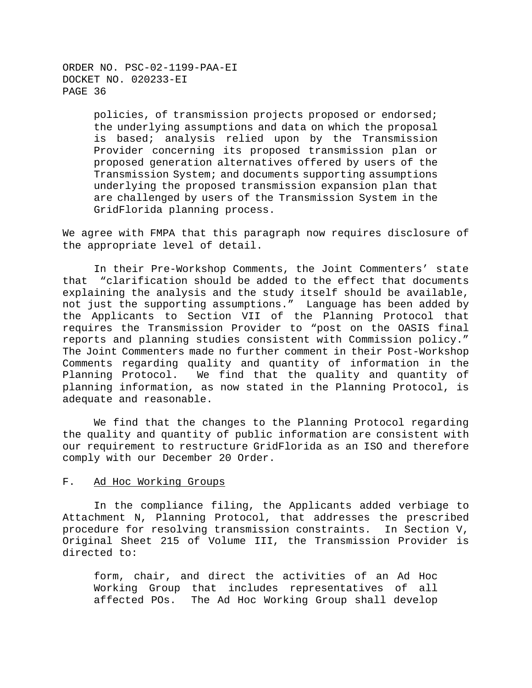> policies, of transmission projects proposed or endorsed; the underlying assumptions and data on which the proposal is based; analysis relied upon by the Transmission Provider concerning its proposed transmission plan or proposed generation alternatives offered by users of the Transmission System; and documents supporting assumptions underlying the proposed transmission expansion plan that are challenged by users of the Transmission System in the GridFlorida planning process.

We agree with FMPA that this paragraph now requires disclosure of the appropriate level of detail.

In their Pre-Workshop Comments, the Joint Commenters' state that "clarification should be added to the effect that documents explaining the analysis and the study itself should be available, not just the supporting assumptions." Language has been added by the Applicants to Section VII of the Planning Protocol that requires the Transmission Provider to "post on the OASIS final reports and planning studies consistent with Commission policy." The Joint Commenters made no further comment in their Post-Workshop Comments regarding quality and quantity of information in the Planning Protocol. We find that the quality and quantity of planning information, as now stated in the Planning Protocol, is adequate and reasonable.

We find that the changes to the Planning Protocol regarding the quality and quantity of public information are consistent with our requirement to restructure GridFlorida as an ISO and therefore comply with our December 20 Order.

### F. Ad Hoc Working Groups

In the compliance filing, the Applicants added verbiage to Attachment N, Planning Protocol, that addresses the prescribed procedure for resolving transmission constraints. In Section V, Original Sheet 215 of Volume III, the Transmission Provider is directed to:

form, chair, and direct the activities of an Ad Hoc Working Group that includes representatives of all affected POs. The Ad Hoc Working Group shall develop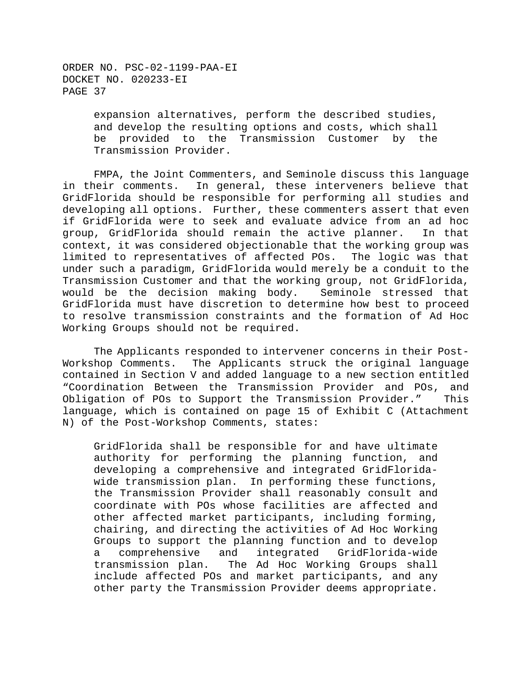> expansion alternatives, perform the described studies, and develop the resulting options and costs, which shall be provided to the Transmission Customer by the Transmission Provider.

FMPA, the Joint Commenters, and Seminole discuss this language in their comments. In general, these interveners believe that GridFlorida should be responsible for performing all studies and developing all options. Further, these commenters assert that even if GridFlorida were to seek and evaluate advice from an ad hoc group, GridFlorida should remain the active planner. In that context, it was considered objectionable that the working group was limited to representatives of affected POs. The logic was that under such a paradigm, GridFlorida would merely be a conduit to the Transmission Customer and that the working group, not GridFlorida, would be the decision making body. Seminole stressed that GridFlorida must have discretion to determine how best to proceed to resolve transmission constraints and the formation of Ad Hoc Working Groups should not be required.

The Applicants responded to intervener concerns in their Post-Workshop Comments. The Applicants struck the original language contained in Section V and added language to a new section entitled "Coordination Between the Transmission Provider and POs, and Obligation of POs to Support the Transmission Provider." This language, which is contained on page 15 of Exhibit C (Attachment N) of the Post-Workshop Comments, states:

GridFlorida shall be responsible for and have ultimate authority for performing the planning function, and developing a comprehensive and integrated GridFloridawide transmission plan. In performing these functions, the Transmission Provider shall reasonably consult and coordinate with POs whose facilities are affected and other affected market participants, including forming, chairing, and directing the activities of Ad Hoc Working Groups to support the planning function and to develop a comprehensive and integrated GridFlorida-wide transmission plan. The Ad Hoc Working Groups shall include affected POs and market participants, and any other party the Transmission Provider deems appropriate.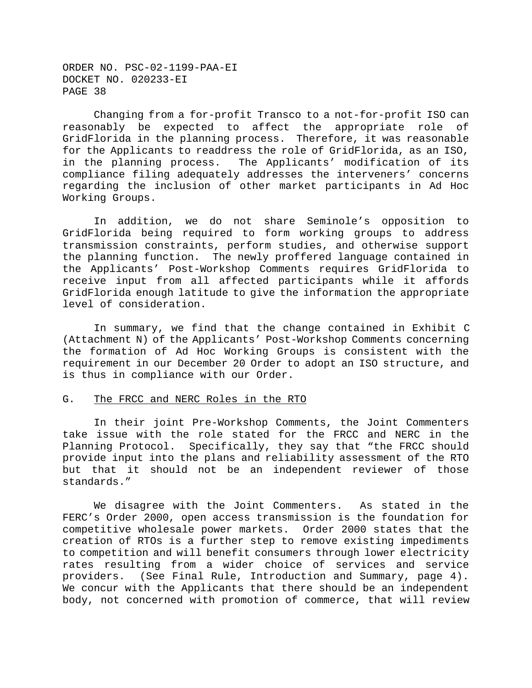Changing from a for-profit Transco to a not-for-profit ISO can reasonably be expected to affect the appropriate role of GridFlorida in the planning process. Therefore, it was reasonable for the Applicants to readdress the role of GridFlorida, as an ISO, in the planning process. The Applicants' modification of its compliance filing adequately addresses the interveners' concerns regarding the inclusion of other market participants in Ad Hoc Working Groups.

In addition, we do not share Seminole's opposition to GridFlorida being required to form working groups to address transmission constraints, perform studies, and otherwise support the planning function. The newly proffered language contained in the Applicants' Post-Workshop Comments requires GridFlorida to receive input from all affected participants while it affords GridFlorida enough latitude to give the information the appropriate level of consideration.

In summary, we find that the change contained in Exhibit C (Attachment N) of the Applicants' Post-Workshop Comments concerning the formation of Ad Hoc Working Groups is consistent with the requirement in our December 20 Order to adopt an ISO structure, and is thus in compliance with our Order.

## G. The FRCC and NERC Roles in the RTO

In their joint Pre-Workshop Comments, the Joint Commenters take issue with the role stated for the FRCC and NERC in the Planning Protocol. Specifically, they say that "the FRCC should provide input into the plans and reliability assessment of the RTO but that it should not be an independent reviewer of those standards."

We disagree with the Joint Commenters. As stated in the FERC's Order 2000, open access transmission is the foundation for competitive wholesale power markets. Order 2000 states that the creation of RTOs is a further step to remove existing impediments to competition and will benefit consumers through lower electricity rates resulting from a wider choice of services and service providers. (See Final Rule, Introduction and Summary, page 4). We concur with the Applicants that there should be an independent body, not concerned with promotion of commerce, that will review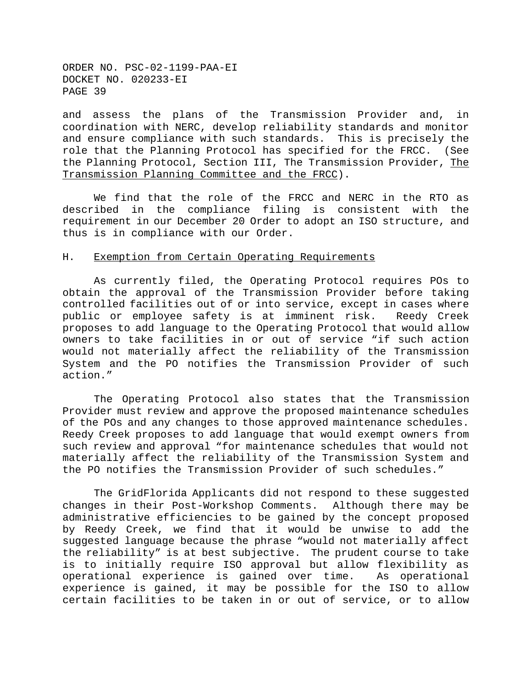and assess the plans of the Transmission Provider and, in coordination with NERC, develop reliability standards and monitor and ensure compliance with such standards. This is precisely the role that the Planning Protocol has specified for the FRCC. (See the Planning Protocol, Section III, The Transmission Provider, The Transmission Planning Committee and the FRCC).

We find that the role of the FRCC and NERC in the RTO as described in the compliance filing is consistent with the requirement in our December 20 Order to adopt an ISO structure, and thus is in compliance with our Order.

## H. Exemption from Certain Operating Requirements

As currently filed, the Operating Protocol requires POs to obtain the approval of the Transmission Provider before taking controlled facilities out of or into service, except in cases where public or employee safety is at imminent risk. Reedy Creek proposes to add language to the Operating Protocol that would allow owners to take facilities in or out of service "if such action would not materially affect the reliability of the Transmission System and the PO notifies the Transmission Provider of such action."

The Operating Protocol also states that the Transmission Provider must review and approve the proposed maintenance schedules of the POs and any changes to those approved maintenance schedules. Reedy Creek proposes to add language that would exempt owners from such review and approval "for maintenance schedules that would not materially affect the reliability of the Transmission System and the PO notifies the Transmission Provider of such schedules."

The GridFlorida Applicants did not respond to these suggested changes in their Post-Workshop Comments. Although there may be administrative efficiencies to be gained by the concept proposed by Reedy Creek, we find that it would be unwise to add the suggested language because the phrase "would not materially affect the reliability" is at best subjective. The prudent course to take is to initially require ISO approval but allow flexibility as operational experience is gained over time. As operational experience is gained, it may be possible for the ISO to allow certain facilities to be taken in or out of service, or to allow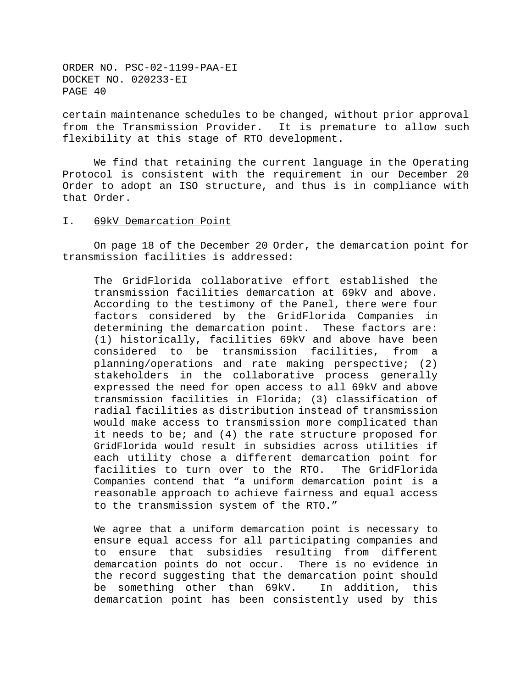certain maintenance schedules to be changed, without prior approval from the Transmission Provider. It is premature to allow such flexibility at this stage of RTO development.

We find that retaining the current language in the Operating Protocol is consistent with the requirement in our December 20 Order to adopt an ISO structure, and thus is in compliance with that Order.

### I. 69kV Demarcation Point

On page 18 of the December 20 Order, the demarcation point for transmission facilities is addressed:

The GridFlorida collaborative effort established the transmission facilities demarcation at 69kV and above. According to the testimony of the Panel, there were four factors considered by the GridFlorida Companies in determining the demarcation point. These factors are: (1) historically, facilities 69kV and above have been considered to be transmission facilities, from a planning/operations and rate making perspective; (2) stakeholders in the collaborative process generally expressed the need for open access to all 69kV and above transmission facilities in Florida; (3) classification of radial facilities as distribution instead of transmission would make access to transmission more complicated than it needs to be; and (4) the rate structure proposed for GridFlorida would result in subsidies across utilities if each utility chose a different demarcation point for facilities to turn over to the RTO. The GridFlorida Companies contend that "a uniform demarcation point is a reasonable approach to achieve fairness and equal access to the transmission system of the RTO."

We agree that a uniform demarcation point is necessary to ensure equal access for all participating companies and to ensure that subsidies resulting from different demarcation points do not occur. There is no evidence in the record suggesting that the demarcation point should be something other than 69kV. In addition, this demarcation point has been consistently used by this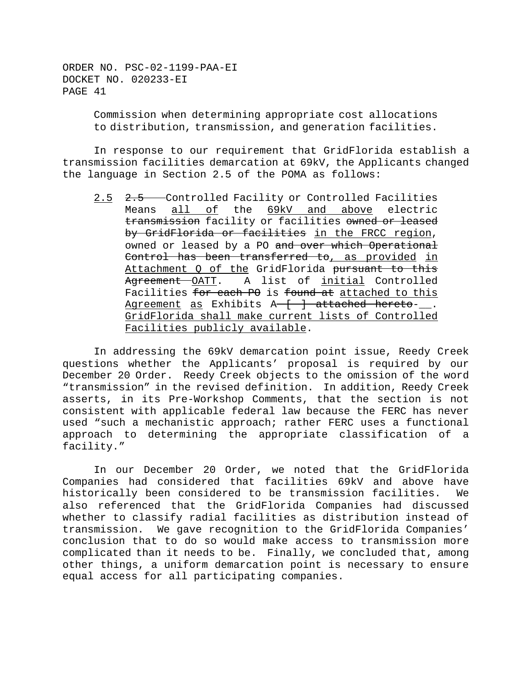> Commission when determining appropriate cost allocations to distribution, transmission, and generation facilities.

In response to our requirement that GridFlorida establish a transmission facilities demarcation at 69kV, the Applicants changed the language in Section 2.5 of the POMA as follows:

2.5 2.5 Controlled Facility or Controlled Facilities Means all of the 69kV and above electric transmission facility or facilities owned or leased by GridFlorida or facilities in the FRCC region, owned or leased by a PO and over which Operational Control has been transferred to, as provided in Attachment Q of the GridFlorida pursuant to this Agreement OATT. A list of initial Controlled Facilities for each PO is found at attached to this Agreement as Exhibits  $A - \frac{1}{2}$  attached hereto-. GridFlorida shall make current lists of Controlled Facilities publicly available.

In addressing the 69kV demarcation point issue, Reedy Creek questions whether the Applicants' proposal is required by our December 20 Order. Reedy Creek objects to the omission of the word "transmission" in the revised definition. In addition, Reedy Creek asserts, in its Pre-Workshop Comments, that the section is not consistent with applicable federal law because the FERC has never used "such a mechanistic approach; rather FERC uses a functional approach to determining the appropriate classification of a facility."

In our December 20 Order, we noted that the GridFlorida Companies had considered that facilities 69kV and above have historically been considered to be transmission facilities. We also referenced that the GridFlorida Companies had discussed whether to classify radial facilities as distribution instead of transmission. We gave recognition to the GridFlorida Companies' conclusion that to do so would make access to transmission more complicated than it needs to be. Finally, we concluded that, among other things, a uniform demarcation point is necessary to ensure equal access for all participating companies.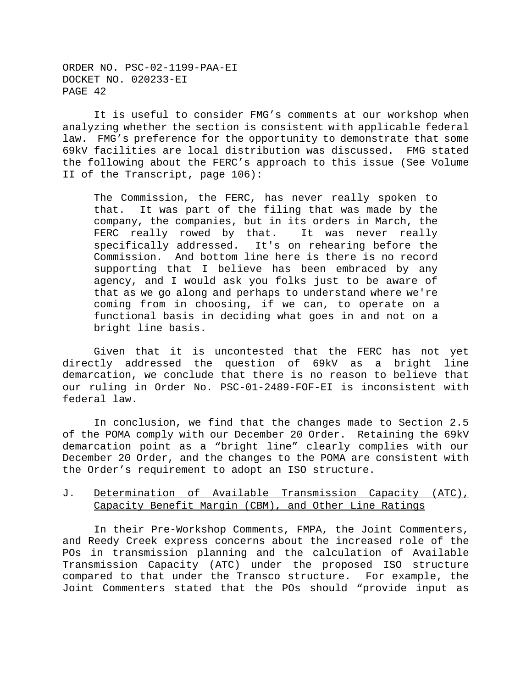It is useful to consider FMG's comments at our workshop when analyzing whether the section is consistent with applicable federal law. FMG's preference for the opportunity to demonstrate that some 69kV facilities are local distribution was discussed. FMG stated the following about the FERC's approach to this issue (See Volume II of the Transcript, page 106):

The Commission, the FERC, has never really spoken to that. It was part of the filing that was made by the company, the companies, but in its orders in March, the FERC really rowed by that. It was never really specifically addressed. It's on rehearing before the Commission. And bottom line here is there is no record supporting that I believe has been embraced by any agency, and I would ask you folks just to be aware of that as we go along and perhaps to understand where we're coming from in choosing, if we can, to operate on a functional basis in deciding what goes in and not on a bright line basis.

Given that it is uncontested that the FERC has not yet directly addressed the question of 69kV as a bright line demarcation, we conclude that there is no reason to believe that our ruling in Order No. PSC-01-2489-FOF-EI is inconsistent with federal law.

In conclusion, we find that the changes made to Section 2.5 of the POMA comply with our December 20 Order. Retaining the 69kV demarcation point as a "bright line" clearly complies with our December 20 Order, and the changes to the POMA are consistent with the Order's requirement to adopt an ISO structure.

# J. Determination of Available Transmission Capacity (ATC), Capacity Benefit Margin (CBM), and Other Line Ratings

In their Pre-Workshop Comments, FMPA, the Joint Commenters, and Reedy Creek express concerns about the increased role of the POs in transmission planning and the calculation of Available Transmission Capacity (ATC) under the proposed ISO structure compared to that under the Transco structure. For example, the Joint Commenters stated that the POs should "provide input as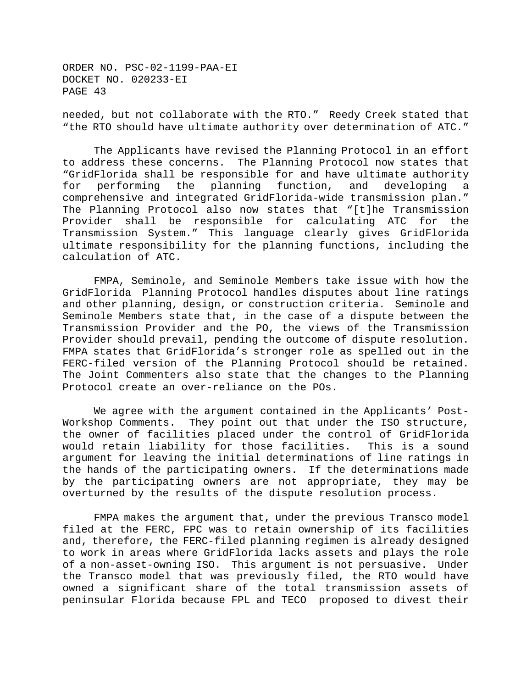needed, but not collaborate with the RTO." Reedy Creek stated that "the RTO should have ultimate authority over determination of ATC."

The Applicants have revised the Planning Protocol in an effort to address these concerns. The Planning Protocol now states that "GridFlorida shall be responsible for and have ultimate authority for performing the planning function, and developing a comprehensive and integrated GridFlorida-wide transmission plan." The Planning Protocol also now states that "[t]he Transmission Provider shall be responsible for calculating ATC for the Transmission System." This language clearly gives GridFlorida ultimate responsibility for the planning functions, including the calculation of ATC.

FMPA, Seminole, and Seminole Members take issue with how the GridFlorida Planning Protocol handles disputes about line ratings and other planning, design, or construction criteria. Seminole and Seminole Members state that, in the case of a dispute between the Transmission Provider and the PO, the views of the Transmission Provider should prevail, pending the outcome of dispute resolution. FMPA states that GridFlorida's stronger role as spelled out in the FERC-filed version of the Planning Protocol should be retained. The Joint Commenters also state that the changes to the Planning Protocol create an over-reliance on the POs.

We agree with the argument contained in the Applicants' Post-Workshop Comments. They point out that under the ISO structure, the owner of facilities placed under the control of GridFlorida would retain liability for those facilities. This is a sound argument for leaving the initial determinations of line ratings in the hands of the participating owners. If the determinations made by the participating owners are not appropriate, they may be overturned by the results of the dispute resolution process.

FMPA makes the argument that, under the previous Transco model filed at the FERC, FPC was to retain ownership of its facilities and, therefore, the FERC-filed planning regimen is already designed to work in areas where GridFlorida lacks assets and plays the role of a non-asset-owning ISO. This argument is not persuasive. Under the Transco model that was previously filed, the RTO would have owned a significant share of the total transmission assets of peninsular Florida because FPL and TECO proposed to divest their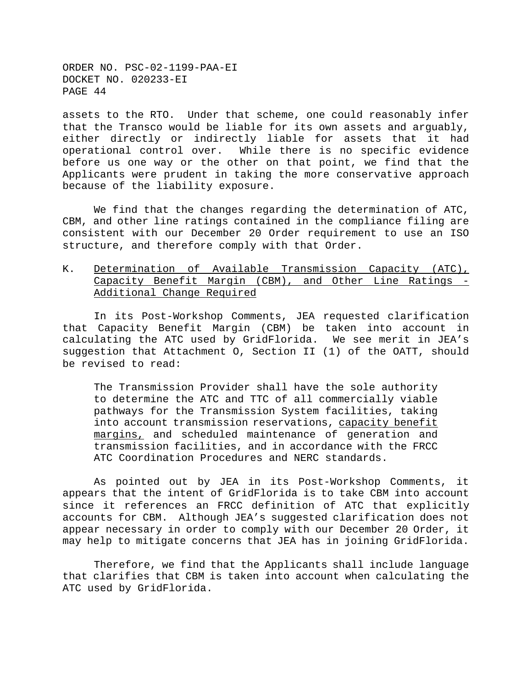assets to the RTO. Under that scheme, one could reasonably infer that the Transco would be liable for its own assets and arguably, either directly or indirectly liable for assets that it had operational control over. While there is no specific evidence before us one way or the other on that point, we find that the Applicants were prudent in taking the more conservative approach because of the liability exposure.

We find that the changes regarding the determination of ATC, CBM, and other line ratings contained in the compliance filing are consistent with our December 20 Order requirement to use an ISO structure, and therefore comply with that Order.

# K. Determination of Available Transmission Capacity (ATC), Capacity Benefit Margin (CBM), and Other Line Ratings - Additional Change Required

In its Post-Workshop Comments, JEA requested clarification that Capacity Benefit Margin (CBM) be taken into account in calculating the ATC used by GridFlorida. We see merit in JEA's suggestion that Attachment O, Section II (1) of the OATT, should be revised to read:

The Transmission Provider shall have the sole authority to determine the ATC and TTC of all commercially viable pathways for the Transmission System facilities, taking into account transmission reservations, capacity benefit margins, and scheduled maintenance of generation and transmission facilities, and in accordance with the FRCC ATC Coordination Procedures and NERC standards.

As pointed out by JEA in its Post-Workshop Comments, it appears that the intent of GridFlorida is to take CBM into account since it references an FRCC definition of ATC that explicitly accounts for CBM. Although JEA's suggested clarification does not appear necessary in order to comply with our December 20 Order, it may help to mitigate concerns that JEA has in joining GridFlorida.

Therefore, we find that the Applicants shall include language that clarifies that CBM is taken into account when calculating the ATC used by GridFlorida.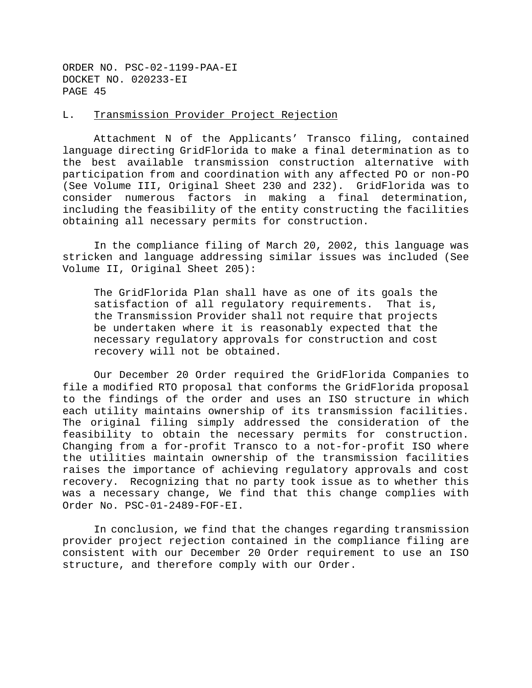# L. Transmission Provider Project Rejection

Attachment N of the Applicants' Transco filing, contained language directing GridFlorida to make a final determination as to the best available transmission construction alternative with participation from and coordination with any affected PO or non-PO (See Volume III, Original Sheet 230 and 232). GridFlorida was to consider numerous factors in making a final determination, including the feasibility of the entity constructing the facilities obtaining all necessary permits for construction.

In the compliance filing of March 20, 2002, this language was stricken and language addressing similar issues was included (See Volume II, Original Sheet 205):

The GridFlorida Plan shall have as one of its goals the satisfaction of all regulatory requirements. That is, the Transmission Provider shall not require that projects be undertaken where it is reasonably expected that the necessary regulatory approvals for construction and cost recovery will not be obtained.

Our December 20 Order required the GridFlorida Companies to file a modified RTO proposal that conforms the GridFlorida proposal to the findings of the order and uses an ISO structure in which each utility maintains ownership of its transmission facilities. The original filing simply addressed the consideration of the feasibility to obtain the necessary permits for construction. Changing from a for-profit Transco to a not-for-profit ISO where the utilities maintain ownership of the transmission facilities raises the importance of achieving regulatory approvals and cost recovery. Recognizing that no party took issue as to whether this was a necessary change, We find that this change complies with Order No. PSC-01-2489-FOF-EI.

In conclusion, we find that the changes regarding transmission provider project rejection contained in the compliance filing are consistent with our December 20 Order requirement to use an ISO structure, and therefore comply with our Order.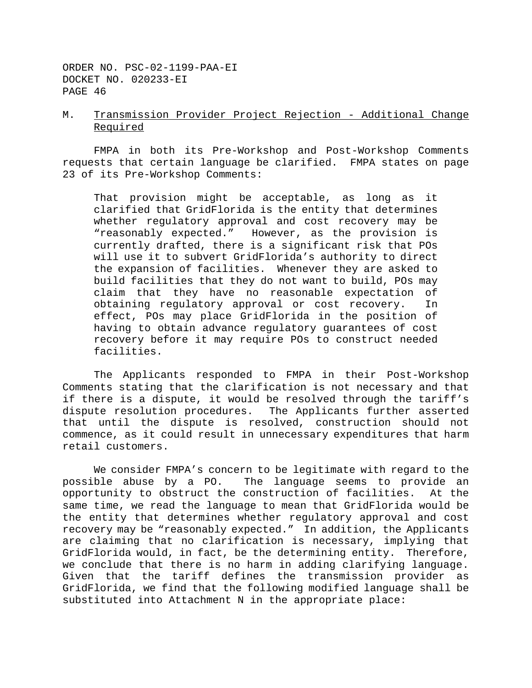# M. Transmission Provider Project Rejection - Additional Change Required

FMPA in both its Pre-Workshop and Post-Workshop Comments requests that certain language be clarified. FMPA states on page 23 of its Pre-Workshop Comments:

That provision might be acceptable, as long as it clarified that GridFlorida is the entity that determines whether regulatory approval and cost recovery may be "reasonably expected." However, as the provision is currently drafted, there is a significant risk that POs will use it to subvert GridFlorida's authority to direct the expansion of facilities. Whenever they are asked to build facilities that they do not want to build, POs may claim that they have no reasonable expectation of obtaining regulatory approval or cost recovery. In effect, POs may place GridFlorida in the position of having to obtain advance regulatory guarantees of cost recovery before it may require POs to construct needed facilities.

The Applicants responded to FMPA in their Post-Workshop Comments stating that the clarification is not necessary and that if there is a dispute, it would be resolved through the tariff's dispute resolution procedures. The Applicants further asserted that until the dispute is resolved, construction should not commence, as it could result in unnecessary expenditures that harm retail customers.

We consider FMPA's concern to be legitimate with regard to the possible abuse by a PO. The language seems to provide an opportunity to obstruct the construction of facilities. At the same time, we read the language to mean that GridFlorida would be the entity that determines whether regulatory approval and cost recovery may be "reasonably expected." In addition, the Applicants are claiming that no clarification is necessary, implying that GridFlorida would, in fact, be the determining entity. Therefore, we conclude that there is no harm in adding clarifying language. Given that the tariff defines the transmission provider as GridFlorida, we find that the following modified language shall be substituted into Attachment N in the appropriate place: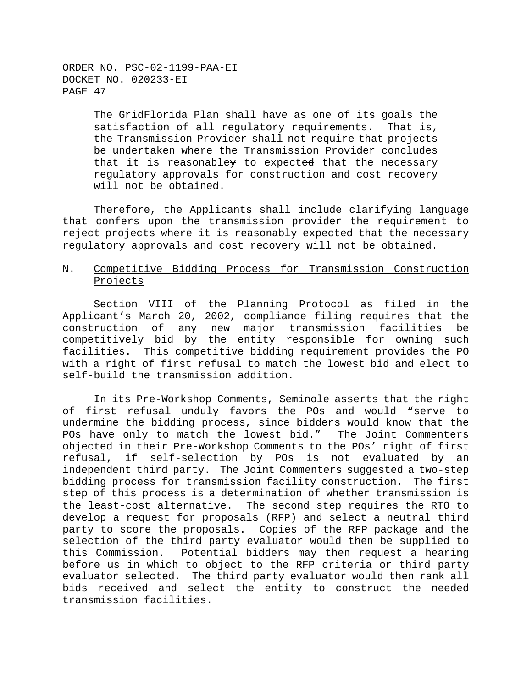> The GridFlorida Plan shall have as one of its goals the satisfaction of all regulatory requirements. That is, the Transmission Provider shall not require that projects be undertaken where the Transmission Provider concludes that it is reasonabley to expected that the necessary regulatory approvals for construction and cost recovery will not be obtained.

Therefore, the Applicants shall include clarifying language that confers upon the transmission provider the requirement to reject projects where it is reasonably expected that the necessary regulatory approvals and cost recovery will not be obtained.

# N. Competitive Bidding Process for Transmission Construction Projects

Section VIII of the Planning Protocol as filed in the Applicant's March 20, 2002, compliance filing requires that the construction of any new major transmission facilities be competitively bid by the entity responsible for owning such facilities. This competitive bidding requirement provides the PO with a right of first refusal to match the lowest bid and elect to self-build the transmission addition.

In its Pre-Workshop Comments, Seminole asserts that the right of first refusal unduly favors the POs and would "serve to undermine the bidding process, since bidders would know that the POs have only to match the lowest bid." The Joint Commenters objected in their Pre-Workshop Comments to the POs' right of first refusal, if self-selection by POs is not evaluated by an independent third party. The Joint Commenters suggested a two-step bidding process for transmission facility construction. The first step of this process is a determination of whether transmission is the least-cost alternative. The second step requires the RTO to develop a request for proposals (RFP) and select a neutral third party to score the proposals. Copies of the RFP package and the selection of the third party evaluator would then be supplied to this Commission. Potential bidders may then request a hearing before us in which to object to the RFP criteria or third party evaluator selected. The third party evaluator would then rank all bids received and select the entity to construct the needed transmission facilities.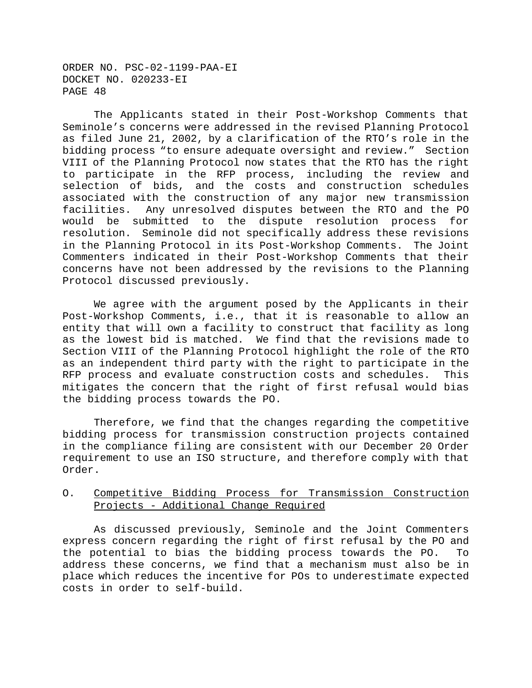The Applicants stated in their Post-Workshop Comments that Seminole's concerns were addressed in the revised Planning Protocol as filed June 21, 2002, by a clarification of the RTO's role in the bidding process "to ensure adequate oversight and review." Section VIII of the Planning Protocol now states that the RTO has the right to participate in the RFP process, including the review and selection of bids, and the costs and construction schedules associated with the construction of any major new transmission facilities. Any unresolved disputes between the RTO and the PO would be submitted to the dispute resolution process for resolution. Seminole did not specifically address these revisions in the Planning Protocol in its Post-Workshop Comments. The Joint Commenters indicated in their Post-Workshop Comments that their concerns have not been addressed by the revisions to the Planning Protocol discussed previously.

We agree with the argument posed by the Applicants in their Post-Workshop Comments, i.e., that it is reasonable to allow an entity that will own a facility to construct that facility as long as the lowest bid is matched. We find that the revisions made to Section VIII of the Planning Protocol highlight the role of the RTO as an independent third party with the right to participate in the RFP process and evaluate construction costs and schedules. This mitigates the concern that the right of first refusal would bias the bidding process towards the PO.

Therefore, we find that the changes regarding the competitive bidding process for transmission construction projects contained in the compliance filing are consistent with our December 20 Order requirement to use an ISO structure, and therefore comply with that Order.

# O. Competitive Bidding Process for Transmission Construction Projects - Additional Change Required

As discussed previously, Seminole and the Joint Commenters express concern regarding the right of first refusal by the PO and the potential to bias the bidding process towards the PO. To address these concerns, we find that a mechanism must also be in place which reduces the incentive for POs to underestimate expected costs in order to self-build.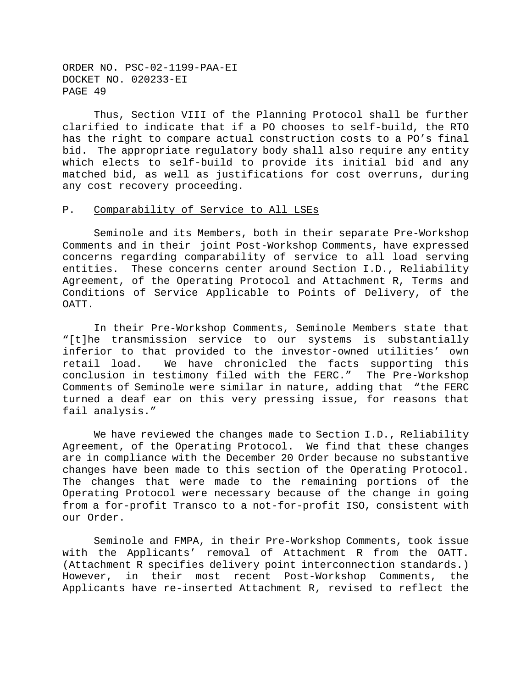Thus, Section VIII of the Planning Protocol shall be further clarified to indicate that if a PO chooses to self-build, the RTO has the right to compare actual construction costs to a PO's final bid. The appropriate regulatory body shall also require any entity which elects to self-build to provide its initial bid and any matched bid, as well as justifications for cost overruns, during any cost recovery proceeding.

# P. Comparability of Service to All LSEs

Seminole and its Members, both in their separate Pre-Workshop Comments and in their joint Post-Workshop Comments, have expressed concerns regarding comparability of service to all load serving entities. These concerns center around Section I.D., Reliability Agreement, of the Operating Protocol and Attachment R, Terms and Conditions of Service Applicable to Points of Delivery, of the OATT.

In their Pre-Workshop Comments, Seminole Members state that "[t]he transmission service to our systems is substantially inferior to that provided to the investor-owned utilities' own retail load. We have chronicled the facts supporting this conclusion in testimony filed with the FERC." The Pre-Workshop Comments of Seminole were similar in nature, adding that "the FERC turned a deaf ear on this very pressing issue, for reasons that fail analysis."

We have reviewed the changes made to Section I.D., Reliability Agreement, of the Operating Protocol. We find that these changes are in compliance with the December 20 Order because no substantive changes have been made to this section of the Operating Protocol. The changes that were made to the remaining portions of the Operating Protocol were necessary because of the change in going from a for-profit Transco to a not-for-profit ISO, consistent with our Order.

Seminole and FMPA, in their Pre-Workshop Comments, took issue with the Applicants' removal of Attachment R from the OATT. (Attachment R specifies delivery point interconnection standards.) However, in their most recent Post-Workshop Comments, the Applicants have re-inserted Attachment R, revised to reflect the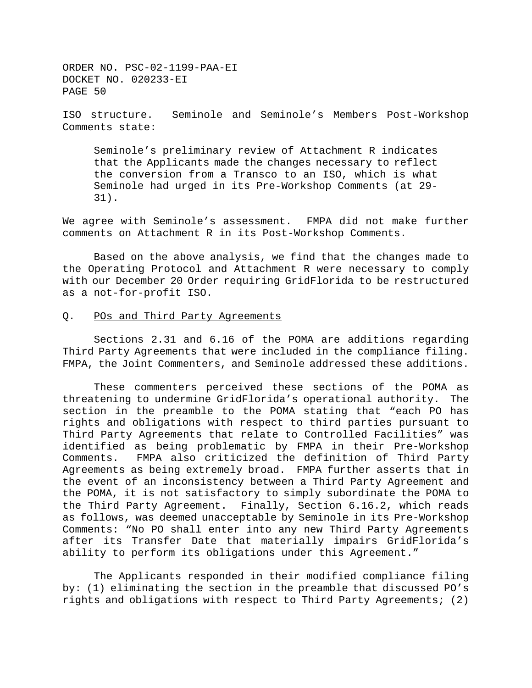ISO structure. Seminole and Seminole's Members Post-Workshop Comments state:

Seminole's preliminary review of Attachment R indicates that the Applicants made the changes necessary to reflect the conversion from a Transco to an ISO, which is what Seminole had urged in its Pre-Workshop Comments (at 29- 31).

We agree with Seminole's assessment. FMPA did not make further comments on Attachment R in its Post-Workshop Comments.

Based on the above analysis, we find that the changes made to the Operating Protocol and Attachment R were necessary to comply with our December 20 Order requiring GridFlorida to be restructured as a not-for-profit ISO.

#### Q. POs and Third Party Agreements

Sections 2.31 and 6.16 of the POMA are additions regarding Third Party Agreements that were included in the compliance filing. FMPA, the Joint Commenters, and Seminole addressed these additions.

These commenters perceived these sections of the POMA as threatening to undermine GridFlorida's operational authority. The section in the preamble to the POMA stating that "each PO has rights and obligations with respect to third parties pursuant to Third Party Agreements that relate to Controlled Facilities" was identified as being problematic by FMPA in their Pre-Workshop Comments. FMPA also criticized the definition of Third Party Agreements as being extremely broad. FMPA further asserts that in the event of an inconsistency between a Third Party Agreement and the POMA, it is not satisfactory to simply subordinate the POMA to the Third Party Agreement. Finally, Section 6.16.2, which reads as follows, was deemed unacceptable by Seminole in its Pre-Workshop Comments: "No PO shall enter into any new Third Party Agreements after its Transfer Date that materially impairs GridFlorida's ability to perform its obligations under this Agreement."

The Applicants responded in their modified compliance filing by: (1) eliminating the section in the preamble that discussed PO's rights and obligations with respect to Third Party Agreements; (2)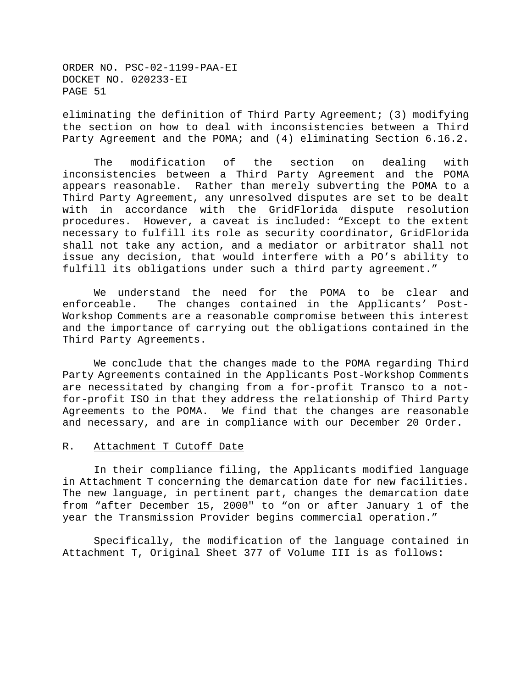eliminating the definition of Third Party Agreement; (3) modifying the section on how to deal with inconsistencies between a Third Party Agreement and the POMA; and (4) eliminating Section 6.16.2.

The modification of the section on dealing with inconsistencies between a Third Party Agreement and the POMA appears reasonable. Rather than merely subverting the POMA to a Third Party Agreement, any unresolved disputes are set to be dealt with in accordance with the GridFlorida dispute resolution procedures. However, a caveat is included: "Except to the extent necessary to fulfill its role as security coordinator, GridFlorida shall not take any action, and a mediator or arbitrator shall not issue any decision, that would interfere with a PO's ability to fulfill its obligations under such a third party agreement."

We understand the need for the POMA to be clear and enforceable. The changes contained in the Applicants' Post-Workshop Comments are a reasonable compromise between this interest and the importance of carrying out the obligations contained in the Third Party Agreements.

We conclude that the changes made to the POMA regarding Third Party Agreements contained in the Applicants Post-Workshop Comments are necessitated by changing from a for-profit Transco to a notfor-profit ISO in that they address the relationship of Third Party Agreements to the POMA. We find that the changes are reasonable and necessary, and are in compliance with our December 20 Order.

## R. Attachment T Cutoff Date

In their compliance filing, the Applicants modified language in Attachment T concerning the demarcation date for new facilities. The new language, in pertinent part, changes the demarcation date from "after December 15, 2000" to "on or after January 1 of the year the Transmission Provider begins commercial operation."

Specifically, the modification of the language contained in Attachment T, Original Sheet 377 of Volume III is as follows: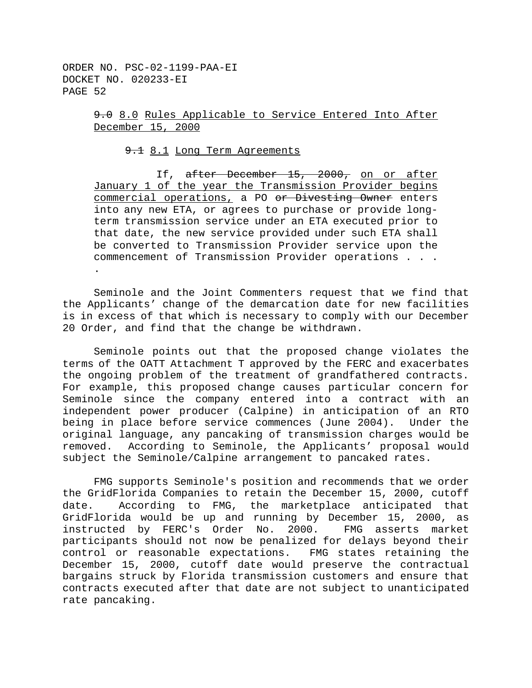> 9.0 8.0 Rules Applicable to Service Entered Into After December 15, 2000

9.1 Long Term Agreements

If, after December 15, 2000, on or after January 1 of the year the Transmission Provider begins commercial operations, a PO or Divesting Owner enters into any new ETA, or agrees to purchase or provide longterm transmission service under an ETA executed prior to that date, the new service provided under such ETA shall be converted to Transmission Provider service upon the commencement of Transmission Provider operations . . . .

Seminole and the Joint Commenters request that we find that the Applicants' change of the demarcation date for new facilities is in excess of that which is necessary to comply with our December 20 Order, and find that the change be withdrawn.

Seminole points out that the proposed change violates the terms of the OATT Attachment T approved by the FERC and exacerbates the ongoing problem of the treatment of grandfathered contracts. For example, this proposed change causes particular concern for Seminole since the company entered into a contract with an independent power producer (Calpine) in anticipation of an RTO being in place before service commences (June 2004). Under the original language, any pancaking of transmission charges would be removed. According to Seminole, the Applicants' proposal would subject the Seminole/Calpine arrangement to pancaked rates.

FMG supports Seminole's position and recommends that we order the GridFlorida Companies to retain the December 15, 2000, cutoff date. According to FMG, the marketplace anticipated that GridFlorida would be up and running by December 15, 2000, as instructed by FERC's Order No. 2000. FMG asserts market participants should not now be penalized for delays beyond their control or reasonable expectations. FMG states retaining the December 15, 2000, cutoff date would preserve the contractual bargains struck by Florida transmission customers and ensure that contracts executed after that date are not subject to unanticipated rate pancaking.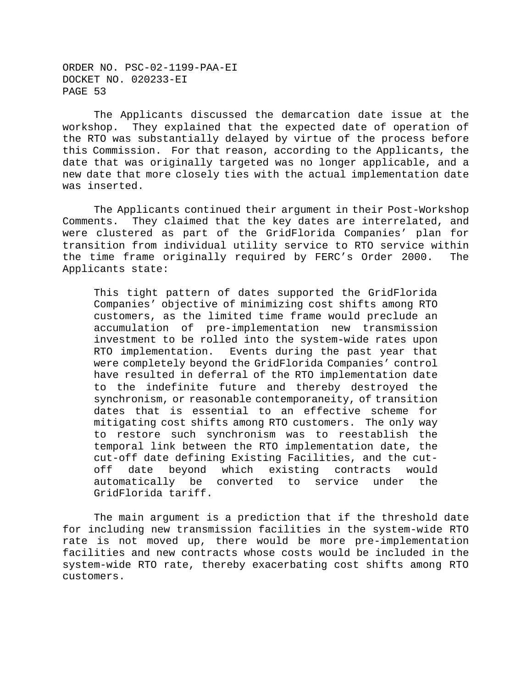The Applicants discussed the demarcation date issue at the workshop. They explained that the expected date of operation of the RTO was substantially delayed by virtue of the process before this Commission. For that reason, according to the Applicants, the date that was originally targeted was no longer applicable, and a new date that more closely ties with the actual implementation date was inserted.

The Applicants continued their argument in their Post-Workshop Comments. They claimed that the key dates are interrelated, and were clustered as part of the GridFlorida Companies' plan for transition from individual utility service to RTO service within the time frame originally required by FERC's Order 2000. The Applicants state:

This tight pattern of dates supported the GridFlorida Companies' objective of minimizing cost shifts among RTO customers, as the limited time frame would preclude an accumulation of pre-implementation new transmission investment to be rolled into the system-wide rates upon RTO implementation. Events during the past year that were completely beyond the GridFlorida Companies' control have resulted in deferral of the RTO implementation date to the indefinite future and thereby destroyed the synchronism, or reasonable contemporaneity, of transition dates that is essential to an effective scheme for mitigating cost shifts among RTO customers. The only way to restore such synchronism was to reestablish the temporal link between the RTO implementation date, the cut-off date defining Existing Facilities, and the cutoff date beyond which existing contracts would automatically be converted to service under the GridFlorida tariff.

The main argument is a prediction that if the threshold date for including new transmission facilities in the system-wide RTO rate is not moved up, there would be more pre-implementation facilities and new contracts whose costs would be included in the system-wide RTO rate, thereby exacerbating cost shifts among RTO customers.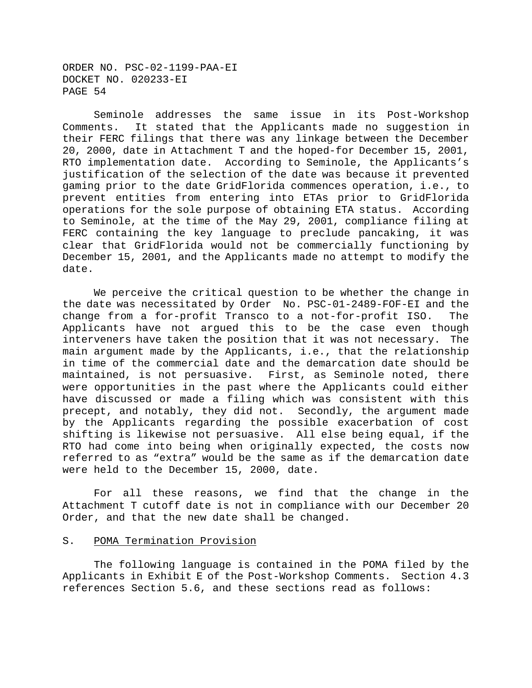Seminole addresses the same issue in its Post-Workshop Comments. It stated that the Applicants made no suggestion in their FERC filings that there was any linkage between the December 20, 2000, date in Attachment T and the hoped-for December 15, 2001, RTO implementation date. According to Seminole, the Applicants's justification of the selection of the date was because it prevented gaming prior to the date GridFlorida commences operation, i.e., to prevent entities from entering into ETAs prior to GridFlorida operations for the sole purpose of obtaining ETA status. According to Seminole, at the time of the May 29, 2001, compliance filing at FERC containing the key language to preclude pancaking, it was clear that GridFlorida would not be commercially functioning by December 15, 2001, and the Applicants made no attempt to modify the date.

We perceive the critical question to be whether the change in the date was necessitated by Order No. PSC-01-2489-FOF-EI and the change from a for-profit Transco to a not-for-profit ISO. The Applicants have not argued this to be the case even though interveners have taken the position that it was not necessary. The main argument made by the Applicants, i.e., that the relationship in time of the commercial date and the demarcation date should be maintained, is not persuasive. First, as Seminole noted, there were opportunities in the past where the Applicants could either have discussed or made a filing which was consistent with this precept, and notably, they did not. Secondly, the argument made by the Applicants regarding the possible exacerbation of cost shifting is likewise not persuasive. All else being equal, if the RTO had come into being when originally expected, the costs now referred to as "extra" would be the same as if the demarcation date were held to the December 15, 2000, date.

For all these reasons, we find that the change in the Attachment T cutoff date is not in compliance with our December 20 Order, and that the new date shall be changed.

## S. POMA Termination Provision

The following language is contained in the POMA filed by the Applicants in Exhibit E of the Post-Workshop Comments. Section 4.3 references Section 5.6, and these sections read as follows: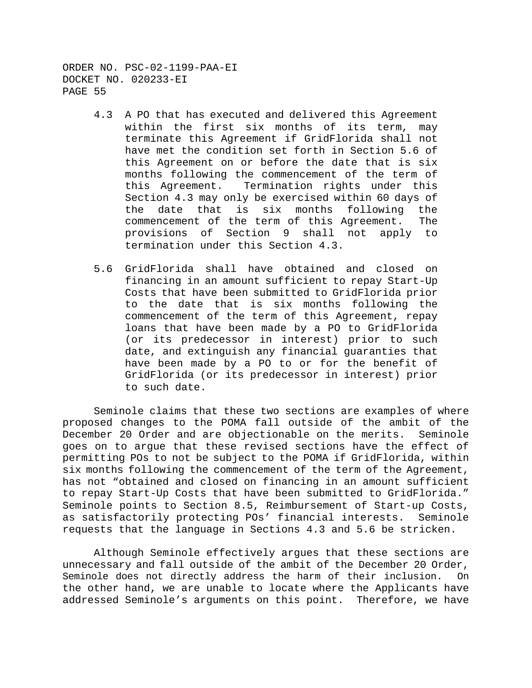- 4.3 A PO that has executed and delivered this Agreement within the first six months of its term, may terminate this Agreement if GridFlorida shall not have met the condition set forth in Section 5.6 of this Agreement on or before the date that is six months following the commencement of the term of this Agreement. Termination rights under this Section 4.3 may only be exercised within 60 days of the date that is six months following the commencement of the term of this Agreement. The provisions of Section 9 shall not apply to termination under this Section 4.3.
- 5.6 GridFlorida shall have obtained and closed on financing in an amount sufficient to repay Start-Up Costs that have been submitted to GridFlorida prior to the date that is six months following the commencement of the term of this Agreement, repay loans that have been made by a PO to GridFlorida (or its predecessor in interest) prior to such date, and extinguish any financial guaranties that have been made by a PO to or for the benefit of GridFlorida (or its predecessor in interest) prior to such date.

Seminole claims that these two sections are examples of where proposed changes to the POMA fall outside of the ambit of the December 20 Order and are objectionable on the merits. Seminole goes on to argue that these revised sections have the effect of permitting POs to not be subject to the POMA if GridFlorida, within six months following the commencement of the term of the Agreement, has not "obtained and closed on financing in an amount sufficient to repay Start-Up Costs that have been submitted to GridFlorida." Seminole points to Section 8.5, Reimbursement of Start-up Costs, as satisfactorily protecting POs' financial interests. Seminole requests that the language in Sections 4.3 and 5.6 be stricken.

Although Seminole effectively argues that these sections are unnecessary and fall outside of the ambit of the December 20 Order, Seminole does not directly address the harm of their inclusion. On the other hand, we are unable to locate where the Applicants have addressed Seminole's arguments on this point. Therefore, we have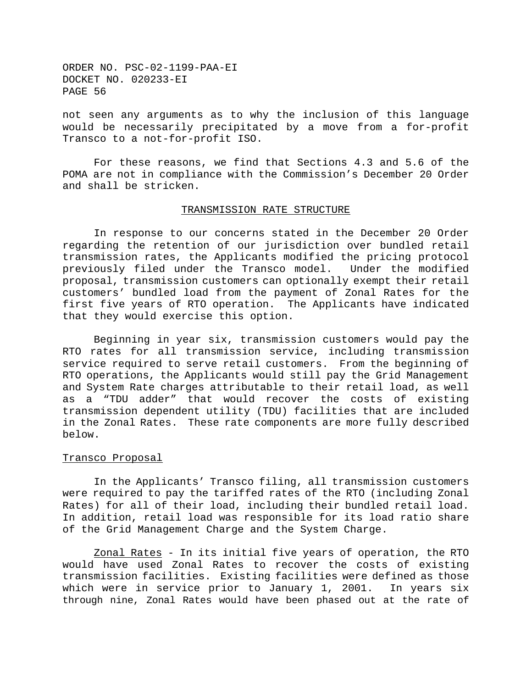not seen any arguments as to why the inclusion of this language would be necessarily precipitated by a move from a for-profit Transco to a not-for-profit ISO.

For these reasons, we find that Sections 4.3 and 5.6 of the POMA are not in compliance with the Commission's December 20 Order and shall be stricken.

# TRANSMISSION RATE STRUCTURE

In response to our concerns stated in the December 20 Order regarding the retention of our jurisdiction over bundled retail transmission rates, the Applicants modified the pricing protocol previously filed under the Transco model. Under the modified proposal, transmission customers can optionally exempt their retail customers' bundled load from the payment of Zonal Rates for the first five years of RTO operation. The Applicants have indicated that they would exercise this option.

Beginning in year six, transmission customers would pay the RTO rates for all transmission service, including transmission service required to serve retail customers. From the beginning of RTO operations, the Applicants would still pay the Grid Management and System Rate charges attributable to their retail load, as well as a "TDU adder" that would recover the costs of existing transmission dependent utility (TDU) facilities that are included in the Zonal Rates. These rate components are more fully described below.

### Transco Proposal

In the Applicants' Transco filing, all transmission customers were required to pay the tariffed rates of the RTO (including Zonal Rates) for all of their load, including their bundled retail load. In addition, retail load was responsible for its load ratio share of the Grid Management Charge and the System Charge.

Zonal Rates - In its initial five years of operation, the RTO would have used Zonal Rates to recover the costs of existing transmission facilities. Existing facilities were defined as those which were in service prior to January 1, 2001. In years six through nine, Zonal Rates would have been phased out at the rate of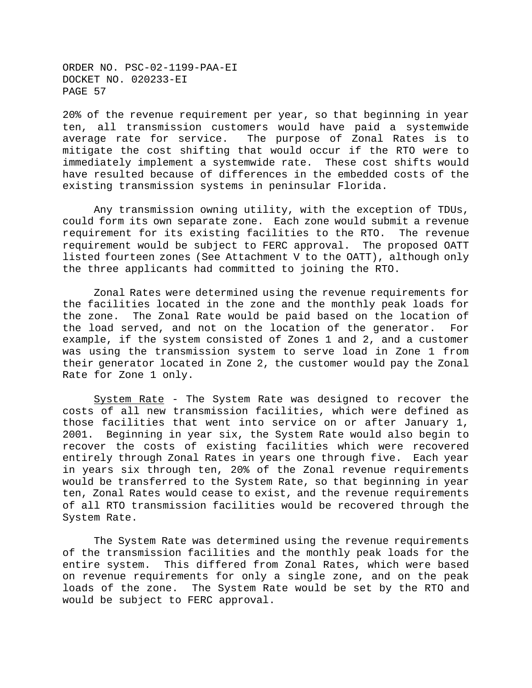20% of the revenue requirement per year, so that beginning in year ten, all transmission customers would have paid a systemwide average rate for service. The purpose of Zonal Rates is to mitigate the cost shifting that would occur if the RTO were to immediately implement a systemwide rate. These cost shifts would have resulted because of differences in the embedded costs of the existing transmission systems in peninsular Florida.

Any transmission owning utility, with the exception of TDUs, could form its own separate zone. Each zone would submit a revenue requirement for its existing facilities to the RTO. The revenue requirement would be subject to FERC approval. The proposed OATT listed fourteen zones (See Attachment V to the OATT), although only the three applicants had committed to joining the RTO.

Zonal Rates were determined using the revenue requirements for the facilities located in the zone and the monthly peak loads for the zone. The Zonal Rate would be paid based on the location of the load served, and not on the location of the generator. For example, if the system consisted of Zones 1 and 2, and a customer was using the transmission system to serve load in Zone 1 from their generator located in Zone 2, the customer would pay the Zonal Rate for Zone 1 only.

System Rate - The System Rate was designed to recover the costs of all new transmission facilities, which were defined as those facilities that went into service on or after January 1, 2001. Beginning in year six, the System Rate would also begin to recover the costs of existing facilities which were recovered entirely through Zonal Rates in years one through five. Each year in years six through ten, 20% of the Zonal revenue requirements would be transferred to the System Rate, so that beginning in year ten, Zonal Rates would cease to exist, and the revenue requirements of all RTO transmission facilities would be recovered through the System Rate.

The System Rate was determined using the revenue requirements of the transmission facilities and the monthly peak loads for the entire system. This differed from Zonal Rates, which were based on revenue requirements for only a single zone, and on the peak loads of the zone. The System Rate would be set by the RTO and would be subject to FERC approval.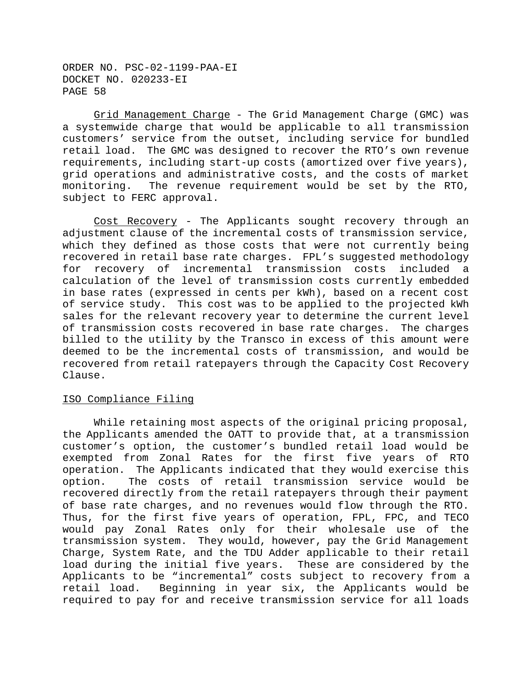Grid Management Charge - The Grid Management Charge (GMC) was a systemwide charge that would be applicable to all transmission customers' service from the outset, including service for bundled retail load. The GMC was designed to recover the RTO's own revenue requirements, including start-up costs (amortized over five years), grid operations and administrative costs, and the costs of market monitoring. The revenue requirement would be set by the RTO, subject to FERC approval.

Cost Recovery - The Applicants sought recovery through an adjustment clause of the incremental costs of transmission service, which they defined as those costs that were not currently being recovered in retail base rate charges. FPL's suggested methodology for recovery of incremental transmission costs included a calculation of the level of transmission costs currently embedded in base rates (expressed in cents per kWh), based on a recent cost of service study. This cost was to be applied to the projected kWh sales for the relevant recovery year to determine the current level of transmission costs recovered in base rate charges. The charges billed to the utility by the Transco in excess of this amount were deemed to be the incremental costs of transmission, and would be recovered from retail ratepayers through the Capacity Cost Recovery Clause.

## ISO Compliance Filing

While retaining most aspects of the original pricing proposal, the Applicants amended the OATT to provide that, at a transmission customer's option, the customer's bundled retail load would be exempted from Zonal Rates for the first five years of RTO operation. The Applicants indicated that they would exercise this option. The costs of retail transmission service would be recovered directly from the retail ratepayers through their payment of base rate charges, and no revenues would flow through the RTO. Thus, for the first five years of operation, FPL, FPC, and TECO would pay Zonal Rates only for their wholesale use of the transmission system. They would, however, pay the Grid Management Charge, System Rate, and the TDU Adder applicable to their retail load during the initial five years. These are considered by the Applicants to be "incremental" costs subject to recovery from a retail load. Beginning in year six, the Applicants would be required to pay for and receive transmission service for all loads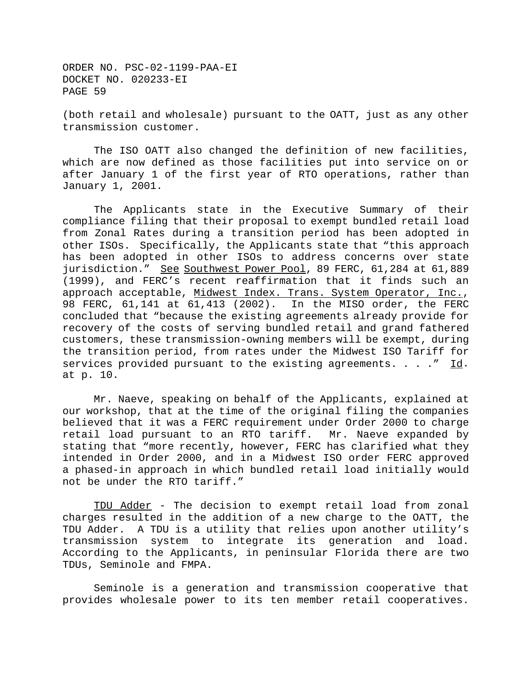(both retail and wholesale) pursuant to the OATT, just as any other transmission customer.

The ISO OATT also changed the definition of new facilities, which are now defined as those facilities put into service on or after January 1 of the first year of RTO operations, rather than January 1, 2001.

The Applicants state in the Executive Summary of their compliance filing that their proposal to exempt bundled retail load from Zonal Rates during a transition period has been adopted in other ISOs. Specifically, the Applicants state that "this approach has been adopted in other ISOs to address concerns over state jurisdiction." See Southwest Power Pool, 89 FERC, 61,284 at 61,889 (1999), and FERC's recent reaffirmation that it finds such an approach acceptable, Midwest Index. Trans. System Operator, Inc., 98 FERC, 61,141 at 61,413 (2002). In the MISO order, the FERC concluded that "because the existing agreements already provide for recovery of the costs of serving bundled retail and grand fathered customers, these transmission-owning members will be exempt, during the transition period, from rates under the Midwest ISO Tariff for services provided pursuant to the existing agreements. . . ." Id. at p. 10.

Mr. Naeve, speaking on behalf of the Applicants, explained at our workshop, that at the time of the original filing the companies believed that it was a FERC requirement under Order 2000 to charge retail load pursuant to an RTO tariff. Mr. Naeve expanded by stating that "more recently, however, FERC has clarified what they intended in Order 2000, and in a Midwest ISO order FERC approved a phased-in approach in which bundled retail load initially would not be under the RTO tariff."

TDU Adder - The decision to exempt retail load from zonal charges resulted in the addition of a new charge to the OATT, the TDU Adder. A TDU is a utility that relies upon another utility's transmission system to integrate its generation and load. According to the Applicants, in peninsular Florida there are two TDUs, Seminole and FMPA.

Seminole is a generation and transmission cooperative that provides wholesale power to its ten member retail cooperatives.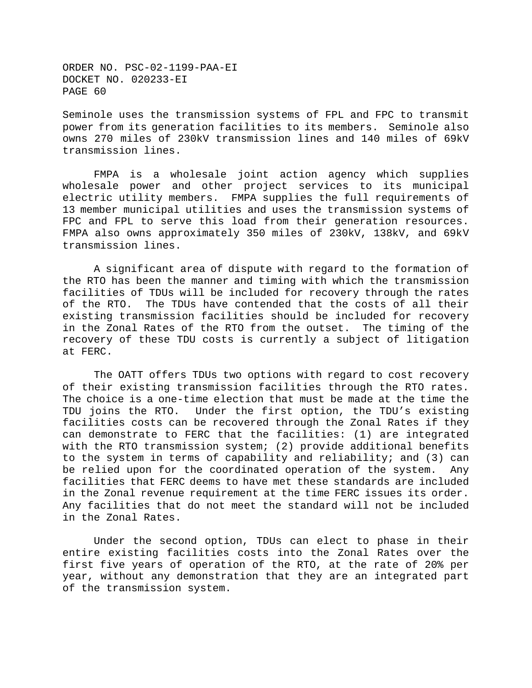Seminole uses the transmission systems of FPL and FPC to transmit power from its generation facilities to its members. Seminole also owns 270 miles of 230kV transmission lines and 140 miles of 69kV transmission lines.

FMPA is a wholesale joint action agency which supplies wholesale power and other project services to its municipal electric utility members. FMPA supplies the full requirements of 13 member municipal utilities and uses the transmission systems of FPC and FPL to serve this load from their generation resources. FMPA also owns approximately 350 miles of 230kV, 138kV, and 69kV transmission lines.

A significant area of dispute with regard to the formation of the RTO has been the manner and timing with which the transmission facilities of TDUs will be included for recovery through the rates of the RTO. The TDUs have contended that the costs of all their existing transmission facilities should be included for recovery in the Zonal Rates of the RTO from the outset. The timing of the recovery of these TDU costs is currently a subject of litigation at FERC.

The OATT offers TDUs two options with regard to cost recovery of their existing transmission facilities through the RTO rates. The choice is a one-time election that must be made at the time the TDU joins the RTO. Under the first option, the TDU's existing facilities costs can be recovered through the Zonal Rates if they can demonstrate to FERC that the facilities: (1) are integrated with the RTO transmission system; (2) provide additional benefits to the system in terms of capability and reliability; and (3) can be relied upon for the coordinated operation of the system. Any facilities that FERC deems to have met these standards are included in the Zonal revenue requirement at the time FERC issues its order. Any facilities that do not meet the standard will not be included in the Zonal Rates.

Under the second option, TDUs can elect to phase in their entire existing facilities costs into the Zonal Rates over the first five years of operation of the RTO, at the rate of 20% per year, without any demonstration that they are an integrated part of the transmission system.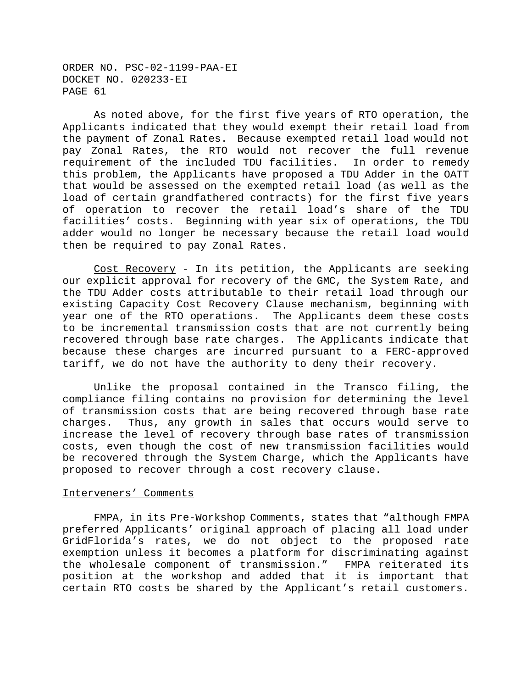As noted above, for the first five years of RTO operation, the Applicants indicated that they would exempt their retail load from the payment of Zonal Rates. Because exempted retail load would not pay Zonal Rates, the RTO would not recover the full revenue requirement of the included TDU facilities. In order to remedy this problem, the Applicants have proposed a TDU Adder in the OATT that would be assessed on the exempted retail load (as well as the load of certain grandfathered contracts) for the first five years of operation to recover the retail load's share of the TDU facilities' costs. Beginning with year six of operations, the TDU adder would no longer be necessary because the retail load would then be required to pay Zonal Rates.

Cost Recovery - In its petition, the Applicants are seeking our explicit approval for recovery of the GMC, the System Rate, and the TDU Adder costs attributable to their retail load through our existing Capacity Cost Recovery Clause mechanism, beginning with year one of the RTO operations. The Applicants deem these costs to be incremental transmission costs that are not currently being recovered through base rate charges. The Applicants indicate that because these charges are incurred pursuant to a FERC-approved tariff, we do not have the authority to deny their recovery.

Unlike the proposal contained in the Transco filing, the compliance filing contains no provision for determining the level of transmission costs that are being recovered through base rate charges. Thus, any growth in sales that occurs would serve to increase the level of recovery through base rates of transmission costs, even though the cost of new transmission facilities would be recovered through the System Charge, which the Applicants have proposed to recover through a cost recovery clause.

#### Interveners' Comments

FMPA, in its Pre-Workshop Comments, states that "although FMPA preferred Applicants' original approach of placing all load under GridFlorida's rates, we do not object to the proposed rate exemption unless it becomes a platform for discriminating against the wholesale component of transmission." FMPA reiterated its position at the workshop and added that it is important that certain RTO costs be shared by the Applicant's retail customers.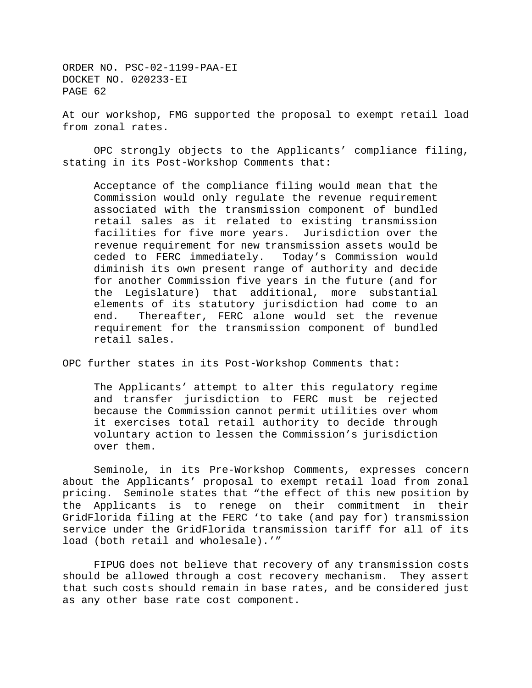At our workshop, FMG supported the proposal to exempt retail load from zonal rates.

OPC strongly objects to the Applicants' compliance filing, stating in its Post-Workshop Comments that:

Acceptance of the compliance filing would mean that the Commission would only regulate the revenue requirement associated with the transmission component of bundled retail sales as it related to existing transmission facilities for five more years. Jurisdiction over the revenue requirement for new transmission assets would be ceded to FERC immediately. Today's Commission would diminish its own present range of authority and decide for another Commission five years in the future (and for the Legislature) that additional, more substantial elements of its statutory jurisdiction had come to an end. Thereafter, FERC alone would set the revenue requirement for the transmission component of bundled retail sales.

OPC further states in its Post-Workshop Comments that:

The Applicants' attempt to alter this regulatory regime and transfer jurisdiction to FERC must be rejected because the Commission cannot permit utilities over whom it exercises total retail authority to decide through voluntary action to lessen the Commission's jurisdiction over them.

Seminole, in its Pre-Workshop Comments, expresses concern about the Applicants' proposal to exempt retail load from zonal pricing. Seminole states that "the effect of this new position by the Applicants is to renege on their commitment in their GridFlorida filing at the FERC 'to take (and pay for) transmission service under the GridFlorida transmission tariff for all of its load (both retail and wholesale).'"

FIPUG does not believe that recovery of any transmission costs should be allowed through a cost recovery mechanism. They assert that such costs should remain in base rates, and be considered just as any other base rate cost component.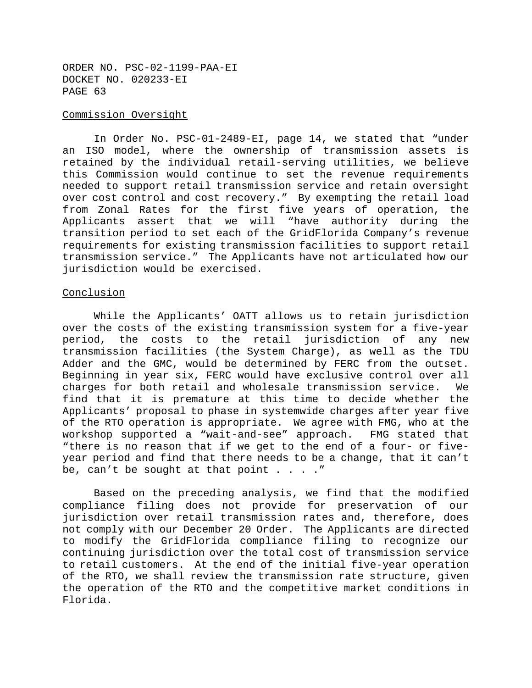### Commission Oversight

In Order No. PSC-01-2489-EI, page 14, we stated that "under an ISO model, where the ownership of transmission assets is retained by the individual retail-serving utilities, we believe this Commission would continue to set the revenue requirements needed to support retail transmission service and retain oversight over cost control and cost recovery." By exempting the retail load from Zonal Rates for the first five years of operation, the Applicants assert that we will "have authority during the transition period to set each of the GridFlorida Company's revenue requirements for existing transmission facilities to support retail transmission service." The Applicants have not articulated how our jurisdiction would be exercised.

#### Conclusion

While the Applicants' OATT allows us to retain jurisdiction over the costs of the existing transmission system for a five-year period, the costs to the retail jurisdiction of any new transmission facilities (the System Charge), as well as the TDU Adder and the GMC, would be determined by FERC from the outset. Beginning in year six, FERC would have exclusive control over all charges for both retail and wholesale transmission service. We find that it is premature at this time to decide whether the Applicants' proposal to phase in systemwide charges after year five of the RTO operation is appropriate. We agree with FMG, who at the workshop supported a "wait-and-see" approach. FMG stated that "there is no reason that if we get to the end of a four- or fiveyear period and find that there needs to be a change, that it can't be, can't be sought at that point  $\ldots$ ...

Based on the preceding analysis, we find that the modified compliance filing does not provide for preservation of our jurisdiction over retail transmission rates and, therefore, does not comply with our December 20 Order. The Applicants are directed to modify the GridFlorida compliance filing to recognize our continuing jurisdiction over the total cost of transmission service to retail customers. At the end of the initial five-year operation of the RTO, we shall review the transmission rate structure, given the operation of the RTO and the competitive market conditions in Florida.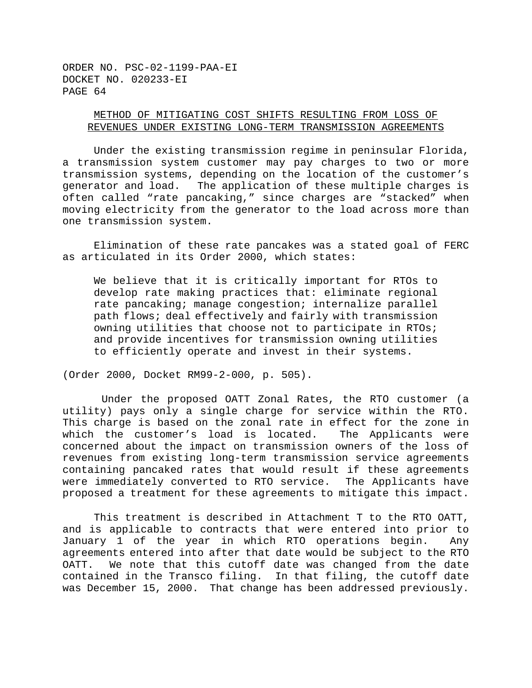# METHOD OF MITIGATING COST SHIFTS RESULTING FROM LOSS OF REVENUES UNDER EXISTING LONG-TERM TRANSMISSION AGREEMENTS

Under the existing transmission regime in peninsular Florida, a transmission system customer may pay charges to two or more transmission systems, depending on the location of the customer's generator and load. The application of these multiple charges is often called "rate pancaking," since charges are "stacked" when moving electricity from the generator to the load across more than one transmission system.

Elimination of these rate pancakes was a stated goal of FERC as articulated in its Order 2000, which states:

We believe that it is critically important for RTOs to develop rate making practices that: eliminate regional rate pancaking; manage congestion; internalize parallel path flows; deal effectively and fairly with transmission owning utilities that choose not to participate in RTOs; and provide incentives for transmission owning utilities to efficiently operate and invest in their systems.

(Order 2000, Docket RM99-2-000, p. 505).

Under the proposed OATT Zonal Rates, the RTO customer (a utility) pays only a single charge for service within the RTO. This charge is based on the zonal rate in effect for the zone in which the customer's load is located. The Applicants were concerned about the impact on transmission owners of the loss of revenues from existing long-term transmission service agreements containing pancaked rates that would result if these agreements were immediately converted to RTO service. The Applicants have proposed a treatment for these agreements to mitigate this impact.

This treatment is described in Attachment T to the RTO OATT, and is applicable to contracts that were entered into prior to January 1 of the year in which RTO operations begin. Any agreements entered into after that date would be subject to the RTO OATT. We note that this cutoff date was changed from the date contained in the Transco filing. In that filing, the cutoff date was December 15, 2000. That change has been addressed previously.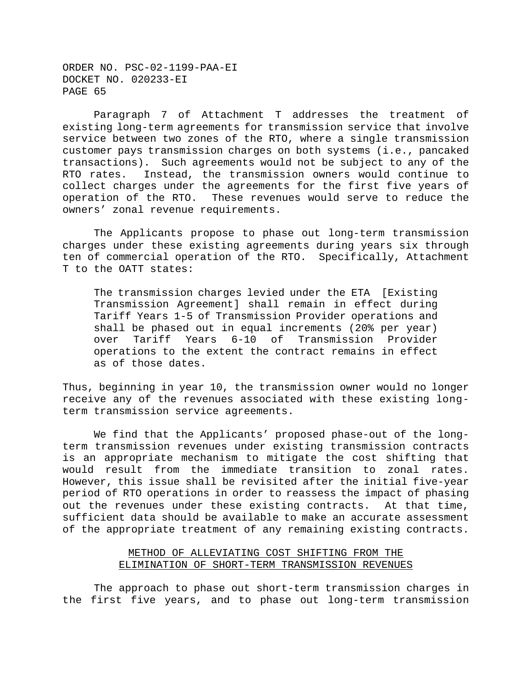Paragraph 7 of Attachment T addresses the treatment of existing long-term agreements for transmission service that involve service between two zones of the RTO, where a single transmission customer pays transmission charges on both systems (i.e., pancaked transactions). Such agreements would not be subject to any of the RTO rates. Instead, the transmission owners would continue to collect charges under the agreements for the first five years of operation of the RTO. These revenues would serve to reduce the owners' zonal revenue requirements.

The Applicants propose to phase out long-term transmission charges under these existing agreements during years six through ten of commercial operation of the RTO. Specifically, Attachment T to the OATT states:

The transmission charges levied under the ETA [Existing Transmission Agreement] shall remain in effect during Tariff Years 1-5 of Transmission Provider operations and shall be phased out in equal increments (20% per year) over Tariff Years 6-10 of Transmission Provider operations to the extent the contract remains in effect as of those dates.

Thus, beginning in year 10, the transmission owner would no longer receive any of the revenues associated with these existing longterm transmission service agreements.

We find that the Applicants' proposed phase-out of the longterm transmission revenues under existing transmission contracts is an appropriate mechanism to mitigate the cost shifting that would result from the immediate transition to zonal rates. However, this issue shall be revisited after the initial five-year period of RTO operations in order to reassess the impact of phasing out the revenues under these existing contracts. At that time, sufficient data should be available to make an accurate assessment of the appropriate treatment of any remaining existing contracts.

# METHOD OF ALLEVIATING COST SHIFTING FROM THE ELIMINATION OF SHORT-TERM TRANSMISSION REVENUES

The approach to phase out short-term transmission charges in the first five years, and to phase out long-term transmission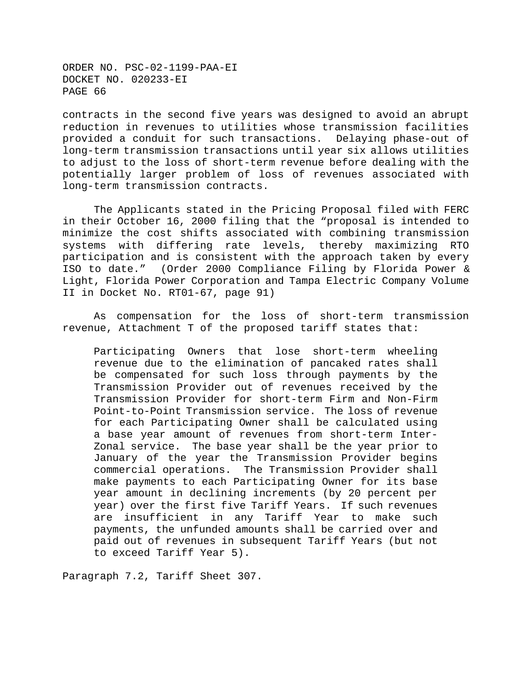contracts in the second five years was designed to avoid an abrupt reduction in revenues to utilities whose transmission facilities provided a conduit for such transactions. Delaying phase-out of long-term transmission transactions until year six allows utilities to adjust to the loss of short-term revenue before dealing with the potentially larger problem of loss of revenues associated with long-term transmission contracts.

The Applicants stated in the Pricing Proposal filed with FERC in their October 16, 2000 filing that the "proposal is intended to minimize the cost shifts associated with combining transmission systems with differing rate levels, thereby maximizing RTO participation and is consistent with the approach taken by every ISO to date." (Order 2000 Compliance Filing by Florida Power & Light, Florida Power Corporation and Tampa Electric Company Volume II in Docket No. RT01-67, page 91)

As compensation for the loss of short-term transmission revenue, Attachment T of the proposed tariff states that:

Participating Owners that lose short-term wheeling revenue due to the elimination of pancaked rates shall be compensated for such loss through payments by the Transmission Provider out of revenues received by the Transmission Provider for short-term Firm and Non-Firm Point-to-Point Transmission service. The loss of revenue for each Participating Owner shall be calculated using a base year amount of revenues from short-term Inter-Zonal service. The base year shall be the year prior to January of the year the Transmission Provider begins commercial operations. The Transmission Provider shall make payments to each Participating Owner for its base year amount in declining increments (by 20 percent per year) over the first five Tariff Years. If such revenues are insufficient in any Tariff Year to make such payments, the unfunded amounts shall be carried over and paid out of revenues in subsequent Tariff Years (but not to exceed Tariff Year 5).

Paragraph 7.2, Tariff Sheet 307.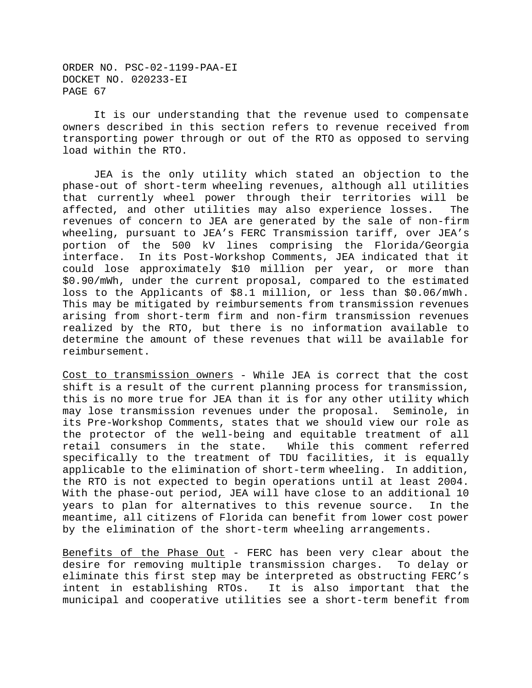It is our understanding that the revenue used to compensate owners described in this section refers to revenue received from transporting power through or out of the RTO as opposed to serving load within the RTO.

JEA is the only utility which stated an objection to the phase-out of short-term wheeling revenues, although all utilities that currently wheel power through their territories will be affected, and other utilities may also experience losses. The revenues of concern to JEA are generated by the sale of non-firm wheeling, pursuant to JEA's FERC Transmission tariff, over JEA's portion of the 500 kV lines comprising the Florida/Georgia interface. In its Post-Workshop Comments, JEA indicated that it could lose approximately \$10 million per year, or more than \$0.90/mWh, under the current proposal, compared to the estimated loss to the Applicants of \$8.1 million, or less than \$0.06/mWh. This may be mitigated by reimbursements from transmission revenues arising from short-term firm and non-firm transmission revenues realized by the RTO, but there is no information available to determine the amount of these revenues that will be available for reimbursement.

Cost to transmission owners - While JEA is correct that the cost shift is a result of the current planning process for transmission, this is no more true for JEA than it is for any other utility which may lose transmission revenues under the proposal. Seminole, in its Pre-Workshop Comments, states that we should view our role as the protector of the well-being and equitable treatment of all retail consumers in the state. While this comment referred specifically to the treatment of TDU facilities, it is equally applicable to the elimination of short-term wheeling. In addition, the RTO is not expected to begin operations until at least 2004. With the phase-out period, JEA will have close to an additional 10 years to plan for alternatives to this revenue source. In the meantime, all citizens of Florida can benefit from lower cost power by the elimination of the short-term wheeling arrangements.

Benefits of the Phase Out - FERC has been very clear about the desire for removing multiple transmission charges. To delay or eliminate this first step may be interpreted as obstructing FERC's intent in establishing RTOs. It is also important that the municipal and cooperative utilities see a short-term benefit from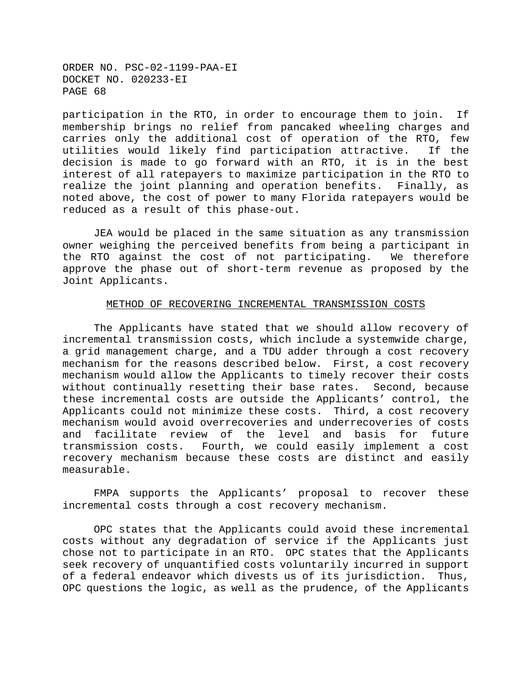participation in the RTO, in order to encourage them to join. If membership brings no relief from pancaked wheeling charges and carries only the additional cost of operation of the RTO, few utilities would likely find participation attractive. If the decision is made to go forward with an RTO, it is in the best interest of all ratepayers to maximize participation in the RTO to realize the joint planning and operation benefits. Finally, as noted above, the cost of power to many Florida ratepayers would be reduced as a result of this phase-out.

JEA would be placed in the same situation as any transmission owner weighing the perceived benefits from being a participant in the RTO against the cost of not participating. We therefore approve the phase out of short-term revenue as proposed by the Joint Applicants.

#### METHOD OF RECOVERING INCREMENTAL TRANSMISSION COSTS

The Applicants have stated that we should allow recovery of incremental transmission costs, which include a systemwide charge, a grid management charge, and a TDU adder through a cost recovery mechanism for the reasons described below. First, a cost recovery mechanism would allow the Applicants to timely recover their costs without continually resetting their base rates. Second, because these incremental costs are outside the Applicants' control, the Applicants could not minimize these costs. Third, a cost recovery mechanism would avoid overrecoveries and underrecoveries of costs and facilitate review of the level and basis for future transmission costs. Fourth, we could easily implement a cost recovery mechanism because these costs are distinct and easily measurable.

FMPA supports the Applicants' proposal to recover these incremental costs through a cost recovery mechanism.

OPC states that the Applicants could avoid these incremental costs without any degradation of service if the Applicants just chose not to participate in an RTO. OPC states that the Applicants seek recovery of unquantified costs voluntarily incurred in support of a federal endeavor which divests us of its jurisdiction. Thus, OPC questions the logic, as well as the prudence, of the Applicants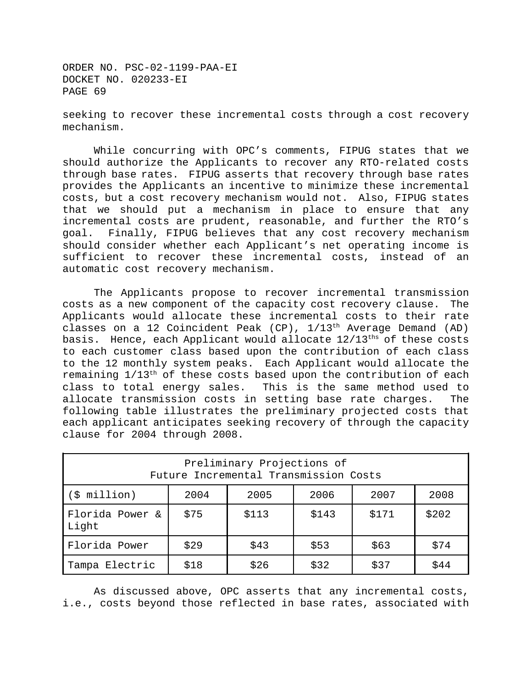seeking to recover these incremental costs through a cost recovery mechanism.

While concurring with OPC's comments, FIPUG states that we should authorize the Applicants to recover any RTO-related costs through base rates. FIPUG asserts that recovery through base rates provides the Applicants an incentive to minimize these incremental costs, but a cost recovery mechanism would not. Also, FIPUG states that we should put a mechanism in place to ensure that any incremental costs are prudent, reasonable, and further the RTO's goal. Finally, FIPUG believes that any cost recovery mechanism should consider whether each Applicant's net operating income is sufficient to recover these incremental costs, instead of an automatic cost recovery mechanism.

The Applicants propose to recover incremental transmission costs as a new component of the capacity cost recovery clause. The Applicants would allocate these incremental costs to their rate classes on a 12 Coincident Peak (CP),  $1/13<sup>th</sup>$  Average Demand (AD) basis. Hence, each Applicant would allocate  $12/13^{\text{ths}}$  of these costs to each customer class based upon the contribution of each class to the 12 monthly system peaks. Each Applicant would allocate the remaining  $1/13<sup>th</sup>$  of these costs based upon the contribution of each class to total energy sales. This is the same method used to allocate transmission costs in setting base rate charges. The following table illustrates the preliminary projected costs that each applicant anticipates seeking recovery of through the capacity clause for 2004 through 2008.

| Preliminary Projections of<br>Future Incremental Transmission Costs |      |       |       |       |       |
|---------------------------------------------------------------------|------|-------|-------|-------|-------|
| (\$ million)                                                        | 2004 | 2005  | 2006  | 2007  | 2008  |
| Florida Power &<br>Light                                            | \$75 | \$113 | \$143 | \$171 | \$202 |
| Florida Power                                                       | \$29 | \$43  | \$53  | \$63  | \$74  |
| Tampa Electric                                                      | \$18 | \$26  | \$32  | \$37  | \$44  |

As discussed above, OPC asserts that any incremental costs, i.e., costs beyond those reflected in base rates, associated with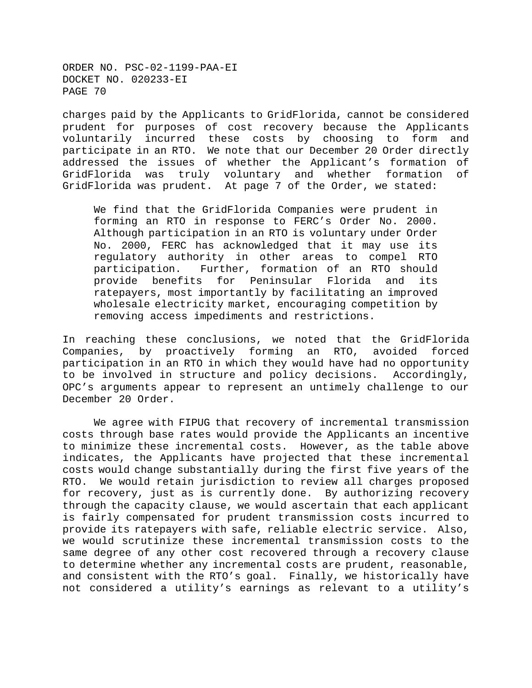charges paid by the Applicants to GridFlorida, cannot be considered prudent for purposes of cost recovery because the Applicants voluntarily incurred these costs by choosing to form and participate in an RTO. We note that our December 20 Order directly addressed the issues of whether the Applicant's formation of GridFlorida was truly voluntary and whether formation of GridFlorida was prudent. At page 7 of the Order, we stated:

We find that the GridFlorida Companies were prudent in forming an RTO in response to FERC's Order No. 2000. Although participation in an RTO is voluntary under Order No. 2000, FERC has acknowledged that it may use its regulatory authority in other areas to compel RTO participation. Further, formation of an RTO should provide benefits for Peninsular Florida and its ratepayers, most importantly by facilitating an improved wholesale electricity market, encouraging competition by removing access impediments and restrictions.

In reaching these conclusions, we noted that the GridFlorida Companies, by proactively forming an RTO, avoided forced participation in an RTO in which they would have had no opportunity to be involved in structure and policy decisions. Accordingly, OPC's arguments appear to represent an untimely challenge to our December 20 Order.

We agree with FIPUG that recovery of incremental transmission costs through base rates would provide the Applicants an incentive to minimize these incremental costs. However, as the table above indicates, the Applicants have projected that these incremental costs would change substantially during the first five years of the RTO. We would retain jurisdiction to review all charges proposed for recovery, just as is currently done. By authorizing recovery through the capacity clause, we would ascertain that each applicant is fairly compensated for prudent transmission costs incurred to provide its ratepayers with safe, reliable electric service. Also, we would scrutinize these incremental transmission costs to the same degree of any other cost recovered through a recovery clause to determine whether any incremental costs are prudent, reasonable, and consistent with the RTO's goal. Finally, we historically have not considered a utility's earnings as relevant to a utility's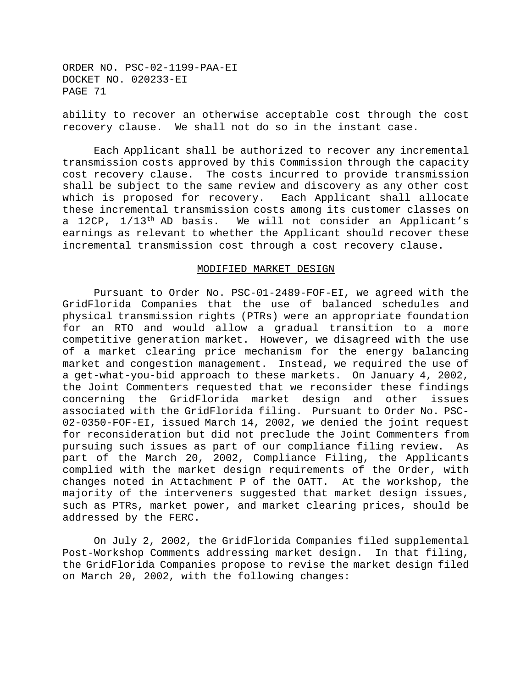ability to recover an otherwise acceptable cost through the cost recovery clause. We shall not do so in the instant case.

Each Applicant shall be authorized to recover any incremental transmission costs approved by this Commission through the capacity cost recovery clause. The costs incurred to provide transmission shall be subject to the same review and discovery as any other cost which is proposed for recovery. Each Applicant shall allocate these incremental transmission costs among its customer classes on a 12CP,  $1/13^{th}$  AD basis. We will not consider an Applicant's earnings as relevant to whether the Applicant should recover these incremental transmission cost through a cost recovery clause.

### MODIFIED MARKET DESIGN

Pursuant to Order No. PSC-01-2489-FOF-EI, we agreed with the GridFlorida Companies that the use of balanced schedules and physical transmission rights (PTRs) were an appropriate foundation for an RTO and would allow a gradual transition to a more competitive generation market. However, we disagreed with the use of a market clearing price mechanism for the energy balancing market and congestion management. Instead, we required the use of a get-what-you-bid approach to these markets. On January 4, 2002, the Joint Commenters requested that we reconsider these findings concerning the GridFlorida market design and other issues associated with the GridFlorida filing. Pursuant to Order No. PSC-02-0350-FOF-EI, issued March 14, 2002, we denied the joint request for reconsideration but did not preclude the Joint Commenters from pursuing such issues as part of our compliance filing review. As part of the March 20, 2002, Compliance Filing, the Applicants complied with the market design requirements of the Order, with changes noted in Attachment P of the OATT. At the workshop, the majority of the interveners suggested that market design issues, such as PTRs, market power, and market clearing prices, should be addressed by the FERC.

On July 2, 2002, the GridFlorida Companies filed supplemental Post-Workshop Comments addressing market design. In that filing, the GridFlorida Companies propose to revise the market design filed on March 20, 2002, with the following changes: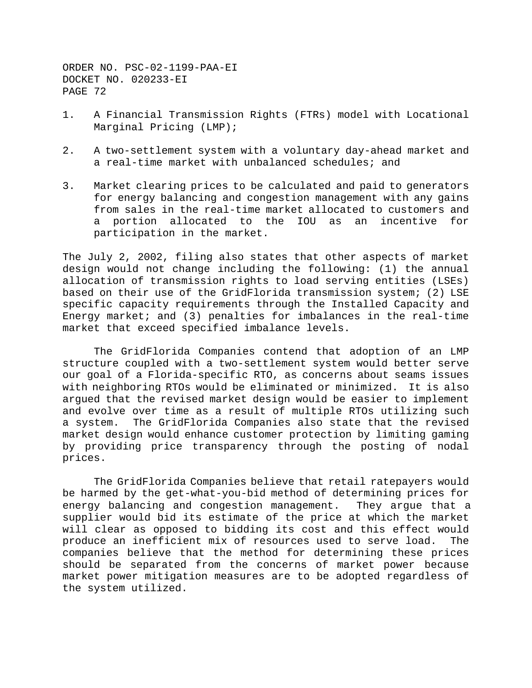- 1. A Financial Transmission Rights (FTRs) model with Locational Marginal Pricing (LMP);
- 2. A two-settlement system with a voluntary day-ahead market and a real-time market with unbalanced schedules; and
- 3. Market clearing prices to be calculated and paid to generators for energy balancing and congestion management with any gains from sales in the real-time market allocated to customers and a portion allocated to the IOU as an incentive for participation in the market.

The July 2, 2002, filing also states that other aspects of market design would not change including the following: (1) the annual allocation of transmission rights to load serving entities (LSEs) based on their use of the GridFlorida transmission system; (2) LSE specific capacity requirements through the Installed Capacity and Energy market; and (3) penalties for imbalances in the real-time market that exceed specified imbalance levels.

The GridFlorida Companies contend that adoption of an LMP structure coupled with a two-settlement system would better serve our goal of a Florida-specific RTO, as concerns about seams issues with neighboring RTOs would be eliminated or minimized. It is also argued that the revised market design would be easier to implement and evolve over time as a result of multiple RTOs utilizing such a system. The GridFlorida Companies also state that the revised market design would enhance customer protection by limiting gaming by providing price transparency through the posting of nodal prices.

The GridFlorida Companies believe that retail ratepayers would be harmed by the get-what-you-bid method of determining prices for energy balancing and congestion management. They argue that a supplier would bid its estimate of the price at which the market will clear as opposed to bidding its cost and this effect would produce an inefficient mix of resources used to serve load. The companies believe that the method for determining these prices should be separated from the concerns of market power because market power mitigation measures are to be adopted regardless of the system utilized.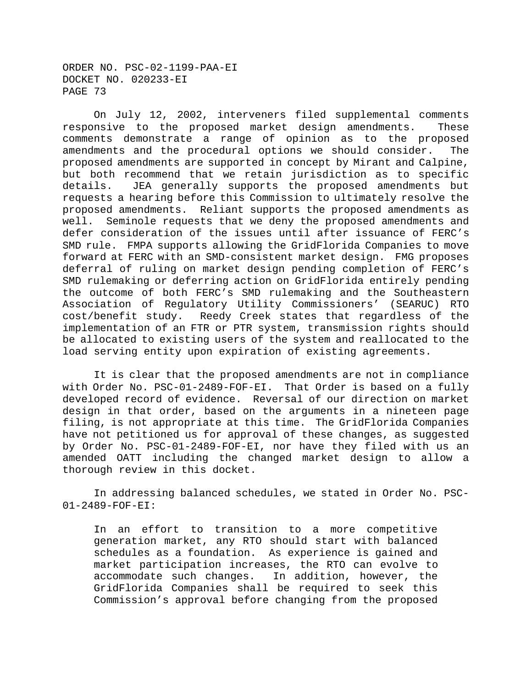On July 12, 2002, interveners filed supplemental comments responsive to the proposed market design amendments. These comments demonstrate a range of opinion as to the proposed amendments and the procedural options we should consider. The proposed amendments are supported in concept by Mirant and Calpine, but both recommend that we retain jurisdiction as to specific details. JEA generally supports the proposed amendments but requests a hearing before this Commission to ultimately resolve the proposed amendments. Reliant supports the proposed amendments as well. Seminole requests that we deny the proposed amendments and defer consideration of the issues until after issuance of FERC's SMD rule. FMPA supports allowing the GridFlorida Companies to move forward at FERC with an SMD-consistent market design. FMG proposes deferral of ruling on market design pending completion of FERC's SMD rulemaking or deferring action on GridFlorida entirely pending the outcome of both FERC's SMD rulemaking and the Southeastern Association of Regulatory Utility Commissioners' (SEARUC) RTO cost/benefit study. Reedy Creek states that regardless of the implementation of an FTR or PTR system, transmission rights should be allocated to existing users of the system and reallocated to the load serving entity upon expiration of existing agreements.

It is clear that the proposed amendments are not in compliance with Order No. PSC-01-2489-FOF-EI. That Order is based on a fully developed record of evidence. Reversal of our direction on market design in that order, based on the arguments in a nineteen page filing, is not appropriate at this time. The GridFlorida Companies have not petitioned us for approval of these changes, as suggested by Order No. PSC-01-2489-FOF-EI, nor have they filed with us an amended OATT including the changed market design to allow a thorough review in this docket.

In addressing balanced schedules, we stated in Order No. PSC-01-2489-FOF-EI:

In an effort to transition to a more competitive generation market, any RTO should start with balanced schedules as a foundation. As experience is gained and market participation increases, the RTO can evolve to accommodate such changes. In addition, however, the GridFlorida Companies shall be required to seek this Commission's approval before changing from the proposed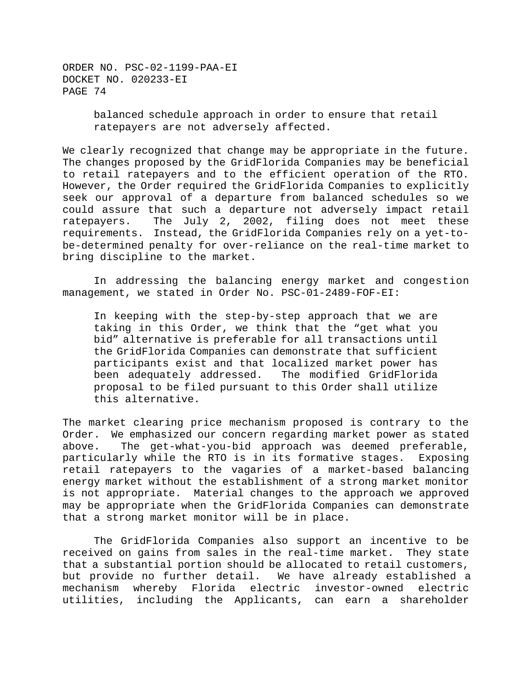> balanced schedule approach in order to ensure that retail ratepayers are not adversely affected.

We clearly recognized that change may be appropriate in the future. The changes proposed by the GridFlorida Companies may be beneficial to retail ratepayers and to the efficient operation of the RTO. However, the Order required the GridFlorida Companies to explicitly seek our approval of a departure from balanced schedules so we could assure that such a departure not adversely impact retail ratepayers. The July 2, 2002, filing does not meet these requirements. Instead, the GridFlorida Companies rely on a yet-tobe-determined penalty for over-reliance on the real-time market to bring discipline to the market.

In addressing the balancing energy market and congestion management, we stated in Order No. PSC-01-2489-FOF-EI:

In keeping with the step-by-step approach that we are taking in this Order, we think that the "get what you bid" alternative is preferable for all transactions until the GridFlorida Companies can demonstrate that sufficient participants exist and that localized market power has been adequately addressed. The modified GridFlorida proposal to be filed pursuant to this Order shall utilize this alternative.

The market clearing price mechanism proposed is contrary to the Order. We emphasized our concern regarding market power as stated above. The get-what-you-bid approach was deemed preferable, particularly while the RTO is in its formative stages. Exposing retail ratepayers to the vagaries of a market-based balancing energy market without the establishment of a strong market monitor is not appropriate. Material changes to the approach we approved may be appropriate when the GridFlorida Companies can demonstrate that a strong market monitor will be in place.

The GridFlorida Companies also support an incentive to be received on gains from sales in the real-time market. They state that a substantial portion should be allocated to retail customers, but provide no further detail. We have already established a mechanism whereby Florida electric investor-owned electric utilities, including the Applicants, can earn a shareholder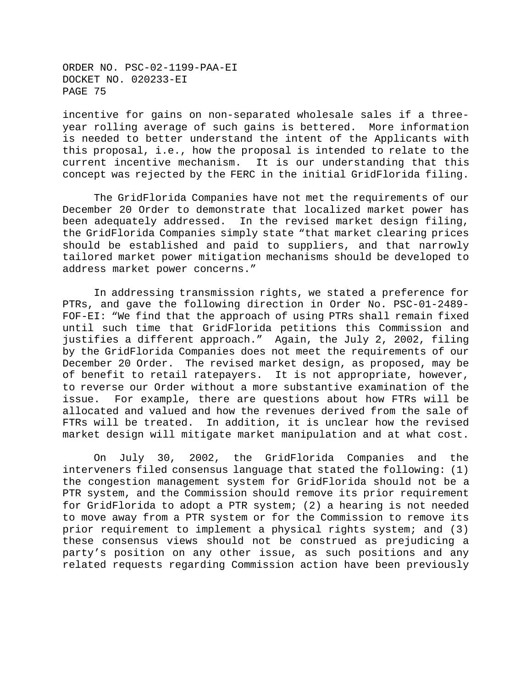incentive for gains on non-separated wholesale sales if a threeyear rolling average of such gains is bettered. More information is needed to better understand the intent of the Applicants with this proposal, i.e., how the proposal is intended to relate to the current incentive mechanism. It is our understanding that this concept was rejected by the FERC in the initial GridFlorida filing.

The GridFlorida Companies have not met the requirements of our December 20 Order to demonstrate that localized market power has been adequately addressed. In the revised market design filing, the GridFlorida Companies simply state "that market clearing prices should be established and paid to suppliers, and that narrowly tailored market power mitigation mechanisms should be developed to address market power concerns."

In addressing transmission rights, we stated a preference for PTRs, and gave the following direction in Order No. PSC-01-2489- FOF-EI: "We find that the approach of using PTRs shall remain fixed until such time that GridFlorida petitions this Commission and justifies a different approach." Again, the July 2, 2002, filing by the GridFlorida Companies does not meet the requirements of our December 20 Order. The revised market design, as proposed, may be of benefit to retail ratepayers. It is not appropriate, however, to reverse our Order without a more substantive examination of the issue. For example, there are questions about how FTRs will be allocated and valued and how the revenues derived from the sale of FTRs will be treated. In addition, it is unclear how the revised market design will mitigate market manipulation and at what cost.

On July 30, 2002, the GridFlorida Companies and the interveners filed consensus language that stated the following: (1) the congestion management system for GridFlorida should not be a PTR system, and the Commission should remove its prior requirement for GridFlorida to adopt a PTR system; (2) a hearing is not needed to move away from a PTR system or for the Commission to remove its prior requirement to implement a physical rights system; and (3) these consensus views should not be construed as prejudicing a party's position on any other issue, as such positions and any related requests regarding Commission action have been previously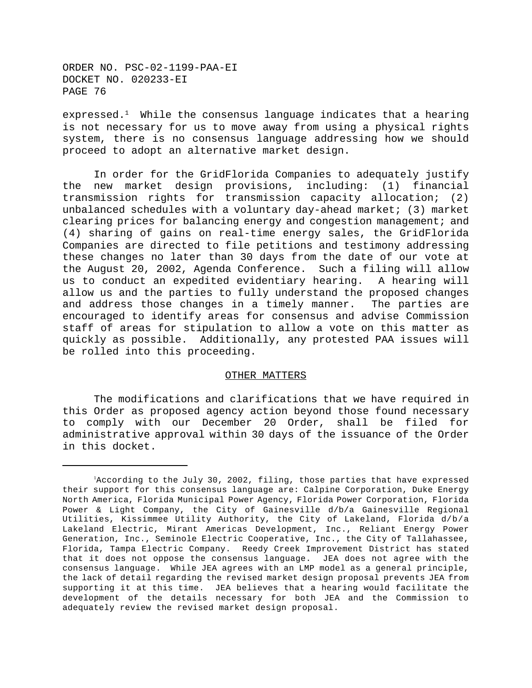expressed.<sup>1</sup> While the consensus language indicates that a hearing is not necessary for us to move away from using a physical rights system, there is no consensus language addressing how we should proceed to adopt an alternative market design.

In order for the GridFlorida Companies to adequately justify the new market design provisions, including: (1) financial transmission rights for transmission capacity allocation; (2) unbalanced schedules with a voluntary day-ahead market; (3) market clearing prices for balancing energy and congestion management; and (4) sharing of gains on real-time energy sales, the GridFlorida Companies are directed to file petitions and testimony addressing these changes no later than 30 days from the date of our vote at the August 20, 2002, Agenda Conference. Such a filing will allow us to conduct an expedited evidentiary hearing. A hearing will allow us and the parties to fully understand the proposed changes and address those changes in a timely manner. The parties are encouraged to identify areas for consensus and advise Commission staff of areas for stipulation to allow a vote on this matter as quickly as possible. Additionally, any protested PAA issues will be rolled into this proceeding.

### OTHER MATTERS

The modifications and clarifications that we have required in this Order as proposed agency action beyond those found necessary to comply with our December 20 Order, shall be filed for administrative approval within 30 days of the issuance of the Order in this docket.

<sup>&</sup>lt;sup>1</sup>According to the July 30, 2002, filing, those parties that have expressed their support for this consensus language are: Calpine Corporation, Duke Energy North America, Florida Municipal Power Agency, Florida Power Corporation, Florida Power & Light Company, the City of Gainesville d/b/a Gainesville Regional Utilities, Kissimmee Utility Authority, the City of Lakeland, Florida d/b/a Lakeland Electric, Mirant Americas Development, Inc., Reliant Energy Power Generation, Inc., Seminole Electric Cooperative, Inc., the City of Tallahassee, Florida, Tampa Electric Company. Reedy Creek Improvement District has stated that it does not oppose the consensus language. JEA does not agree with the consensus language. While JEA agrees with an LMP model as a general principle, the lack of detail regarding the revised market design proposal prevents JEA from supporting it at this time. JEA believes that a hearing would facilitate the development of the details necessary for both JEA and the Commission to adequately review the revised market design proposal.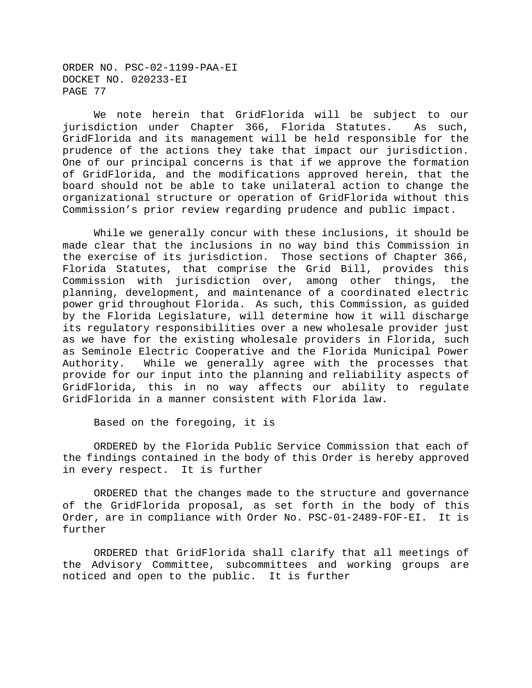We note herein that GridFlorida will be subject to our jurisdiction under Chapter 366, Florida Statutes. As such, GridFlorida and its management will be held responsible for the prudence of the actions they take that impact our jurisdiction. One of our principal concerns is that if we approve the formation of GridFlorida, and the modifications approved herein, that the board should not be able to take unilateral action to change the organizational structure or operation of GridFlorida without this Commission's prior review regarding prudence and public impact.

While we generally concur with these inclusions, it should be made clear that the inclusions in no way bind this Commission in the exercise of its jurisdiction. Those sections of Chapter 366, Florida Statutes, that comprise the Grid Bill, provides this Commission with jurisdiction over, among other things, the planning, development, and maintenance of a coordinated electric power grid throughout Florida. As such, this Commission, as guided by the Florida Legislature, will determine how it will discharge its regulatory responsibilities over a new wholesale provider just as we have for the existing wholesale providers in Florida, such as Seminole Electric Cooperative and the Florida Municipal Power Authority. While we generally agree with the processes that provide for our input into the planning and reliability aspects of GridFlorida, this in no way affects our ability to regulate GridFlorida in a manner consistent with Florida law.

Based on the foregoing, it is

ORDERED by the Florida Public Service Commission that each of the findings contained in the body of this Order is hereby approved in every respect. It is further

ORDERED that the changes made to the structure and governance of the GridFlorida proposal, as set forth in the body of this Order, are in compliance with Order No. PSC-01-2489-FOF-EI. It is further

ORDERED that GridFlorida shall clarify that all meetings of the Advisory Committee, subcommittees and working groups are noticed and open to the public. It is further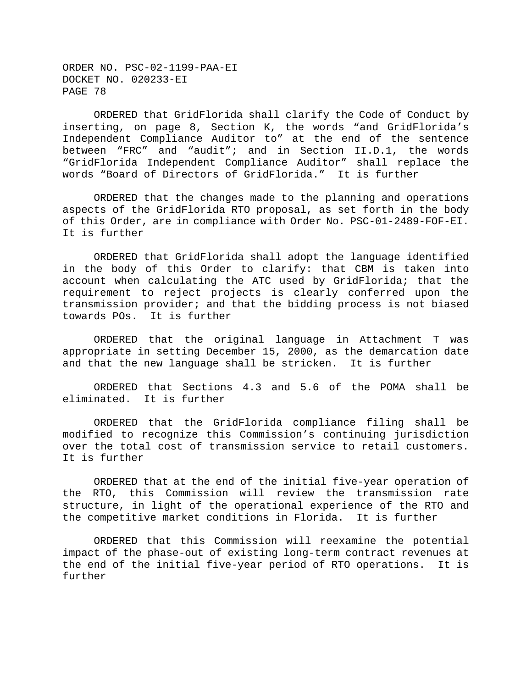ORDERED that GridFlorida shall clarify the Code of Conduct by inserting, on page 8, Section K, the words "and GridFlorida's Independent Compliance Auditor to" at the end of the sentence between "FRC" and "audit"; and in Section II.D.1, the words "GridFlorida Independent Compliance Auditor" shall replace the words "Board of Directors of GridFlorida." It is further

ORDERED that the changes made to the planning and operations aspects of the GridFlorida RTO proposal, as set forth in the body of this Order, are in compliance with Order No. PSC-01-2489-FOF-EI. It is further

ORDERED that GridFlorida shall adopt the language identified in the body of this Order to clarify: that CBM is taken into account when calculating the ATC used by GridFlorida; that the requirement to reject projects is clearly conferred upon the transmission provider; and that the bidding process is not biased towards POs. It is further

ORDERED that the original language in Attachment T was appropriate in setting December 15, 2000, as the demarcation date and that the new language shall be stricken. It is further

ORDERED that Sections 4.3 and 5.6 of the POMA shall be eliminated. It is further

ORDERED that the GridFlorida compliance filing shall be modified to recognize this Commission's continuing jurisdiction over the total cost of transmission service to retail customers. It is further

ORDERED that at the end of the initial five-year operation of the RTO, this Commission will review the transmission rate structure, in light of the operational experience of the RTO and the competitive market conditions in Florida. It is further

ORDERED that this Commission will reexamine the potential impact of the phase-out of existing long-term contract revenues at the end of the initial five-year period of RTO operations. It is further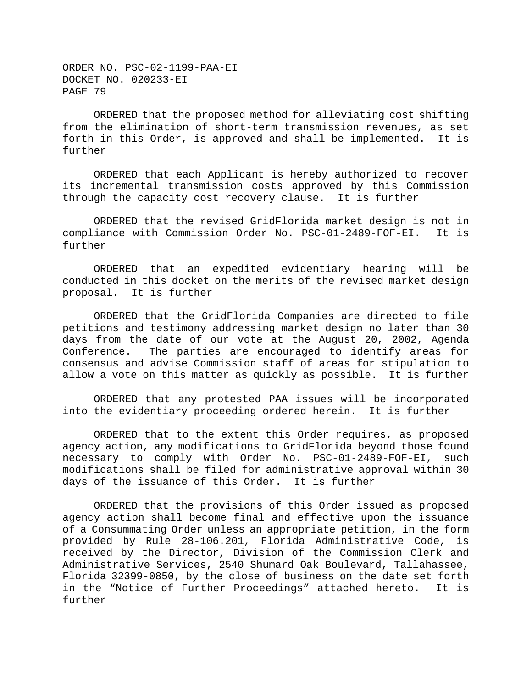ORDERED that the proposed method for alleviating cost shifting from the elimination of short-term transmission revenues, as set forth in this Order, is approved and shall be implemented. It is further

ORDERED that each Applicant is hereby authorized to recover its incremental transmission costs approved by this Commission through the capacity cost recovery clause. It is further

ORDERED that the revised GridFlorida market design is not in compliance with Commission Order No. PSC-01-2489-FOF-EI. It is further

ORDERED that an expedited evidentiary hearing will be conducted in this docket on the merits of the revised market design proposal. It is further

ORDERED that the GridFlorida Companies are directed to file petitions and testimony addressing market design no later than 30 days from the date of our vote at the August 20, 2002, Agenda Conference. The parties are encouraged to identify areas for consensus and advise Commission staff of areas for stipulation to allow a vote on this matter as quickly as possible. It is further

ORDERED that any protested PAA issues will be incorporated into the evidentiary proceeding ordered herein. It is further

ORDERED that to the extent this Order requires, as proposed agency action, any modifications to GridFlorida beyond those found necessary to comply with Order No. PSC-01-2489-FOF-EI, such modifications shall be filed for administrative approval within 30 days of the issuance of this Order. It is further

ORDERED that the provisions of this Order issued as proposed agency action shall become final and effective upon the issuance of a Consummating Order unless an appropriate petition, in the form provided by Rule 28-106.201, Florida Administrative Code, is received by the Director, Division of the Commission Clerk and Administrative Services, 2540 Shumard Oak Boulevard, Tallahassee, Florida 32399-0850, by the close of business on the date set forth in the "Notice of Further Proceedings" attached hereto. It is further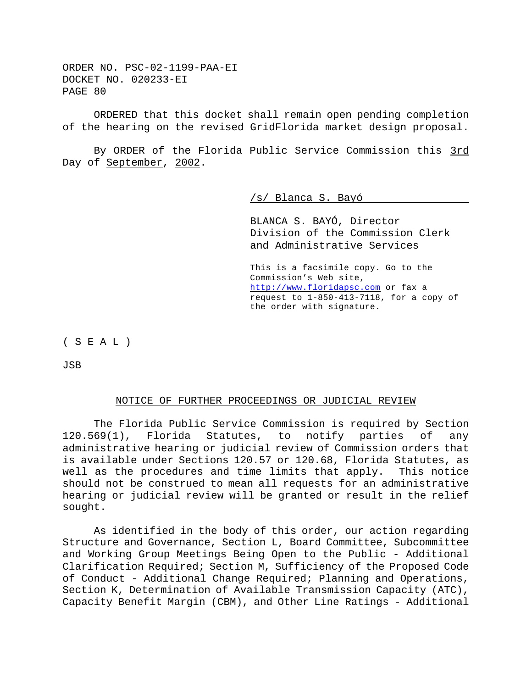ORDERED that this docket shall remain open pending completion of the hearing on the revised GridFlorida market design proposal.

By ORDER of the Florida Public Service Commission this 3rd Day of September, 2002.

/s/ Blanca S. Bayó

BLANCA S. BAYÓ, Director Division of the Commission Clerk and Administrative Services

This is a facsimile copy. Go to the Commission's Web site, http://www.floridapsc.com or fax a request to 1-850-413-7118, for a copy of the order with signature.

( S E A L )

JSB

## NOTICE OF FURTHER PROCEEDINGS OR JUDICIAL REVIEW

The Florida Public Service Commission is required by Section 120.569(1), Florida Statutes, to notify parties of any administrative hearing or judicial review of Commission orders that is available under Sections 120.57 or 120.68, Florida Statutes, as well as the procedures and time limits that apply. This notice should not be construed to mean all requests for an administrative hearing or judicial review will be granted or result in the relief sought.

As identified in the body of this order, our action regarding Structure and Governance, Section L, Board Committee, Subcommittee and Working Group Meetings Being Open to the Public - Additional Clarification Required; Section M, Sufficiency of the Proposed Code of Conduct - Additional Change Required; Planning and Operations, Section K, Determination of Available Transmission Capacity (ATC), Capacity Benefit Margin (CBM), and Other Line Ratings - Additional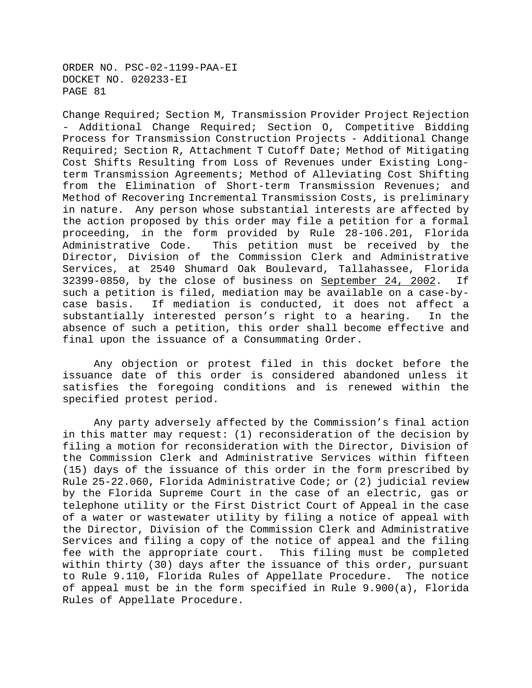Change Required; Section M, Transmission Provider Project Rejection - Additional Change Required; Section O, Competitive Bidding Process for Transmission Construction Projects - Additional Change Required; Section R, Attachment T Cutoff Date; Method of Mitigating Cost Shifts Resulting from Loss of Revenues under Existing Longterm Transmission Agreements; Method of Alleviating Cost Shifting from the Elimination of Short-term Transmission Revenues; and Method of Recovering Incremental Transmission Costs, is preliminary in nature. Any person whose substantial interests are affected by the action proposed by this order may file a petition for a formal proceeding, in the form provided by Rule 28-106.201, Florida Administrative Code. This petition must be received by the Director, Division of the Commission Clerk and Administrative Services, at 2540 Shumard Oak Boulevard, Tallahassee, Florida 32399-0850, by the close of business on September 24, 2002. If such a petition is filed, mediation may be available on a case-bycase basis. If mediation is conducted, it does not affect a substantially interested person's right to a hearing. In the absence of such a petition, this order shall become effective and final upon the issuance of a Consummating Order.

Any objection or protest filed in this docket before the issuance date of this order is considered abandoned unless it satisfies the foregoing conditions and is renewed within the specified protest period.

Any party adversely affected by the Commission's final action in this matter may request: (1) reconsideration of the decision by filing a motion for reconsideration with the Director, Division of the Commission Clerk and Administrative Services within fifteen (15) days of the issuance of this order in the form prescribed by Rule 25-22.060, Florida Administrative Code; or (2) judicial review by the Florida Supreme Court in the case of an electric, gas or telephone utility or the First District Court of Appeal in the case of a water or wastewater utility by filing a notice of appeal with the Director, Division of the Commission Clerk and Administrative Services and filing a copy of the notice of appeal and the filing fee with the appropriate court. This filing must be completed within thirty (30) days after the issuance of this order, pursuant to Rule 9.110, Florida Rules of Appellate Procedure. The notice of appeal must be in the form specified in Rule 9.900(a), Florida Rules of Appellate Procedure.